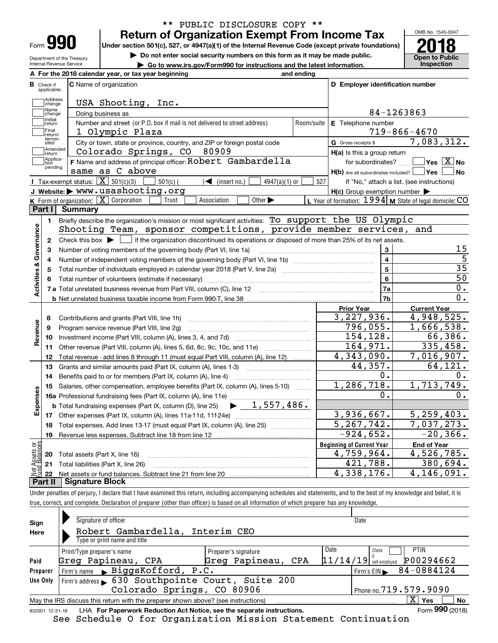| Form |  |
|------|--|

Department of the Treasury Internal Revenue Service

## **Return of Organization Exempt From Income Tax** \*\* PUBLIC DISCLOSURE COPY \*\*

Under section 501(c), 527, or 4947(a)(1) of the Internal Revenue Code (except private foundations) **2018** 

**| Do not enter social security numbers on this form as it may be made public.**

**| Go to www.irs.gov/Form990 for instructions and the latest information. Inspection**



|                         |                                                           | A For the 2018 calendar year, or tax year beginning                                                                                                 | and ending                                 |                                                     |                                                           |  |  |  |  |  |
|-------------------------|-----------------------------------------------------------|-----------------------------------------------------------------------------------------------------------------------------------------------------|--------------------------------------------|-----------------------------------------------------|-----------------------------------------------------------|--|--|--|--|--|
| в                       | Check if<br>applicable:                                   | <b>C</b> Name of organization                                                                                                                       |                                            | D Employer identification number                    |                                                           |  |  |  |  |  |
|                         | Address<br>change                                         | USA Shooting,<br>Inc.                                                                                                                               |                                            |                                                     |                                                           |  |  |  |  |  |
|                         | Name<br>change                                            | Doing business as                                                                                                                                   |                                            |                                                     | 84-1263863                                                |  |  |  |  |  |
|                         | Initial<br>return                                         | E Telephone number                                                                                                                                  |                                            |                                                     |                                                           |  |  |  |  |  |
|                         | Final<br>1 Olympic Plaza<br>$719 - 866 - 4670$<br>return/ |                                                                                                                                                     |                                            |                                                     |                                                           |  |  |  |  |  |
|                         | termin-<br>ated                                           | City or town, state or province, country, and ZIP or foreign postal code                                                                            |                                            | G Gross receipts \$                                 | 7,083,312.                                                |  |  |  |  |  |
|                         | Amended<br>Ireturn                                        | Colorado Springs, CO<br>80909                                                                                                                       |                                            | $H(a)$ is this a group return                       |                                                           |  |  |  |  |  |
|                         | Applica-<br>Ition<br>pending                              | F Name and address of principal officer: Robert Gambardella                                                                                         |                                            | for subordinates?                                   | $\overline{\ }$ Yes $\overline{\phantom{X}}$ No           |  |  |  |  |  |
|                         |                                                           | same as C above                                                                                                                                     |                                            | $H(b)$ Are all subordinates included? $\Box$ Yes    | No                                                        |  |  |  |  |  |
|                         |                                                           | Tax-exempt status: $\boxed{\mathbf{X}}$ 501(c)(3)<br>$\sqrt{\bullet}$ (insert no.)<br>$4947(a)(1)$ or<br>$501(c)$ (                                 | 527                                        |                                                     | If "No," attach a list. (see instructions)                |  |  |  |  |  |
|                         |                                                           | J Website: > WWW.usashooting.org                                                                                                                    |                                            | $H(c)$ Group exemption number $\blacktriangleright$ |                                                           |  |  |  |  |  |
|                         |                                                           | K Form of organization: X Corporation<br>Other $\blacktriangleright$<br>Trust<br>Association                                                        |                                            |                                                     | L Year of formation: 1994   M State of legal domicile: CO |  |  |  |  |  |
|                         |                                                           | Part I Summary                                                                                                                                      |                                            |                                                     |                                                           |  |  |  |  |  |
|                         | 1.                                                        | Briefly describe the organization's mission or most significant activities: $To support the US Olympic$                                             |                                            |                                                     |                                                           |  |  |  |  |  |
| Activities & Governance |                                                           | Shooting Team, sponsor competitions, provide member services, and                                                                                   |                                            |                                                     |                                                           |  |  |  |  |  |
|                         | $\mathbf{2}$                                              | Check this box $\blacktriangleright$ $\blacksquare$ if the organization discontinued its operations or disposed of more than 25% of its net assets. |                                            |                                                     |                                                           |  |  |  |  |  |
|                         | з                                                         | Number of voting members of the governing body (Part VI, line 1a)                                                                                   | $\mathbf 3$                                | 15<br>$\overline{5}$                                |                                                           |  |  |  |  |  |
|                         | 4                                                         |                                                                                                                                                     | $\overline{\mathbf{4}}$<br>$5\overline{5}$ | $\overline{35}$                                     |                                                           |  |  |  |  |  |
|                         | 5                                                         |                                                                                                                                                     |                                            |                                                     | $\overline{50}$                                           |  |  |  |  |  |
|                         | 6                                                         |                                                                                                                                                     |                                            | 6<br>7a                                             | $\overline{0}$ .                                          |  |  |  |  |  |
|                         |                                                           | 7 a Total unrelated business revenue from Part VIII, column (C), line 12 [11] [12] [11] [12] [11] [11] [12] [1                                      |                                            | 7b                                                  | $\overline{0}$ .                                          |  |  |  |  |  |
|                         |                                                           |                                                                                                                                                     |                                            | <b>Prior Year</b>                                   | <b>Current Year</b>                                       |  |  |  |  |  |
|                         | 8                                                         | Contributions and grants (Part VIII, line 1h)                                                                                                       |                                            | 3,227,936.                                          | 4,948,525.                                                |  |  |  |  |  |
| Revenue                 | 9                                                         | Program service revenue (Part VIII, line 2g)                                                                                                        |                                            | 796,055.                                            | 1,666,538.                                                |  |  |  |  |  |
|                         | 10                                                        |                                                                                                                                                     |                                            | 154, 128.                                           | 66, 386.                                                  |  |  |  |  |  |
|                         |                                                           | 11 Other revenue (Part VIII, column (A), lines 5, 6d, 8c, 9c, 10c, and 11e)                                                                         |                                            | 164,971.                                            | 335,458.                                                  |  |  |  |  |  |
|                         | 12                                                        | Total revenue - add lines 8 through 11 (must equal Part VIII, column (A), line 12)                                                                  |                                            | 4,343,090.                                          | 7,016,907.                                                |  |  |  |  |  |
|                         | 13                                                        | Grants and similar amounts paid (Part IX, column (A), lines 1-3)                                                                                    |                                            | 44,357.                                             | 64,121.                                                   |  |  |  |  |  |
|                         | 14                                                        | Benefits paid to or for members (Part IX, column (A), line 4)                                                                                       |                                            | о.                                                  | 0.                                                        |  |  |  |  |  |
|                         | 15                                                        | Salaries, other compensation, employee benefits (Part IX, column (A), lines 5-10)                                                                   |                                            | 1,286,718.                                          | 1,713,749.                                                |  |  |  |  |  |
| Expenses                |                                                           |                                                                                                                                                     |                                            | 0.                                                  | 0.                                                        |  |  |  |  |  |
|                         |                                                           | $\blacktriangleright$ 1,557,486.<br><b>b</b> Total fundraising expenses (Part IX, column (D), line 25)                                              |                                            |                                                     |                                                           |  |  |  |  |  |
|                         |                                                           |                                                                                                                                                     |                                            | 3,936,667.                                          | $\overline{5,259,403}$ .                                  |  |  |  |  |  |
|                         | 18                                                        | Total expenses. Add lines 13-17 (must equal Part IX, column (A), line 25) [                                                                         |                                            | 5, 267, 742.                                        | 7,037,273.                                                |  |  |  |  |  |
|                         | 19                                                        |                                                                                                                                                     |                                            | $-924,652.$                                         | $-20, 366.$                                               |  |  |  |  |  |
| ăğ                      |                                                           |                                                                                                                                                     |                                            | <b>Beginning of Current Year</b>                    | <b>End of Year</b>                                        |  |  |  |  |  |
| ssets                   |                                                           | 20 Total assets (Part X, line 16)                                                                                                                   |                                            | 4,526,785.<br>4,759,964.                            |                                                           |  |  |  |  |  |
|                         |                                                           | 21 Total liabilities (Part X, line 26)                                                                                                              |                                            | 421,788.                                            | 380,694.                                                  |  |  |  |  |  |
|                         | 22                                                        |                                                                                                                                                     |                                            | 4,338,176.                                          | 4,146,091.                                                |  |  |  |  |  |
|                         | Part II                                                   | <b>Signature Block</b>                                                                                                                              |                                            |                                                     |                                                           |  |  |  |  |  |

Under penalties of perjury, I declare that I have examined this return, including accompanying schedules and statements, and to the best of my knowledge and belief, it is true, correct, and complete. Declaration of preparer (other than officer) is based on all information of which preparer has any knowledge.

| Sign            | Signature of officer                                                              |                      | Date                                   |           |  |  |  |  |  |  |
|-----------------|-----------------------------------------------------------------------------------|----------------------|----------------------------------------|-----------|--|--|--|--|--|--|
| Here            | Robert Gambardella, Interim CEO                                                   |                      |                                        |           |  |  |  |  |  |  |
|                 | Type or print name and title                                                      |                      |                                        |           |  |  |  |  |  |  |
|                 | Print/Type preparer's name                                                        | Preparer's signature | Date<br><b>PTIN</b><br>Check           |           |  |  |  |  |  |  |
| Paid            | Greg Papineau, CPA                                                                | Greg Papineau, CPA   | P00294662<br>$11/14/19$ self-employed  |           |  |  |  |  |  |  |
| Preparer        | Firm's name BiggsKofford, P.C.                                                    |                      | Firm's EIN $\triangleright$ 84-0884124 |           |  |  |  |  |  |  |
| Use Only        | Firm's address 630 Southpointe Court, Suite 200                                   |                      |                                        |           |  |  |  |  |  |  |
|                 | Colorado Springs, CO 80906<br>Phone no. 719.579.9090                              |                      |                                        |           |  |  |  |  |  |  |
|                 | May the IRS discuss this return with the preparer shown above? (see instructions) |                      | $X \mid Y$ es                          | <b>No</b> |  |  |  |  |  |  |
| 832001 12-31-18 | LHA For Paperwork Reduction Act Notice, see the separate instructions.            |                      | Form 990 (2018)                        |           |  |  |  |  |  |  |

See Schedule O for Organization Mission Statement Continuation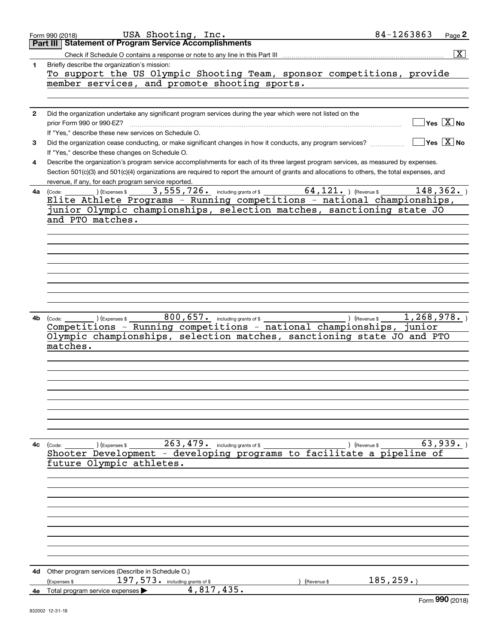| Part III<br>$\overline{\mathbf{X}}$<br>Briefly describe the organization's mission:<br>1<br>To support the US Olympic Shooting Team, sponsor competitions, provide<br>member services, and promote shooting sports.<br>Did the organization undertake any significant program services during the year which were not listed on the<br>$\mathbf{2}$<br>$Yes \ \boxed{X}$ No<br>prior Form 990 or 990-EZ?<br>If "Yes," describe these new services on Schedule O.<br>$Yes \ \overline{X}$ No<br>Did the organization cease conducting, or make significant changes in how it conducts, any program services?<br>3<br>If "Yes," describe these changes on Schedule O.<br>Describe the organization's program service accomplishments for each of its three largest program services, as measured by expenses.<br>4<br>Section 501(c)(3) and 501(c)(4) organizations are required to report the amount of grants and allocations to others, the total expenses, and<br>revenue, if any, for each program service reported.<br>$\frac{(\text{Code:})}{\text{Filter} \text{ Athletic} \text{ } \text{Arperases}}$ 3,555,726. Including grants of \$ 64,121. ) (Revenue \$ 148,362.<br>148, 362.<br>4a (Code:<br>junior Olympic championships, selection matches, sanctioning state JO<br>and PTO matches.<br>800, 657. including grants of \$<br>1, 268, 978.<br>4b<br>) (Expenses \$<br>) (Revenue \$<br>(Code:<br>Competitions - Running competitions - national championships,<br>junior<br>Olympic championships, selection matches, sanctioning state JO<br>and PTO<br>matches.<br>$263,479$ including grants of \$<br>63,939.<br>$(Ex)$ (Expenses \$<br>) (Revenue \$<br>$4c$ (Code:<br>Shooter Development - developing programs to facilitate a pipeline of<br>future Olympic athletes.<br>4d Other program services (Describe in Schedule O.)<br>185, 259.<br>$197,573$ $\cdot$ including grants of \$<br>(Expenses \$<br>(Revenue \$<br>4,817,435.<br>4e Total program service expenses<br><b>OOO</b> | USA Shooting, Inc.<br>Form 990 (2018)               | 84-1263863<br>Page 2 |
|------------------------------------------------------------------------------------------------------------------------------------------------------------------------------------------------------------------------------------------------------------------------------------------------------------------------------------------------------------------------------------------------------------------------------------------------------------------------------------------------------------------------------------------------------------------------------------------------------------------------------------------------------------------------------------------------------------------------------------------------------------------------------------------------------------------------------------------------------------------------------------------------------------------------------------------------------------------------------------------------------------------------------------------------------------------------------------------------------------------------------------------------------------------------------------------------------------------------------------------------------------------------------------------------------------------------------------------------------------------------------------------------------------------------------------------------------------------------------------------------------------------------------------------------------------------------------------------------------------------------------------------------------------------------------------------------------------------------------------------------------------------------------------------------------------------------------------------------------------------------------------------------------------------------------------------------------------------------------------------------------------|-----------------------------------------------------|----------------------|
|                                                                                                                                                                                                                                                                                                                                                                                                                                                                                                                                                                                                                                                                                                                                                                                                                                                                                                                                                                                                                                                                                                                                                                                                                                                                                                                                                                                                                                                                                                                                                                                                                                                                                                                                                                                                                                                                                                                                                                                                            | <b>Statement of Program Service Accomplishments</b> |                      |
|                                                                                                                                                                                                                                                                                                                                                                                                                                                                                                                                                                                                                                                                                                                                                                                                                                                                                                                                                                                                                                                                                                                                                                                                                                                                                                                                                                                                                                                                                                                                                                                                                                                                                                                                                                                                                                                                                                                                                                                                            |                                                     |                      |
|                                                                                                                                                                                                                                                                                                                                                                                                                                                                                                                                                                                                                                                                                                                                                                                                                                                                                                                                                                                                                                                                                                                                                                                                                                                                                                                                                                                                                                                                                                                                                                                                                                                                                                                                                                                                                                                                                                                                                                                                            |                                                     |                      |
|                                                                                                                                                                                                                                                                                                                                                                                                                                                                                                                                                                                                                                                                                                                                                                                                                                                                                                                                                                                                                                                                                                                                                                                                                                                                                                                                                                                                                                                                                                                                                                                                                                                                                                                                                                                                                                                                                                                                                                                                            |                                                     |                      |
|                                                                                                                                                                                                                                                                                                                                                                                                                                                                                                                                                                                                                                                                                                                                                                                                                                                                                                                                                                                                                                                                                                                                                                                                                                                                                                                                                                                                                                                                                                                                                                                                                                                                                                                                                                                                                                                                                                                                                                                                            |                                                     |                      |
|                                                                                                                                                                                                                                                                                                                                                                                                                                                                                                                                                                                                                                                                                                                                                                                                                                                                                                                                                                                                                                                                                                                                                                                                                                                                                                                                                                                                                                                                                                                                                                                                                                                                                                                                                                                                                                                                                                                                                                                                            |                                                     |                      |
|                                                                                                                                                                                                                                                                                                                                                                                                                                                                                                                                                                                                                                                                                                                                                                                                                                                                                                                                                                                                                                                                                                                                                                                                                                                                                                                                                                                                                                                                                                                                                                                                                                                                                                                                                                                                                                                                                                                                                                                                            |                                                     |                      |
|                                                                                                                                                                                                                                                                                                                                                                                                                                                                                                                                                                                                                                                                                                                                                                                                                                                                                                                                                                                                                                                                                                                                                                                                                                                                                                                                                                                                                                                                                                                                                                                                                                                                                                                                                                                                                                                                                                                                                                                                            |                                                     |                      |
|                                                                                                                                                                                                                                                                                                                                                                                                                                                                                                                                                                                                                                                                                                                                                                                                                                                                                                                                                                                                                                                                                                                                                                                                                                                                                                                                                                                                                                                                                                                                                                                                                                                                                                                                                                                                                                                                                                                                                                                                            |                                                     |                      |
|                                                                                                                                                                                                                                                                                                                                                                                                                                                                                                                                                                                                                                                                                                                                                                                                                                                                                                                                                                                                                                                                                                                                                                                                                                                                                                                                                                                                                                                                                                                                                                                                                                                                                                                                                                                                                                                                                                                                                                                                            |                                                     |                      |
|                                                                                                                                                                                                                                                                                                                                                                                                                                                                                                                                                                                                                                                                                                                                                                                                                                                                                                                                                                                                                                                                                                                                                                                                                                                                                                                                                                                                                                                                                                                                                                                                                                                                                                                                                                                                                                                                                                                                                                                                            |                                                     |                      |
|                                                                                                                                                                                                                                                                                                                                                                                                                                                                                                                                                                                                                                                                                                                                                                                                                                                                                                                                                                                                                                                                                                                                                                                                                                                                                                                                                                                                                                                                                                                                                                                                                                                                                                                                                                                                                                                                                                                                                                                                            |                                                     |                      |
|                                                                                                                                                                                                                                                                                                                                                                                                                                                                                                                                                                                                                                                                                                                                                                                                                                                                                                                                                                                                                                                                                                                                                                                                                                                                                                                                                                                                                                                                                                                                                                                                                                                                                                                                                                                                                                                                                                                                                                                                            |                                                     |                      |
|                                                                                                                                                                                                                                                                                                                                                                                                                                                                                                                                                                                                                                                                                                                                                                                                                                                                                                                                                                                                                                                                                                                                                                                                                                                                                                                                                                                                                                                                                                                                                                                                                                                                                                                                                                                                                                                                                                                                                                                                            |                                                     |                      |
|                                                                                                                                                                                                                                                                                                                                                                                                                                                                                                                                                                                                                                                                                                                                                                                                                                                                                                                                                                                                                                                                                                                                                                                                                                                                                                                                                                                                                                                                                                                                                                                                                                                                                                                                                                                                                                                                                                                                                                                                            |                                                     |                      |
|                                                                                                                                                                                                                                                                                                                                                                                                                                                                                                                                                                                                                                                                                                                                                                                                                                                                                                                                                                                                                                                                                                                                                                                                                                                                                                                                                                                                                                                                                                                                                                                                                                                                                                                                                                                                                                                                                                                                                                                                            |                                                     |                      |
|                                                                                                                                                                                                                                                                                                                                                                                                                                                                                                                                                                                                                                                                                                                                                                                                                                                                                                                                                                                                                                                                                                                                                                                                                                                                                                                                                                                                                                                                                                                                                                                                                                                                                                                                                                                                                                                                                                                                                                                                            |                                                     |                      |
|                                                                                                                                                                                                                                                                                                                                                                                                                                                                                                                                                                                                                                                                                                                                                                                                                                                                                                                                                                                                                                                                                                                                                                                                                                                                                                                                                                                                                                                                                                                                                                                                                                                                                                                                                                                                                                                                                                                                                                                                            |                                                     |                      |
|                                                                                                                                                                                                                                                                                                                                                                                                                                                                                                                                                                                                                                                                                                                                                                                                                                                                                                                                                                                                                                                                                                                                                                                                                                                                                                                                                                                                                                                                                                                                                                                                                                                                                                                                                                                                                                                                                                                                                                                                            |                                                     |                      |
|                                                                                                                                                                                                                                                                                                                                                                                                                                                                                                                                                                                                                                                                                                                                                                                                                                                                                                                                                                                                                                                                                                                                                                                                                                                                                                                                                                                                                                                                                                                                                                                                                                                                                                                                                                                                                                                                                                                                                                                                            |                                                     |                      |
|                                                                                                                                                                                                                                                                                                                                                                                                                                                                                                                                                                                                                                                                                                                                                                                                                                                                                                                                                                                                                                                                                                                                                                                                                                                                                                                                                                                                                                                                                                                                                                                                                                                                                                                                                                                                                                                                                                                                                                                                            |                                                     |                      |
|                                                                                                                                                                                                                                                                                                                                                                                                                                                                                                                                                                                                                                                                                                                                                                                                                                                                                                                                                                                                                                                                                                                                                                                                                                                                                                                                                                                                                                                                                                                                                                                                                                                                                                                                                                                                                                                                                                                                                                                                            |                                                     |                      |
|                                                                                                                                                                                                                                                                                                                                                                                                                                                                                                                                                                                                                                                                                                                                                                                                                                                                                                                                                                                                                                                                                                                                                                                                                                                                                                                                                                                                                                                                                                                                                                                                                                                                                                                                                                                                                                                                                                                                                                                                            |                                                     |                      |
|                                                                                                                                                                                                                                                                                                                                                                                                                                                                                                                                                                                                                                                                                                                                                                                                                                                                                                                                                                                                                                                                                                                                                                                                                                                                                                                                                                                                                                                                                                                                                                                                                                                                                                                                                                                                                                                                                                                                                                                                            |                                                     |                      |
|                                                                                                                                                                                                                                                                                                                                                                                                                                                                                                                                                                                                                                                                                                                                                                                                                                                                                                                                                                                                                                                                                                                                                                                                                                                                                                                                                                                                                                                                                                                                                                                                                                                                                                                                                                                                                                                                                                                                                                                                            |                                                     |                      |
|                                                                                                                                                                                                                                                                                                                                                                                                                                                                                                                                                                                                                                                                                                                                                                                                                                                                                                                                                                                                                                                                                                                                                                                                                                                                                                                                                                                                                                                                                                                                                                                                                                                                                                                                                                                                                                                                                                                                                                                                            |                                                     |                      |
|                                                                                                                                                                                                                                                                                                                                                                                                                                                                                                                                                                                                                                                                                                                                                                                                                                                                                                                                                                                                                                                                                                                                                                                                                                                                                                                                                                                                                                                                                                                                                                                                                                                                                                                                                                                                                                                                                                                                                                                                            |                                                     |                      |
|                                                                                                                                                                                                                                                                                                                                                                                                                                                                                                                                                                                                                                                                                                                                                                                                                                                                                                                                                                                                                                                                                                                                                                                                                                                                                                                                                                                                                                                                                                                                                                                                                                                                                                                                                                                                                                                                                                                                                                                                            |                                                     |                      |
|                                                                                                                                                                                                                                                                                                                                                                                                                                                                                                                                                                                                                                                                                                                                                                                                                                                                                                                                                                                                                                                                                                                                                                                                                                                                                                                                                                                                                                                                                                                                                                                                                                                                                                                                                                                                                                                                                                                                                                                                            |                                                     |                      |
|                                                                                                                                                                                                                                                                                                                                                                                                                                                                                                                                                                                                                                                                                                                                                                                                                                                                                                                                                                                                                                                                                                                                                                                                                                                                                                                                                                                                                                                                                                                                                                                                                                                                                                                                                                                                                                                                                                                                                                                                            |                                                     |                      |
|                                                                                                                                                                                                                                                                                                                                                                                                                                                                                                                                                                                                                                                                                                                                                                                                                                                                                                                                                                                                                                                                                                                                                                                                                                                                                                                                                                                                                                                                                                                                                                                                                                                                                                                                                                                                                                                                                                                                                                                                            |                                                     |                      |
|                                                                                                                                                                                                                                                                                                                                                                                                                                                                                                                                                                                                                                                                                                                                                                                                                                                                                                                                                                                                                                                                                                                                                                                                                                                                                                                                                                                                                                                                                                                                                                                                                                                                                                                                                                                                                                                                                                                                                                                                            |                                                     |                      |
|                                                                                                                                                                                                                                                                                                                                                                                                                                                                                                                                                                                                                                                                                                                                                                                                                                                                                                                                                                                                                                                                                                                                                                                                                                                                                                                                                                                                                                                                                                                                                                                                                                                                                                                                                                                                                                                                                                                                                                                                            |                                                     |                      |
|                                                                                                                                                                                                                                                                                                                                                                                                                                                                                                                                                                                                                                                                                                                                                                                                                                                                                                                                                                                                                                                                                                                                                                                                                                                                                                                                                                                                                                                                                                                                                                                                                                                                                                                                                                                                                                                                                                                                                                                                            |                                                     |                      |
|                                                                                                                                                                                                                                                                                                                                                                                                                                                                                                                                                                                                                                                                                                                                                                                                                                                                                                                                                                                                                                                                                                                                                                                                                                                                                                                                                                                                                                                                                                                                                                                                                                                                                                                                                                                                                                                                                                                                                                                                            |                                                     |                      |
|                                                                                                                                                                                                                                                                                                                                                                                                                                                                                                                                                                                                                                                                                                                                                                                                                                                                                                                                                                                                                                                                                                                                                                                                                                                                                                                                                                                                                                                                                                                                                                                                                                                                                                                                                                                                                                                                                                                                                                                                            |                                                     |                      |
|                                                                                                                                                                                                                                                                                                                                                                                                                                                                                                                                                                                                                                                                                                                                                                                                                                                                                                                                                                                                                                                                                                                                                                                                                                                                                                                                                                                                                                                                                                                                                                                                                                                                                                                                                                                                                                                                                                                                                                                                            |                                                     |                      |
|                                                                                                                                                                                                                                                                                                                                                                                                                                                                                                                                                                                                                                                                                                                                                                                                                                                                                                                                                                                                                                                                                                                                                                                                                                                                                                                                                                                                                                                                                                                                                                                                                                                                                                                                                                                                                                                                                                                                                                                                            |                                                     |                      |
|                                                                                                                                                                                                                                                                                                                                                                                                                                                                                                                                                                                                                                                                                                                                                                                                                                                                                                                                                                                                                                                                                                                                                                                                                                                                                                                                                                                                                                                                                                                                                                                                                                                                                                                                                                                                                                                                                                                                                                                                            |                                                     |                      |
|                                                                                                                                                                                                                                                                                                                                                                                                                                                                                                                                                                                                                                                                                                                                                                                                                                                                                                                                                                                                                                                                                                                                                                                                                                                                                                                                                                                                                                                                                                                                                                                                                                                                                                                                                                                                                                                                                                                                                                                                            |                                                     |                      |
|                                                                                                                                                                                                                                                                                                                                                                                                                                                                                                                                                                                                                                                                                                                                                                                                                                                                                                                                                                                                                                                                                                                                                                                                                                                                                                                                                                                                                                                                                                                                                                                                                                                                                                                                                                                                                                                                                                                                                                                                            |                                                     |                      |
|                                                                                                                                                                                                                                                                                                                                                                                                                                                                                                                                                                                                                                                                                                                                                                                                                                                                                                                                                                                                                                                                                                                                                                                                                                                                                                                                                                                                                                                                                                                                                                                                                                                                                                                                                                                                                                                                                                                                                                                                            |                                                     |                      |
|                                                                                                                                                                                                                                                                                                                                                                                                                                                                                                                                                                                                                                                                                                                                                                                                                                                                                                                                                                                                                                                                                                                                                                                                                                                                                                                                                                                                                                                                                                                                                                                                                                                                                                                                                                                                                                                                                                                                                                                                            |                                                     |                      |
|                                                                                                                                                                                                                                                                                                                                                                                                                                                                                                                                                                                                                                                                                                                                                                                                                                                                                                                                                                                                                                                                                                                                                                                                                                                                                                                                                                                                                                                                                                                                                                                                                                                                                                                                                                                                                                                                                                                                                                                                            |                                                     |                      |
|                                                                                                                                                                                                                                                                                                                                                                                                                                                                                                                                                                                                                                                                                                                                                                                                                                                                                                                                                                                                                                                                                                                                                                                                                                                                                                                                                                                                                                                                                                                                                                                                                                                                                                                                                                                                                                                                                                                                                                                                            |                                                     |                      |
|                                                                                                                                                                                                                                                                                                                                                                                                                                                                                                                                                                                                                                                                                                                                                                                                                                                                                                                                                                                                                                                                                                                                                                                                                                                                                                                                                                                                                                                                                                                                                                                                                                                                                                                                                                                                                                                                                                                                                                                                            |                                                     |                      |
|                                                                                                                                                                                                                                                                                                                                                                                                                                                                                                                                                                                                                                                                                                                                                                                                                                                                                                                                                                                                                                                                                                                                                                                                                                                                                                                                                                                                                                                                                                                                                                                                                                                                                                                                                                                                                                                                                                                                                                                                            |                                                     |                      |
|                                                                                                                                                                                                                                                                                                                                                                                                                                                                                                                                                                                                                                                                                                                                                                                                                                                                                                                                                                                                                                                                                                                                                                                                                                                                                                                                                                                                                                                                                                                                                                                                                                                                                                                                                                                                                                                                                                                                                                                                            |                                                     |                      |
|                                                                                                                                                                                                                                                                                                                                                                                                                                                                                                                                                                                                                                                                                                                                                                                                                                                                                                                                                                                                                                                                                                                                                                                                                                                                                                                                                                                                                                                                                                                                                                                                                                                                                                                                                                                                                                                                                                                                                                                                            |                                                     |                      |
|                                                                                                                                                                                                                                                                                                                                                                                                                                                                                                                                                                                                                                                                                                                                                                                                                                                                                                                                                                                                                                                                                                                                                                                                                                                                                                                                                                                                                                                                                                                                                                                                                                                                                                                                                                                                                                                                                                                                                                                                            |                                                     |                      |
|                                                                                                                                                                                                                                                                                                                                                                                                                                                                                                                                                                                                                                                                                                                                                                                                                                                                                                                                                                                                                                                                                                                                                                                                                                                                                                                                                                                                                                                                                                                                                                                                                                                                                                                                                                                                                                                                                                                                                                                                            |                                                     |                      |
|                                                                                                                                                                                                                                                                                                                                                                                                                                                                                                                                                                                                                                                                                                                                                                                                                                                                                                                                                                                                                                                                                                                                                                                                                                                                                                                                                                                                                                                                                                                                                                                                                                                                                                                                                                                                                                                                                                                                                                                                            |                                                     |                      |
|                                                                                                                                                                                                                                                                                                                                                                                                                                                                                                                                                                                                                                                                                                                                                                                                                                                                                                                                                                                                                                                                                                                                                                                                                                                                                                                                                                                                                                                                                                                                                                                                                                                                                                                                                                                                                                                                                                                                                                                                            |                                                     |                      |
|                                                                                                                                                                                                                                                                                                                                                                                                                                                                                                                                                                                                                                                                                                                                                                                                                                                                                                                                                                                                                                                                                                                                                                                                                                                                                                                                                                                                                                                                                                                                                                                                                                                                                                                                                                                                                                                                                                                                                                                                            |                                                     |                      |
|                                                                                                                                                                                                                                                                                                                                                                                                                                                                                                                                                                                                                                                                                                                                                                                                                                                                                                                                                                                                                                                                                                                                                                                                                                                                                                                                                                                                                                                                                                                                                                                                                                                                                                                                                                                                                                                                                                                                                                                                            |                                                     |                      |
|                                                                                                                                                                                                                                                                                                                                                                                                                                                                                                                                                                                                                                                                                                                                                                                                                                                                                                                                                                                                                                                                                                                                                                                                                                                                                                                                                                                                                                                                                                                                                                                                                                                                                                                                                                                                                                                                                                                                                                                                            |                                                     |                      |
|                                                                                                                                                                                                                                                                                                                                                                                                                                                                                                                                                                                                                                                                                                                                                                                                                                                                                                                                                                                                                                                                                                                                                                                                                                                                                                                                                                                                                                                                                                                                                                                                                                                                                                                                                                                                                                                                                                                                                                                                            |                                                     |                      |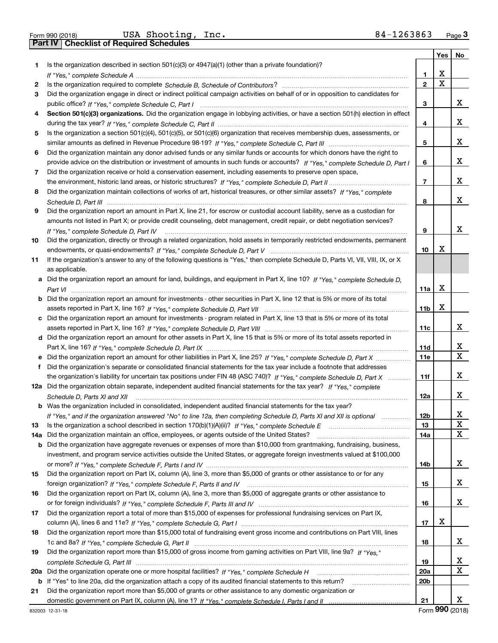Form 990 (2018) USA Shooting,Inc**.** 84-1263863 <sub>Page</sub> 3<br>Part IV | Checklist of Required Schedules

|     |                                                                                                                                      |                 | Yes         | No          |
|-----|--------------------------------------------------------------------------------------------------------------------------------------|-----------------|-------------|-------------|
| 1   | Is the organization described in section $501(c)(3)$ or $4947(a)(1)$ (other than a private foundation)?                              |                 |             |             |
|     |                                                                                                                                      | 1               | х           |             |
| 2   |                                                                                                                                      | $\mathbf{2}$    | $\mathbf X$ |             |
| 3   | Did the organization engage in direct or indirect political campaign activities on behalf of or in opposition to candidates for      |                 |             |             |
|     |                                                                                                                                      | 3               |             | x           |
| 4   | Section 501(c)(3) organizations. Did the organization engage in lobbying activities, or have a section 501(h) election in effect     |                 |             |             |
|     |                                                                                                                                      | 4               |             | х           |
| 5   | Is the organization a section 501(c)(4), 501(c)(5), or 501(c)(6) organization that receives membership dues, assessments, or         |                 |             |             |
|     |                                                                                                                                      | 5               |             | х           |
| 6   | Did the organization maintain any donor advised funds or any similar funds or accounts for which donors have the right to            |                 |             |             |
|     | provide advice on the distribution or investment of amounts in such funds or accounts? If "Yes," complete Schedule D, Part I         | 6               |             | х           |
| 7   | Did the organization receive or hold a conservation easement, including easements to preserve open space,                            |                 |             |             |
|     |                                                                                                                                      | 7               |             | х           |
|     | Did the organization maintain collections of works of art, historical treasures, or other similar assets? If "Yes," complete         |                 |             |             |
| 8   |                                                                                                                                      |                 |             | х           |
|     |                                                                                                                                      | 8               |             |             |
| 9   | Did the organization report an amount in Part X, line 21, for escrow or custodial account liability, serve as a custodian for        |                 |             |             |
|     | amounts not listed in Part X; or provide credit counseling, debt management, credit repair, or debt negotiation services?            |                 |             |             |
|     |                                                                                                                                      | 9               |             | x           |
| 10  | Did the organization, directly or through a related organization, hold assets in temporarily restricted endowments, permanent        |                 |             |             |
|     |                                                                                                                                      | 10              | x           |             |
| 11  | If the organization's answer to any of the following questions is "Yes," then complete Schedule D, Parts VI, VII, VIII, IX, or X     |                 |             |             |
|     | as applicable.                                                                                                                       |                 |             |             |
|     | a Did the organization report an amount for land, buildings, and equipment in Part X, line 10? If "Yes," complete Schedule D,        |                 |             |             |
|     |                                                                                                                                      | 11a             | X           |             |
|     | <b>b</b> Did the organization report an amount for investments - other securities in Part X, line 12 that is 5% or more of its total |                 |             |             |
|     |                                                                                                                                      | 11b             | х           |             |
|     | c Did the organization report an amount for investments - program related in Part X, line 13 that is 5% or more of its total         |                 |             |             |
|     |                                                                                                                                      | 11c             |             | х           |
|     | d Did the organization report an amount for other assets in Part X, line 15 that is 5% or more of its total assets reported in       |                 |             |             |
|     |                                                                                                                                      | 11d             |             | х           |
|     |                                                                                                                                      | 11e             |             | $\mathbf X$ |
| f   | Did the organization's separate or consolidated financial statements for the tax year include a footnote that addresses              |                 |             |             |
|     | the organization's liability for uncertain tax positions under FIN 48 (ASC 740)? If "Yes," complete Schedule D, Part X               | 11f             |             | х           |
|     | 12a Did the organization obtain separate, independent audited financial statements for the tax year? If "Yes," complete              |                 |             |             |
|     | Schedule D, Parts XI and XII                                                                                                         | 12a             |             | х           |
|     | <b>b</b> Was the organization included in consolidated, independent audited financial statements for the tax year?                   |                 |             |             |
|     | If "Yes," and if the organization answered "No" to line 12a, then completing Schedule D, Parts XI and XII is optional                | 12 <sub>b</sub> |             | Χ           |
| 13  |                                                                                                                                      | 13              |             | X           |
|     | Did the organization maintain an office, employees, or agents outside of the United States?                                          | 14a             |             | X           |
| 14a | <b>b</b> Did the organization have aggregate revenues or expenses of more than \$10,000 from grantmaking, fundraising, business,     |                 |             |             |
|     | investment, and program service activities outside the United States, or aggregate foreign investments valued at \$100,000           |                 |             |             |
|     |                                                                                                                                      | 14b             |             | x           |
|     | Did the organization report on Part IX, column (A), line 3, more than \$5,000 of grants or other assistance to or for any            |                 |             |             |
| 15  |                                                                                                                                      |                 |             | x           |
|     |                                                                                                                                      | 15              |             |             |
| 16  | Did the organization report on Part IX, column (A), line 3, more than \$5,000 of aggregate grants or other assistance to             |                 |             |             |
|     |                                                                                                                                      | 16              |             | x           |
| 17  | Did the organization report a total of more than \$15,000 of expenses for professional fundraising services on Part IX,              |                 |             |             |
|     |                                                                                                                                      | 17              | X           |             |
| 18  | Did the organization report more than \$15,000 total of fundraising event gross income and contributions on Part VIII, lines         |                 |             |             |
|     |                                                                                                                                      | 18              |             | x           |
| 19  | Did the organization report more than \$15,000 of gross income from gaming activities on Part VIII, line 9a? If "Yes."               |                 |             |             |
|     |                                                                                                                                      | 19              |             | х           |
| 20a |                                                                                                                                      | <b>20a</b>      |             | X           |
| b   | If "Yes" to line 20a, did the organization attach a copy of its audited financial statements to this return?                         | 20 <sub>b</sub> |             |             |
| 21  | Did the organization report more than \$5,000 of grants or other assistance to any domestic organization or                          |                 |             |             |
|     |                                                                                                                                      | 21              |             | X           |

Form (2018) **990**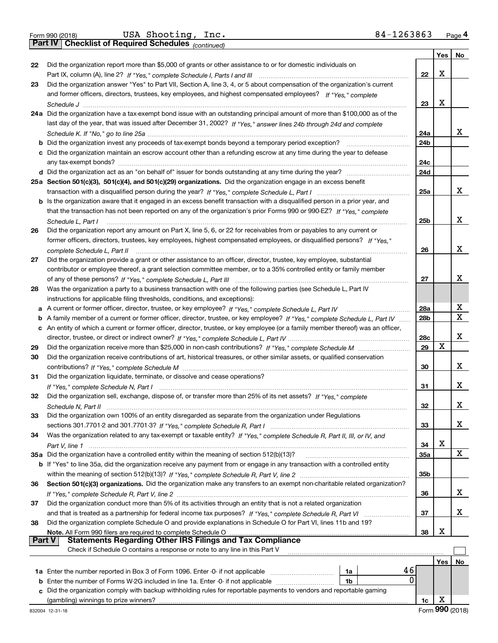*(continued)*

|               |                                                                                                                                   |                 | Yes | No |
|---------------|-----------------------------------------------------------------------------------------------------------------------------------|-----------------|-----|----|
| 22            | Did the organization report more than \$5,000 of grants or other assistance to or for domestic individuals on                     |                 |     |    |
|               |                                                                                                                                   | 22              | X   |    |
| 23            | Did the organization answer "Yes" to Part VII, Section A, line 3, 4, or 5 about compensation of the organization's current        |                 |     |    |
|               | and former officers, directors, trustees, key employees, and highest compensated employees? If "Yes," complete                    |                 |     |    |
|               |                                                                                                                                   | 23              | X   |    |
|               | 24a Did the organization have a tax-exempt bond issue with an outstanding principal amount of more than \$100,000 as of the       |                 |     |    |
|               | last day of the year, that was issued after December 31, 2002? If "Yes," answer lines 24b through 24d and complete                |                 |     |    |
|               |                                                                                                                                   | 24a             |     | x  |
|               |                                                                                                                                   | 24 <sub>b</sub> |     |    |
|               | c Did the organization maintain an escrow account other than a refunding escrow at any time during the year to defease            |                 |     |    |
|               |                                                                                                                                   | 24c             |     |    |
|               |                                                                                                                                   | 24d             |     |    |
|               | 25a Section 501(c)(3), 501(c)(4), and 501(c)(29) organizations. Did the organization engage in an excess benefit                  |                 |     |    |
|               |                                                                                                                                   | 25a             |     | x  |
|               | b Is the organization aware that it engaged in an excess benefit transaction with a disqualified person in a prior year, and      |                 |     |    |
|               | that the transaction has not been reported on any of the organization's prior Forms 990 or 990-EZ? If "Yes," complete             |                 |     |    |
|               | Schedule L. Part I                                                                                                                | 25b             |     | x  |
| 26            | Did the organization report any amount on Part X, line 5, 6, or 22 for receivables from or payables to any current or             |                 |     |    |
|               | former officers, directors, trustees, key employees, highest compensated employees, or disqualified persons? If "Yes."            |                 |     |    |
|               | complete Schedule L. Part II                                                                                                      | 26              |     | x  |
| 27            | Did the organization provide a grant or other assistance to an officer, director, trustee, key employee, substantial              |                 |     |    |
|               | contributor or employee thereof, a grant selection committee member, or to a 35% controlled entity or family member               |                 |     |    |
|               |                                                                                                                                   | 27              |     | x  |
| 28            | Was the organization a party to a business transaction with one of the following parties (see Schedule L, Part IV                 |                 |     |    |
|               | instructions for applicable filing thresholds, conditions, and exceptions):                                                       |                 |     |    |
| а             |                                                                                                                                   | 28a             |     | X  |
| b             | A family member of a current or former officer, director, trustee, or key employee? If "Yes," complete Schedule L, Part IV        | 28 <sub>b</sub> |     | X  |
| c             | An entity of which a current or former officer, director, trustee, or key employee (or a family member thereof) was an officer,   |                 |     |    |
|               |                                                                                                                                   | 28c             |     | х  |
| 29            |                                                                                                                                   | 29              | X   |    |
| 30            | Did the organization receive contributions of art, historical treasures, or other similar assets, or qualified conservation       |                 |     |    |
|               |                                                                                                                                   | 30              |     | x  |
| 31            | Did the organization liquidate, terminate, or dissolve and cease operations?                                                      |                 |     |    |
|               |                                                                                                                                   | 31              |     | x  |
| 32            | Did the organization sell, exchange, dispose of, or transfer more than 25% of its net assets? If "Yes," complete                  |                 |     |    |
|               |                                                                                                                                   | 32              |     | х  |
| 33            | Did the organization own 100% of an entity disregarded as separate from the organization under Regulations                        |                 |     |    |
|               |                                                                                                                                   | 33              |     | x  |
| 34            | Was the organization related to any tax-exempt or taxable entity? If "Yes," complete Schedule R, Part II, III, or IV, and         |                 |     |    |
|               |                                                                                                                                   | 34              | х   |    |
|               | 35a Did the organization have a controlled entity within the meaning of section 512(b)(13)?                                       | 35a             |     | X  |
|               | b If "Yes" to line 35a, did the organization receive any payment from or engage in any transaction with a controlled entity       |                 |     |    |
|               |                                                                                                                                   | 35b             |     |    |
| 36            | Section 501(c)(3) organizations. Did the organization make any transfers to an exempt non-charitable related organization?        |                 |     |    |
|               |                                                                                                                                   | 36              |     | x  |
| 37            | Did the organization conduct more than 5% of its activities through an entity that is not a related organization                  |                 |     | x  |
|               |                                                                                                                                   | 37              |     |    |
| 38            | Did the organization complete Schedule O and provide explanations in Schedule O for Part VI, lines 11b and 19?                    | 38              | х   |    |
| <b>Part V</b> | Note. All Form 990 filers are required to complete Schedule O<br><b>Statements Regarding Other IRS Filings and Tax Compliance</b> |                 |     |    |
|               | Check if Schedule O contains a response or note to any line in this Part V                                                        |                 |     |    |
|               |                                                                                                                                   |                 | Yes | No |
|               | 46<br>1a                                                                                                                          |                 |     |    |
| b             | 0<br>Enter the number of Forms W-2G included in line 1a. Enter -0- if not applicable<br>1b                                        |                 |     |    |
| c             | Did the organization comply with backup withholding rules for reportable payments to vendors and reportable gaming                |                 |     |    |
|               |                                                                                                                                   | 1c              | X   |    |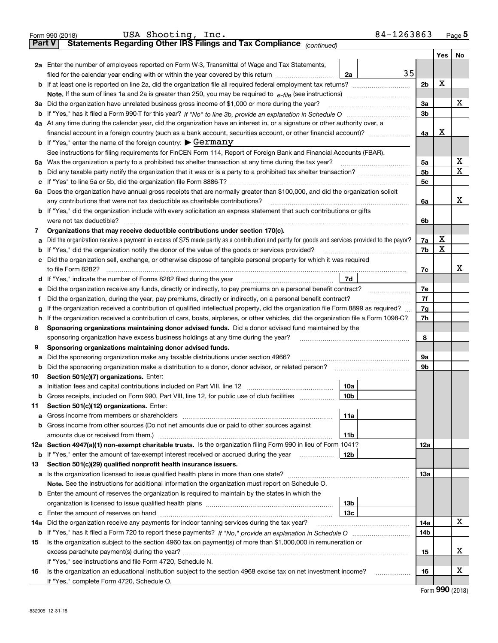|               | 84-1263863<br>USA Shooting, Inc.<br>Form 990 (2018)                                                                                                                                                                                        |                |     | Page $5$ |  |  |  |  |  |
|---------------|--------------------------------------------------------------------------------------------------------------------------------------------------------------------------------------------------------------------------------------------|----------------|-----|----------|--|--|--|--|--|
| <b>Part V</b> | Statements Regarding Other IRS Filings and Tax Compliance (continued)                                                                                                                                                                      |                |     |          |  |  |  |  |  |
|               |                                                                                                                                                                                                                                            |                | Yes | No       |  |  |  |  |  |
|               | 2a Enter the number of employees reported on Form W-3, Transmittal of Wage and Tax Statements,                                                                                                                                             |                |     |          |  |  |  |  |  |
|               | 35<br>filed for the calendar year ending with or within the year covered by this return [11] [11] filed for the calendar year ending with or within the year covered by this return<br>2a                                                  |                |     |          |  |  |  |  |  |
|               |                                                                                                                                                                                                                                            | 2 <sub>b</sub> | х   |          |  |  |  |  |  |
|               | Note. If the sum of lines 1a and 2a is greater than 250, you may be required to $e$ -file (see instructions) <i></i>                                                                                                                       | 3a             |     | x        |  |  |  |  |  |
|               | 3a Did the organization have unrelated business gross income of \$1,000 or more during the year?                                                                                                                                           |                |     |          |  |  |  |  |  |
|               |                                                                                                                                                                                                                                            |                |     |          |  |  |  |  |  |
|               | 4a At any time during the calendar year, did the organization have an interest in, or a signature or other authority over, a                                                                                                               |                |     |          |  |  |  |  |  |
|               |                                                                                                                                                                                                                                            | 4a             | х   |          |  |  |  |  |  |
|               | <b>b</b> If "Yes," enter the name of the foreign country: $\blacktriangleright$ Germany                                                                                                                                                    |                |     |          |  |  |  |  |  |
|               | See instructions for filing requirements for FinCEN Form 114, Report of Foreign Bank and Financial Accounts (FBAR).                                                                                                                        |                |     |          |  |  |  |  |  |
| 5a            | Was the organization a party to a prohibited tax shelter transaction at any time during the tax year?                                                                                                                                      | 5a             |     | х        |  |  |  |  |  |
| b             |                                                                                                                                                                                                                                            | 5 <sub>b</sub> |     | x        |  |  |  |  |  |
| c             |                                                                                                                                                                                                                                            | 5с             |     |          |  |  |  |  |  |
|               | 6a Does the organization have annual gross receipts that are normally greater than \$100,000, and did the organization solicit                                                                                                             |                |     |          |  |  |  |  |  |
|               | any contributions that were not tax deductible as charitable contributions?                                                                                                                                                                | 6a             |     | х        |  |  |  |  |  |
|               | b If "Yes," did the organization include with every solicitation an express statement that such contributions or gifts                                                                                                                     |                |     |          |  |  |  |  |  |
|               | were not tax deductible?                                                                                                                                                                                                                   | 6b             |     |          |  |  |  |  |  |
| 7             | Organizations that may receive deductible contributions under section 170(c).                                                                                                                                                              |                | х   |          |  |  |  |  |  |
| а             | Did the organization receive a payment in excess of \$75 made partly as a contribution and partly for goods and services provided to the payor?                                                                                            | 7a             | х   |          |  |  |  |  |  |
| b             | If "Yes," did the organization notify the donor of the value of the goods or services provided?                                                                                                                                            | 7b             |     |          |  |  |  |  |  |
| c             | Did the organization sell, exchange, or otherwise dispose of tangible personal property for which it was required                                                                                                                          |                |     | x        |  |  |  |  |  |
|               | to file Form 8282?                                                                                                                                                                                                                         | 7c             |     |          |  |  |  |  |  |
|               | d If "Yes," indicate the number of Forms 8282 filed during the year<br>7d                                                                                                                                                                  |                |     |          |  |  |  |  |  |
| е             | Did the organization receive any funds, directly or indirectly, to pay premiums on a personal benefit contract?                                                                                                                            | 7е<br>7f       |     |          |  |  |  |  |  |
| f             | Did the organization, during the year, pay premiums, directly or indirectly, on a personal benefit contract?                                                                                                                               | 7g             |     |          |  |  |  |  |  |
| a             | If the organization received a contribution of qualified intellectual property, did the organization file Form 8899 as required?                                                                                                           | 7h             |     |          |  |  |  |  |  |
| h.<br>8       | If the organization received a contribution of cars, boats, airplanes, or other vehicles, did the organization file a Form 1098-C?<br>Sponsoring organizations maintaining donor advised funds. Did a donor advised fund maintained by the |                |     |          |  |  |  |  |  |
|               | sponsoring organization have excess business holdings at any time during the year?                                                                                                                                                         | 8              |     |          |  |  |  |  |  |
| 9             | Sponsoring organizations maintaining donor advised funds.                                                                                                                                                                                  |                |     |          |  |  |  |  |  |
| а             | Did the sponsoring organization make any taxable distributions under section 4966?                                                                                                                                                         | 9а             |     |          |  |  |  |  |  |
| b             | Did the sponsoring organization make a distribution to a donor, donor advisor, or related person?                                                                                                                                          | 9b             |     |          |  |  |  |  |  |
| 10            | Section 501(c)(7) organizations. Enter:                                                                                                                                                                                                    |                |     |          |  |  |  |  |  |
|               | 10a<br>a Initiation fees and capital contributions included on Part VIII, line 12                                                                                                                                                          |                |     |          |  |  |  |  |  |
|               | 10 <sub>b</sub><br><b>b</b> Gross receipts, included on Form 990, Part VIII, line 12, for public use of club facilities                                                                                                                    |                |     |          |  |  |  |  |  |
| 11            | Section 501(c)(12) organizations. Enter:                                                                                                                                                                                                   |                |     |          |  |  |  |  |  |
| а             | 11a                                                                                                                                                                                                                                        |                |     |          |  |  |  |  |  |
| b             | Gross income from other sources (Do not net amounts due or paid to other sources against                                                                                                                                                   |                |     |          |  |  |  |  |  |
|               | 11b                                                                                                                                                                                                                                        |                |     |          |  |  |  |  |  |
|               | 12a Section 4947(a)(1) non-exempt charitable trusts. Is the organization filing Form 990 in lieu of Form 1041?                                                                                                                             | 12a            |     |          |  |  |  |  |  |
|               | <b>b</b> If "Yes," enter the amount of tax-exempt interest received or accrued during the year<br>12b                                                                                                                                      |                |     |          |  |  |  |  |  |
| 13            | Section 501(c)(29) qualified nonprofit health insurance issuers.                                                                                                                                                                           |                |     |          |  |  |  |  |  |
|               | a Is the organization licensed to issue qualified health plans in more than one state?                                                                                                                                                     | <b>13a</b>     |     |          |  |  |  |  |  |
|               | Note. See the instructions for additional information the organization must report on Schedule O.                                                                                                                                          |                |     |          |  |  |  |  |  |
| b             | Enter the amount of reserves the organization is required to maintain by the states in which the                                                                                                                                           |                |     |          |  |  |  |  |  |
|               | 13b                                                                                                                                                                                                                                        |                |     |          |  |  |  |  |  |
|               | 13с                                                                                                                                                                                                                                        |                |     |          |  |  |  |  |  |
|               | <b>14a</b> Did the organization receive any payments for indoor tanning services during the tax year?                                                                                                                                      | 14a            |     | x        |  |  |  |  |  |
|               |                                                                                                                                                                                                                                            | 14b            |     |          |  |  |  |  |  |
| 15            | Is the organization subject to the section 4960 tax on payment(s) of more than \$1,000,000 in remuneration or                                                                                                                              |                |     |          |  |  |  |  |  |
|               |                                                                                                                                                                                                                                            | 15             |     | х        |  |  |  |  |  |
|               | If "Yes," see instructions and file Form 4720, Schedule N.                                                                                                                                                                                 |                |     |          |  |  |  |  |  |
| 16            | Is the organization an educational institution subject to the section 4968 excise tax on net investment income?<br>.                                                                                                                       | 16             |     | х        |  |  |  |  |  |
|               | If "Yes," complete Form 4720, Schedule O.                                                                                                                                                                                                  |                |     |          |  |  |  |  |  |

Form (2018) **990**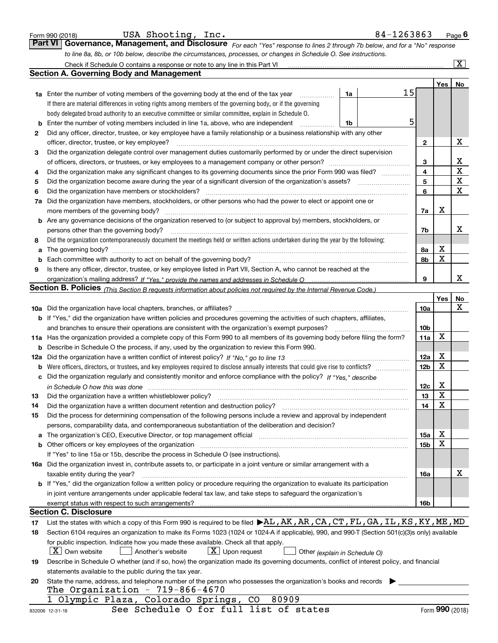|        | USA Shooting, Inc.<br>Form 990 (2018)                                                                                                                                                                                          | 84-1263863 |                 |                | $Page$ 6                |
|--------|--------------------------------------------------------------------------------------------------------------------------------------------------------------------------------------------------------------------------------|------------|-----------------|----------------|-------------------------|
|        | Governance, Management, and Disclosure For each "Yes" response to lines 2 through 7b below, and for a "No" response<br><b>Part VI</b>                                                                                          |            |                 |                |                         |
|        | to line 8a, 8b, or 10b below, describe the circumstances, processes, or changes in Schedule O. See instructions.                                                                                                               |            |                 |                |                         |
|        |                                                                                                                                                                                                                                |            |                 |                | $\overline{\mathbf{X}}$ |
|        | <b>Section A. Governing Body and Management</b>                                                                                                                                                                                |            |                 |                |                         |
|        |                                                                                                                                                                                                                                |            |                 | Yes            | No                      |
|        | 1a<br><b>1a</b> Enter the number of voting members of the governing body at the end of the tax year <i>manumum</i>                                                                                                             | 15         |                 |                |                         |
|        | If there are material differences in voting rights among members of the governing body, or if the governing                                                                                                                    |            |                 |                |                         |
|        | body delegated broad authority to an executive committee or similar committee, explain in Schedule O.                                                                                                                          |            |                 |                |                         |
| b      | Enter the number of voting members included in line 1a, above, who are independent<br>1b                                                                                                                                       | 5          |                 |                |                         |
| 2      | Did any officer, director, trustee, or key employee have a family relationship or a business relationship with any other                                                                                                       |            |                 |                |                         |
|        | officer, director, trustee, or key employee?                                                                                                                                                                                   |            | 2               |                | x                       |
| 3      | Did the organization delegate control over management duties customarily performed by or under the direct supervision                                                                                                          |            |                 |                | х                       |
|        |                                                                                                                                                                                                                                |            | 3               |                | $\mathbf X$             |
| 4      | Did the organization make any significant changes to its governing documents since the prior Form 990 was filed?                                                                                                               |            | 4<br>5          |                | X                       |
| 5<br>6 | Did the organization have members or stockholders?                                                                                                                                                                             |            | 6               |                | X                       |
|        | 7a Did the organization have members, stockholders, or other persons who had the power to elect or appoint one or                                                                                                              |            |                 |                |                         |
|        | more members of the governing body?                                                                                                                                                                                            |            | 7a              | х              |                         |
|        | b Are any governance decisions of the organization reserved to (or subject to approval by) members, stockholders, or                                                                                                           |            |                 |                |                         |
|        | persons other than the governing body?                                                                                                                                                                                         |            | 7b              |                | x                       |
| 8      | Did the organization contemporaneously document the meetings held or written actions undertaken during the year by the following:                                                                                              |            |                 |                |                         |
|        |                                                                                                                                                                                                                                |            | 8a              | х              |                         |
| b      | Each committee with authority to act on behalf of the governing body?                                                                                                                                                          |            | 8b              | X              |                         |
| 9      | Is there any officer, director, trustee, or key employee listed in Part VII, Section A, who cannot be reached at the                                                                                                           |            |                 |                |                         |
|        |                                                                                                                                                                                                                                |            | 9               |                | x                       |
|        | Section B. Policies (This Section B requests information about policies not required by the Internal Revenue Code.)                                                                                                            |            |                 |                |                         |
|        |                                                                                                                                                                                                                                |            |                 | Yes            | No                      |
|        |                                                                                                                                                                                                                                |            | 10a             |                | х                       |
|        | b If "Yes," did the organization have written policies and procedures governing the activities of such chapters, affiliates,                                                                                                   |            |                 |                |                         |
|        | and branches to ensure their operations are consistent with the organization's exempt purposes?                                                                                                                                |            | 10 <sub>b</sub> |                |                         |
|        | 11a Has the organization provided a complete copy of this Form 990 to all members of its governing body before filing the form?                                                                                                |            | 11a             | X              |                         |
|        | <b>b</b> Describe in Schedule O the process, if any, used by the organization to review this Form 990.                                                                                                                         |            |                 |                |                         |
|        | 12a Did the organization have a written conflict of interest policy? If "No," go to line 13                                                                                                                                    |            | 12a             | х              |                         |
|        |                                                                                                                                                                                                                                |            | 12 <sub>b</sub> | X              |                         |
|        | c Did the organization regularly and consistently monitor and enforce compliance with the policy? If "Yes," describe                                                                                                           |            |                 |                |                         |
|        | in Schedule O how this was done manufactured and continuum control of the Schedule O how this was done manufactured and continuum control of the Schedule O how this was done                                                  |            | 12c             | х<br><b>TF</b> |                         |
| 13     | Did the organization have a written whistleblower policy?                                                                                                                                                                      |            | 13              | Y              |                         |
| 14     | Did the organization have a written document retention and destruction policy?                                                                                                                                                 |            | 14              | х              |                         |
| 15     | Did the process for determining compensation of the following persons include a review and approval by independent                                                                                                             |            |                 |                |                         |
|        | persons, comparability data, and contemporaneous substantiation of the deliberation and decision?                                                                                                                              |            | <b>15a</b>      | х              |                         |
|        | b Other officers or key employees of the organization manufactured content to the organization manufactured by Other officers or key employees of the organization manufactured content of the organization manufactured by Ot |            | 15b             | X              |                         |
|        | If "Yes" to line 15a or 15b, describe the process in Schedule O (see instructions).                                                                                                                                            |            |                 |                |                         |
|        | 16a Did the organization invest in, contribute assets to, or participate in a joint venture or similar arrangement with a                                                                                                      |            |                 |                |                         |
|        | taxable entity during the year?                                                                                                                                                                                                |            | 16a             |                | x                       |
|        | b If "Yes," did the organization follow a written policy or procedure requiring the organization to evaluate its participation                                                                                                 |            |                 |                |                         |
|        | in joint venture arrangements under applicable federal tax law, and take steps to safeguard the organization's                                                                                                                 |            |                 |                |                         |
|        |                                                                                                                                                                                                                                |            | 16b             |                |                         |
|        | <b>Section C. Disclosure</b>                                                                                                                                                                                                   |            |                 |                |                         |
| 17     | List the states with which a copy of this Form 990 is required to be filed $\blacktriangleright$ AL, AK, AR, CA, CT, FL, GA, IL, KS, KY, ME, MD                                                                                |            |                 |                |                         |
| 18     | Section 6104 requires an organization to make its Forms 1023 (1024 or 1024 A if applicable), 990, and 990-T (Section 501(c)(3)s only) available                                                                                |            |                 |                |                         |
|        | for public inspection. Indicate how you made these available. Check all that apply.                                                                                                                                            |            |                 |                |                         |
|        | X   Own website<br>$X$ Upon request<br>Another's website<br>Other (explain in Schedule O)                                                                                                                                      |            |                 |                |                         |
| 19     | Describe in Schedule O whether (and if so, how) the organization made its governing documents, conflict of interest policy, and financial                                                                                      |            |                 |                |                         |
|        | statements available to the public during the tax year.                                                                                                                                                                        |            |                 |                |                         |
| 20     | State the name, address, and telephone number of the person who possesses the organization's books and records                                                                                                                 |            |                 |                |                         |
|        | The Organization - 719-866-4670                                                                                                                                                                                                |            |                 |                |                         |
|        | 80909<br>Olympic Plaza, Colorado Springs,<br>CO                                                                                                                                                                                |            |                 |                |                         |
|        | See Schedule O for full list of states<br>832006 12-31-18                                                                                                                                                                      |            |                 |                | Form 990 (2018)         |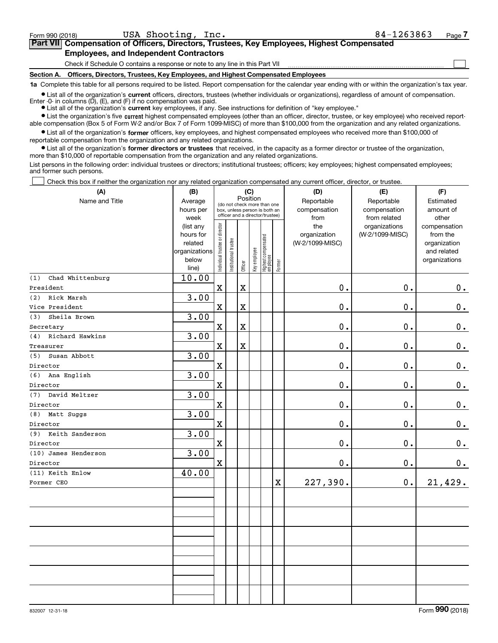$\mathcal{L}^{\text{max}}$ 

| Form 990 (2018) |                                               | USA Shooting, Inc. | 84-1263863                                                                                 | Page 7 |
|-----------------|-----------------------------------------------|--------------------|--------------------------------------------------------------------------------------------|--------|
|                 |                                               |                    | Part VII Compensation of Officers, Directors, Trustees, Key Employees, Highest Compensated |        |
|                 | <b>Employees, and Independent Contractors</b> |                    |                                                                                            |        |

Check if Schedule O contains a response or note to any line in this Part VII

**Section A. Officers, Directors, Trustees, Key Employees, and Highest Compensated Employees**

**1a**  Complete this table for all persons required to be listed. Report compensation for the calendar year ending with or within the organization's tax year.

**•** List all of the organization's current officers, directors, trustees (whether individuals or organizations), regardless of amount of compensation. Enter -0- in columns  $(D)$ ,  $(E)$ , and  $(F)$  if no compensation was paid.

● List all of the organization's **current** key employees, if any. See instructions for definition of "key employee."

**•** List the organization's five current highest compensated employees (other than an officer, director, trustee, or key employee) who received reportable compensation (Box 5 of Form W-2 and/or Box 7 of Form 1099-MISC) of more than \$100,000 from the organization and any related organizations.

 $\bullet$  List all of the organization's **former** officers, key employees, and highest compensated employees who received more than \$100,000 of reportable compensation from the organization and any related organizations.

**•** List all of the organization's former directors or trustees that received, in the capacity as a former director or trustee of the organization, more than \$10,000 of reportable compensation from the organization and any related organizations.

List persons in the following order: individual trustees or directors; institutional trustees; officers; key employees; highest compensated employees; and former such persons.

Check this box if neither the organization nor any related organization compensated any current officer, director, or trustee.  $\mathcal{L}^{\text{max}}$ 

| (A)                     | (B)                                                                  |                                |                       |             | (C)          |                                                                                                 |        | (D)                                    | (E)                                        | (F)                                                                      |
|-------------------------|----------------------------------------------------------------------|--------------------------------|-----------------------|-------------|--------------|-------------------------------------------------------------------------------------------------|--------|----------------------------------------|--------------------------------------------|--------------------------------------------------------------------------|
| Name and Title          | Average<br>hours per<br>week                                         |                                |                       | Position    |              | (do not check more than one<br>box, unless person is both an<br>officer and a director/trustee) |        | Reportable<br>compensation<br>from     | Reportable<br>compensation<br>from related | Estimated<br>amount of<br>other                                          |
|                         | (list any<br>hours for<br>related<br>organizations<br>below<br>line) | Individual trustee or director | Institutional trustee | Officer     | Key employee | Highest compensated<br>  employee                                                               | Former | the<br>organization<br>(W-2/1099-MISC) | organizations<br>(W-2/1099-MISC)           | compensation<br>from the<br>organization<br>and related<br>organizations |
| Chad Whittenburg<br>(1) | 10.00                                                                |                                |                       |             |              |                                                                                                 |        |                                        |                                            |                                                                          |
| President               |                                                                      | $\mathbf X$                    |                       | $\mathbf X$ |              |                                                                                                 |        | 0.                                     | $\mathbf 0$ .                              | 0.                                                                       |
| (2) Rick Marsh          | 3.00                                                                 |                                |                       |             |              |                                                                                                 |        |                                        |                                            |                                                                          |
| Vice President          |                                                                      | $\mathbf X$                    |                       | $\mathbf X$ |              |                                                                                                 |        | 0.                                     | $\mathbf 0$ .                              | $\mathbf 0$ .                                                            |
| Sheila Brown<br>(3)     | 3.00                                                                 |                                |                       |             |              |                                                                                                 |        |                                        |                                            |                                                                          |
| Secretary               |                                                                      | $\mathbf X$                    |                       | $\mathbf X$ |              |                                                                                                 |        | 0.                                     | $\mathbf 0$ .                              | $\mathbf 0$ .                                                            |
| (4) Richard Hawkins     | 3.00                                                                 |                                |                       |             |              |                                                                                                 |        |                                        |                                            |                                                                          |
| Treasurer               |                                                                      | $\mathbf X$                    |                       | $\mathbf X$ |              |                                                                                                 |        | 0.                                     | 0.                                         | $\mathbf 0$ .                                                            |
| Susan Abbott<br>(5)     | 3.00                                                                 |                                |                       |             |              |                                                                                                 |        |                                        |                                            |                                                                          |
| Director                |                                                                      | $\mathbf X$                    |                       |             |              |                                                                                                 |        | $0$ .                                  | 0.                                         | $0_{\cdot}$                                                              |
| (6) Ana English         | 3.00                                                                 |                                |                       |             |              |                                                                                                 |        |                                        |                                            |                                                                          |
| Director                |                                                                      | $\mathbf x$                    |                       |             |              |                                                                                                 |        | 0.                                     | 0.                                         | $\mathbf 0$ .                                                            |
| (7) David Meltzer       | 3.00                                                                 |                                |                       |             |              |                                                                                                 |        |                                        |                                            |                                                                          |
| Director                |                                                                      | $\mathbf X$                    |                       |             |              |                                                                                                 |        | 0.                                     | 0.                                         | $\mathbf 0$ .                                                            |
| Matt Suggs<br>(8)       | 3.00                                                                 |                                |                       |             |              |                                                                                                 |        |                                        |                                            |                                                                          |
| Director                |                                                                      | $\mathbf X$                    |                       |             |              |                                                                                                 |        | $\mathbf 0$ .                          | 0.                                         | $\mathbf 0$ .                                                            |
| (9) Keith Sanderson     | 3.00                                                                 |                                |                       |             |              |                                                                                                 |        |                                        |                                            |                                                                          |
| Director                |                                                                      | $\mathbf X$                    |                       |             |              |                                                                                                 |        | 0.                                     | 0.                                         | $\mathbf 0$ .                                                            |
| (10) James Henderson    | 3.00                                                                 |                                |                       |             |              |                                                                                                 |        |                                        |                                            |                                                                          |
| Director                |                                                                      | $\mathbf X$                    |                       |             |              |                                                                                                 |        | $0$ .                                  | $\mathbf 0$ .                              | 0.                                                                       |
| (11) Keith Enlow        | 40.00                                                                |                                |                       |             |              |                                                                                                 |        |                                        |                                            |                                                                          |
| Former CEO              |                                                                      |                                |                       |             |              |                                                                                                 | X      | 227,390.                               | 0.                                         | 21,429.                                                                  |
|                         |                                                                      |                                |                       |             |              |                                                                                                 |        |                                        |                                            |                                                                          |
|                         |                                                                      |                                |                       |             |              |                                                                                                 |        |                                        |                                            |                                                                          |
|                         |                                                                      |                                |                       |             |              |                                                                                                 |        |                                        |                                            |                                                                          |
|                         |                                                                      |                                |                       |             |              |                                                                                                 |        |                                        |                                            |                                                                          |
|                         |                                                                      |                                |                       |             |              |                                                                                                 |        |                                        |                                            |                                                                          |
|                         |                                                                      |                                |                       |             |              |                                                                                                 |        |                                        |                                            |                                                                          |
|                         |                                                                      |                                |                       |             |              |                                                                                                 |        |                                        |                                            |                                                                          |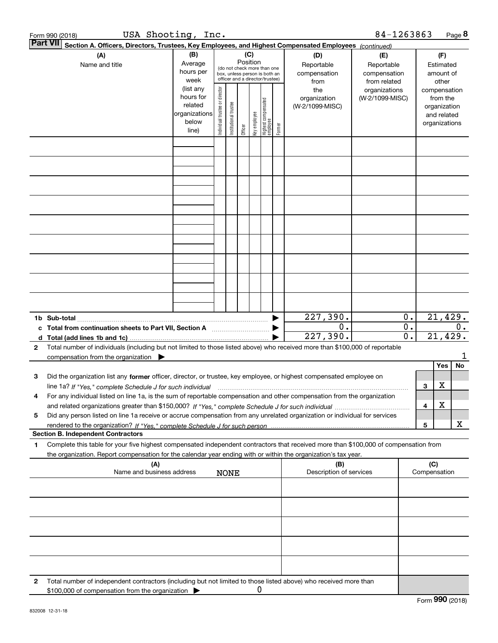| 84-1263863<br>USA Shooting, Inc.<br>Form 990 (2018)                                                                       |                                                                                                                                                                                                                                 |                                                                      |                                |                       |         |              |                                 |        |                                        |                                                   |                        | Page 8 |                                                                          |       |
|---------------------------------------------------------------------------------------------------------------------------|---------------------------------------------------------------------------------------------------------------------------------------------------------------------------------------------------------------------------------|----------------------------------------------------------------------|--------------------------------|-----------------------|---------|--------------|---------------------------------|--------|----------------------------------------|---------------------------------------------------|------------------------|--------|--------------------------------------------------------------------------|-------|
| <b>Part VII</b><br>Section A. Officers, Directors, Trustees, Key Employees, and Highest Compensated Employees (continued) |                                                                                                                                                                                                                                 |                                                                      |                                |                       |         |              |                                 |        |                                        |                                                   |                        |        |                                                                          |       |
|                                                                                                                           | (C)<br>(B)<br>(A)<br>(D)<br>Position<br>Average<br>Reportable<br>Name and title<br>(do not check more than one<br>hours per<br>compensation<br>box, unless person is both an<br>officer and a director/trustee)<br>week<br>from |                                                                      |                                |                       |         |              |                                 |        |                                        | (E)<br>Reportable<br>compensation<br>from related |                        |        | (F)<br>Estimated<br>amount of<br>other                                   |       |
|                                                                                                                           |                                                                                                                                                                                                                                 | (list any<br>hours for<br>related<br>organizations<br>below<br>line) |                                |                       |         | key employee | Highest compensated<br>employee | Former | the<br>organization<br>(W-2/1099-MISC) | organizations<br>(W-2/1099-MISC)                  |                        |        | compensation<br>from the<br>organization<br>and related<br>organizations |       |
|                                                                                                                           |                                                                                                                                                                                                                                 |                                                                      | Individual trustee or director | Institutional trustee | Officer |              |                                 |        |                                        |                                                   |                        |        |                                                                          |       |
|                                                                                                                           |                                                                                                                                                                                                                                 |                                                                      |                                |                       |         |              |                                 |        |                                        |                                                   |                        |        |                                                                          |       |
|                                                                                                                           |                                                                                                                                                                                                                                 |                                                                      |                                |                       |         |              |                                 |        |                                        |                                                   |                        |        |                                                                          |       |
|                                                                                                                           |                                                                                                                                                                                                                                 |                                                                      |                                |                       |         |              |                                 |        |                                        |                                                   |                        |        |                                                                          |       |
|                                                                                                                           |                                                                                                                                                                                                                                 |                                                                      |                                |                       |         |              |                                 |        |                                        |                                                   |                        |        |                                                                          |       |
|                                                                                                                           |                                                                                                                                                                                                                                 |                                                                      |                                |                       |         |              |                                 |        |                                        |                                                   |                        |        |                                                                          |       |
|                                                                                                                           |                                                                                                                                                                                                                                 |                                                                      |                                |                       |         |              |                                 |        |                                        |                                                   |                        |        |                                                                          |       |
|                                                                                                                           |                                                                                                                                                                                                                                 |                                                                      |                                |                       |         |              |                                 |        |                                        |                                                   |                        |        |                                                                          |       |
|                                                                                                                           |                                                                                                                                                                                                                                 |                                                                      |                                |                       |         |              |                                 |        | 227,390.                               |                                                   | 0.                     |        | 21,429.                                                                  |       |
| c<br>d                                                                                                                    | Total from continuation sheets to Part VII, Section A                                                                                                                                                                           |                                                                      |                                |                       |         |              |                                 |        | 0.<br>227,390.                         |                                                   | 0.<br>$\overline{0}$ . |        | 21,429.                                                                  | $0$ . |
| 2                                                                                                                         | Total number of individuals (including but not limited to those listed above) who received more than \$100,000 of reportable<br>compensation from the organization $\blacktriangleright$                                        |                                                                      |                                |                       |         |              |                                 |        |                                        |                                                   |                        |        |                                                                          | 1     |
|                                                                                                                           |                                                                                                                                                                                                                                 |                                                                      |                                |                       |         |              |                                 |        |                                        |                                                   |                        |        | Yes                                                                      | No    |
| з                                                                                                                         | Did the organization list any former officer, director, or trustee, key employee, or highest compensated employee on                                                                                                            |                                                                      |                                |                       |         |              |                                 |        |                                        |                                                   |                        |        |                                                                          |       |
|                                                                                                                           | line 1a? If "Yes," complete Schedule J for such individual manufactured contained and the Ves," complete Schedule J for such individual                                                                                         |                                                                      |                                |                       |         |              |                                 |        |                                        |                                                   |                        | 3      | х                                                                        |       |
| 4                                                                                                                         | For any individual listed on line 1a, is the sum of reportable compensation and other compensation from the organization                                                                                                        |                                                                      |                                |                       |         |              |                                 |        |                                        |                                                   |                        | 4      | х                                                                        |       |
| 5                                                                                                                         | Did any person listed on line 1a receive or accrue compensation from any unrelated organization or individual for services                                                                                                      |                                                                      |                                |                       |         |              |                                 |        |                                        |                                                   |                        |        |                                                                          |       |
|                                                                                                                           |                                                                                                                                                                                                                                 |                                                                      |                                |                       |         |              |                                 |        |                                        |                                                   |                        | 5      |                                                                          | x     |
| 1                                                                                                                         | <b>Section B. Independent Contractors</b><br>Complete this table for your five highest compensated independent contractors that received more than \$100,000 of compensation from                                               |                                                                      |                                |                       |         |              |                                 |        |                                        |                                                   |                        |        |                                                                          |       |
|                                                                                                                           | the organization. Report compensation for the calendar year ending with or within the organization's tax year.<br>(A)                                                                                                           |                                                                      |                                |                       |         |              |                                 |        | (B)                                    |                                                   |                        | (C)    | Compensation                                                             |       |
| Description of services<br>Name and business address<br><b>NONE</b>                                                       |                                                                                                                                                                                                                                 |                                                                      |                                |                       |         |              |                                 |        |                                        |                                                   |                        |        |                                                                          |       |
|                                                                                                                           |                                                                                                                                                                                                                                 |                                                                      |                                |                       |         |              |                                 |        |                                        |                                                   |                        |        |                                                                          |       |
|                                                                                                                           |                                                                                                                                                                                                                                 |                                                                      |                                |                       |         |              |                                 |        |                                        |                                                   |                        |        |                                                                          |       |
|                                                                                                                           |                                                                                                                                                                                                                                 |                                                                      |                                |                       |         |              |                                 |        |                                        |                                                   |                        |        |                                                                          |       |
|                                                                                                                           |                                                                                                                                                                                                                                 |                                                                      |                                |                       |         |              |                                 |        |                                        |                                                   |                        |        |                                                                          |       |
| 2                                                                                                                         | Total number of independent contractors (including but not limited to those listed above) who received more than<br>\$100,000 of compensation from the organization                                                             |                                                                      |                                |                       |         | 0            |                                 |        |                                        |                                                   |                        |        |                                                                          |       |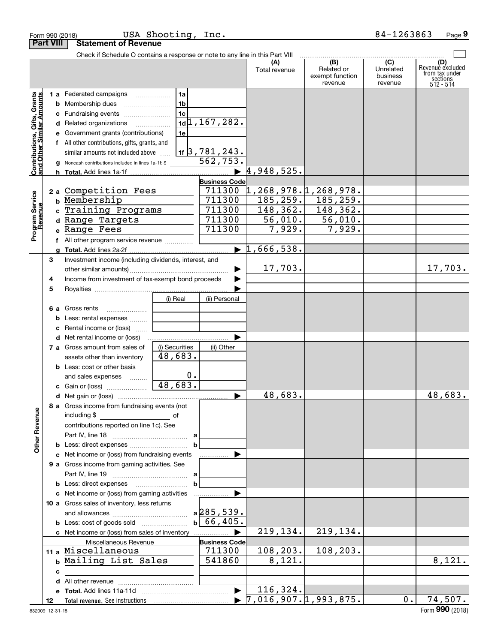|                                                           | <b>Part VIII</b> | <b>Statement of Revenue</b>                                                   |                |                               |                      |                                                 |                                         |                                                                    |
|-----------------------------------------------------------|------------------|-------------------------------------------------------------------------------|----------------|-------------------------------|----------------------|-------------------------------------------------|-----------------------------------------|--------------------------------------------------------------------|
|                                                           |                  | Check if Schedule O contains a response or note to any line in this Part VIII |                |                               |                      |                                                 |                                         |                                                                    |
|                                                           |                  |                                                                               |                |                               | (A)<br>Total revenue | (B)<br>Related or<br>exempt function<br>revenue | (C)<br>Unrelated<br>business<br>revenue | (D)<br>Revenue excluded<br>from tax under<br>sections<br>512 - 514 |
|                                                           |                  | <b>1 a</b> Federated campaigns                                                | 1a             |                               |                      |                                                 |                                         |                                                                    |
|                                                           |                  | <b>b</b> Membership dues                                                      | 1 <sub>b</sub> |                               |                      |                                                 |                                         |                                                                    |
|                                                           |                  | c Fundraising events                                                          | 1c             |                               |                      |                                                 |                                         |                                                                    |
|                                                           |                  | d Related organizations                                                       |                | $1d$ <sub>1</sub> , 167, 282. |                      |                                                 |                                         |                                                                    |
|                                                           |                  | e Government grants (contributions)                                           | 1e             |                               |                      |                                                 |                                         |                                                                    |
|                                                           |                  | f All other contributions, gifts, grants, and                                 |                |                               |                      |                                                 |                                         |                                                                    |
|                                                           |                  | similar amounts not included above                                            |                | <u>1f 3 , 781 , 243 .</u>     |                      |                                                 |                                         |                                                                    |
| Contributions, Gifts, Grants<br>and Other Similar Amounts |                  | Noncash contributions included in lines 1a-1f: \$                             |                | 562, 753.                     |                      |                                                 |                                         |                                                                    |
|                                                           |                  |                                                                               |                |                               | 4,948,525.           |                                                 |                                         |                                                                    |
|                                                           |                  |                                                                               |                | <b>Business Code</b>          |                      |                                                 |                                         |                                                                    |
|                                                           |                  | 2 a Competition Fees                                                          |                | 711300                        |                      | ,268,978.1,268,978.                             |                                         |                                                                    |
|                                                           |                  | b Membership                                                                  |                | 711300                        |                      | $\overline{185, 259.}$ 185, 259.                |                                         |                                                                    |
|                                                           |                  | c Training Programs                                                           |                | 711300                        |                      | $148, 362.$ 148, 362.                           |                                         |                                                                    |
|                                                           |                  | d Range Targets                                                               |                | 711300                        | 56,010.              | 56,010.                                         |                                         |                                                                    |
| Program Service<br>Revenue                                |                  | e Range Fees                                                                  |                | 711300                        | 7,929.               | 7,929.                                          |                                         |                                                                    |
|                                                           |                  |                                                                               |                |                               |                      |                                                 |                                         |                                                                    |
|                                                           |                  |                                                                               |                | $\blacktriangleright$         | 1,666,538.           |                                                 |                                         |                                                                    |
|                                                           | 3                | Investment income (including dividends, interest, and                         |                |                               |                      |                                                 |                                         |                                                                    |
|                                                           |                  |                                                                               |                |                               | 17,703.              |                                                 |                                         | 17,703.                                                            |
|                                                           | 4                | Income from investment of tax-exempt bond proceeds                            |                |                               |                      |                                                 |                                         |                                                                    |
|                                                           | 5                |                                                                               |                |                               |                      |                                                 |                                         |                                                                    |
|                                                           |                  |                                                                               | (i) Real       | (ii) Personal                 |                      |                                                 |                                         |                                                                    |
|                                                           |                  | 6 a Gross rents<br><b>b</b> Less: rental expenses                             |                |                               |                      |                                                 |                                         |                                                                    |
|                                                           |                  | c Rental income or (loss)                                                     |                |                               |                      |                                                 |                                         |                                                                    |
|                                                           |                  | <b>d</b> Net rental income or (loss)                                          |                |                               |                      |                                                 |                                         |                                                                    |
|                                                           |                  | 7 a Gross amount from sales of                                                | (i) Securities | (ii) Other                    |                      |                                                 |                                         |                                                                    |
|                                                           |                  | assets other than inventory                                                   | 48,683.        |                               |                      |                                                 |                                         |                                                                    |
|                                                           |                  | <b>b</b> Less: cost or other basis                                            |                |                               |                      |                                                 |                                         |                                                                    |
|                                                           |                  | and sales expenses                                                            | 0.             |                               |                      |                                                 |                                         |                                                                    |
|                                                           |                  | c Gain or (loss)                                                              | 48,683.        |                               |                      |                                                 |                                         |                                                                    |
|                                                           |                  |                                                                               |                | ▶                             | 48,683.              |                                                 |                                         | 48,683.                                                            |
| <b>Other Revenue</b>                                      |                  | 8 a Gross income from fundraising events (not<br>including \$                 |                |                               |                      |                                                 |                                         |                                                                    |
|                                                           |                  | contributions reported on line 1c). See                                       |                |                               |                      |                                                 |                                         |                                                                    |
|                                                           |                  |                                                                               |                |                               |                      |                                                 |                                         |                                                                    |
|                                                           |                  |                                                                               | b              |                               |                      |                                                 |                                         |                                                                    |
|                                                           |                  | c Net income or (loss) from fundraising events                                |                |                               |                      |                                                 |                                         |                                                                    |
|                                                           |                  | 9 a Gross income from gaming activities. See                                  |                |                               |                      |                                                 |                                         |                                                                    |
|                                                           |                  |                                                                               |                |                               |                      |                                                 |                                         |                                                                    |
|                                                           |                  |                                                                               | bl             |                               |                      |                                                 |                                         |                                                                    |
|                                                           |                  | c Net income or (loss) from gaming activities                                 |                |                               |                      |                                                 |                                         |                                                                    |
|                                                           |                  | 10 a Gross sales of inventory, less returns                                   |                |                               |                      |                                                 |                                         |                                                                    |
|                                                           |                  |                                                                               |                | $a$ 285, 539.                 |                      |                                                 |                                         |                                                                    |
|                                                           |                  |                                                                               |                | b  66, 405.                   |                      |                                                 |                                         |                                                                    |
|                                                           |                  |                                                                               |                |                               | 219, 134.            | 219,134.                                        |                                         |                                                                    |
|                                                           |                  | Miscellaneous Revenue                                                         |                | <b>Business Code</b>          |                      |                                                 |                                         |                                                                    |
|                                                           |                  | 11 a Miscellaneous                                                            |                | 711300                        | 108, 203.            | 108, 203.                                       |                                         |                                                                    |
|                                                           |                  | b Mailing List Sales                                                          |                | 541860                        | $\overline{8,121}$ . |                                                 |                                         | 8,121.                                                             |
|                                                           | с                |                                                                               |                |                               |                      |                                                 |                                         |                                                                    |
|                                                           |                  |                                                                               |                |                               |                      |                                                 |                                         |                                                                    |
|                                                           |                  |                                                                               |                |                               | 116, 324.            |                                                 | 0.                                      | 74,507.                                                            |
|                                                           | 12               |                                                                               |                |                               |                      |                                                 |                                         |                                                                    |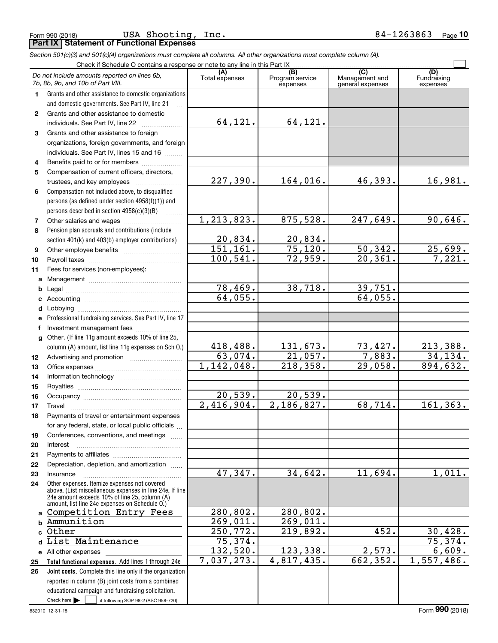Form 990 (2018) Page **Part IX Statement of Functional Expenses** USA Shooting, Inc. 84-1263863

|              | Section 501(c)(3) and 501(c)(4) organizations must complete all columns. All other organizations must complete column (A).                                                                                  |                          |                                    |                                    |                         |
|--------------|-------------------------------------------------------------------------------------------------------------------------------------------------------------------------------------------------------------|--------------------------|------------------------------------|------------------------------------|-------------------------|
|              | Check if Schedule O contains a response or note to any line in this Part IX                                                                                                                                 | (A)                      |                                    | (C)                                | (D)                     |
|              | Do not include amounts reported on lines 6b,<br>7b, 8b, 9b, and 10b of Part VIII.                                                                                                                           | Total expenses           | (B)<br>Program service<br>expenses | Management and<br>general expenses | Fundraising<br>expenses |
| 1.           | Grants and other assistance to domestic organizations                                                                                                                                                       |                          |                                    |                                    |                         |
|              | and domestic governments. See Part IV, line 21                                                                                                                                                              |                          |                                    |                                    |                         |
| $\mathbf{2}$ | Grants and other assistance to domestic                                                                                                                                                                     |                          |                                    |                                    |                         |
|              | individuals. See Part IV, line 22                                                                                                                                                                           | 64,121.                  | 64,121.                            |                                    |                         |
| 3            | Grants and other assistance to foreign                                                                                                                                                                      |                          |                                    |                                    |                         |
|              | organizations, foreign governments, and foreign                                                                                                                                                             |                          |                                    |                                    |                         |
|              | individuals. See Part IV, lines 15 and 16                                                                                                                                                                   |                          |                                    |                                    |                         |
| 4            | Benefits paid to or for members                                                                                                                                                                             |                          |                                    |                                    |                         |
| 5            | Compensation of current officers, directors,                                                                                                                                                                |                          |                                    |                                    |                         |
|              | trustees, and key employees                                                                                                                                                                                 | 227,390.                 | 164,016.                           | 46,393.                            | 16,981.                 |
| 6            | Compensation not included above, to disqualified                                                                                                                                                            |                          |                                    |                                    |                         |
|              | persons (as defined under section 4958(f)(1)) and                                                                                                                                                           |                          |                                    |                                    |                         |
|              | persons described in section 4958(c)(3)(B)<br><b>Barbara</b>                                                                                                                                                |                          |                                    |                                    |                         |
| 7            |                                                                                                                                                                                                             | 1,213,823.               | 875,528.                           | 247,649.                           | 90,646.                 |
| 8            | Pension plan accruals and contributions (include                                                                                                                                                            |                          |                                    |                                    |                         |
|              | section 401(k) and 403(b) employer contributions)                                                                                                                                                           | 20,834.                  | 20,834.                            |                                    |                         |
| 9            |                                                                                                                                                                                                             | 151, 161.                | 75,120.                            | 50,342.                            | $\frac{25,699}{7,221}$  |
| 10           |                                                                                                                                                                                                             | 100, 541.                | 72,959.                            | 20, 361.                           |                         |
| 11           | Fees for services (non-employees):                                                                                                                                                                          |                          |                                    |                                    |                         |
| a            |                                                                                                                                                                                                             |                          |                                    |                                    |                         |
| b            |                                                                                                                                                                                                             | 78,469.                  | 38,718.                            | 39,751.                            |                         |
| c            |                                                                                                                                                                                                             | 64,055.                  |                                    | 64,055.                            |                         |
| d            |                                                                                                                                                                                                             |                          |                                    |                                    |                         |
| е            | Professional fundraising services. See Part IV, line 17                                                                                                                                                     |                          |                                    |                                    |                         |
| f            | Investment management fees                                                                                                                                                                                  |                          |                                    |                                    |                         |
| g            | Other. (If line 11g amount exceeds 10% of line 25,                                                                                                                                                          |                          |                                    |                                    |                         |
|              | column (A) amount, list line 11g expenses on Sch O.)                                                                                                                                                        | 418,488.                 | <u>131,673.</u>                    | $\frac{73,427}{7,883}$             | <u>213,388.</u>         |
| 12           |                                                                                                                                                                                                             | 63,074.                  | 21,057.                            |                                    | 34,134.                 |
| 13           |                                                                                                                                                                                                             | 1,142,048.               | 218,358.                           | 29,058.                            | 894,632.                |
| 14           |                                                                                                                                                                                                             |                          |                                    |                                    |                         |
| 15           |                                                                                                                                                                                                             |                          |                                    |                                    |                         |
| 16           |                                                                                                                                                                                                             | 20,539.                  | 20,539.                            |                                    |                         |
| 17           | Travel                                                                                                                                                                                                      | $\overline{2,416,904}$ . | 2,186,827.                         | 68,714.                            | 161, 363.               |
| 18           | Payments of travel or entertainment expenses                                                                                                                                                                |                          |                                    |                                    |                         |
|              | for any federal, state, or local public officials                                                                                                                                                           |                          |                                    |                                    |                         |
| 19           | Conferences, conventions, and meetings                                                                                                                                                                      |                          |                                    |                                    |                         |
| 20           | Interest                                                                                                                                                                                                    |                          |                                    |                                    |                         |
| 21           |                                                                                                                                                                                                             |                          |                                    |                                    |                         |
| 22           | Depreciation, depletion, and amortization                                                                                                                                                                   |                          |                                    |                                    |                         |
| 23           | Insurance                                                                                                                                                                                                   | 47,347.                  | 34,642.                            | 11,694.                            | 1,011.                  |
| 24           | Other expenses. Itemize expenses not covered<br>above. (List miscellaneous expenses in line 24e. If line<br>24e amount exceeds 10% of line 25, column (A)<br>amount, list line 24e expenses on Schedule O.) |                          |                                    |                                    |                         |
| a            | Competition Entry Fees                                                                                                                                                                                      | 280,802.                 | 280,802.                           |                                    |                         |
| b            | Ammunition                                                                                                                                                                                                  | 269,011.                 | 269,011.                           |                                    |                         |
|              | Other                                                                                                                                                                                                       | 250,772.                 | 219,892.                           | 452.                               | 30,428.                 |
|              | List Maintenance                                                                                                                                                                                            | 75,374.                  |                                    |                                    | 75,374.                 |
|              | e All other expenses                                                                                                                                                                                        | 132,520.                 | 123,338.                           | 2,573.                             | 6,609.                  |
| 25           | Total functional expenses. Add lines 1 through 24e                                                                                                                                                          | 7,037,273.               | 4,817,435.                         | 662,352.                           | 1,557,486.              |
| 26           | <b>Joint costs.</b> Complete this line only if the organization                                                                                                                                             |                          |                                    |                                    |                         |
|              | reported in column (B) joint costs from a combined                                                                                                                                                          |                          |                                    |                                    |                         |
|              | educational campaign and fundraising solicitation.                                                                                                                                                          |                          |                                    |                                    |                         |

Check here

Check here  $\begin{array}{|c|c|c|c|c|}\hline \text{ } & \text{ if following SOP 98-2 (ASC 958-720)} \hline \end{array}$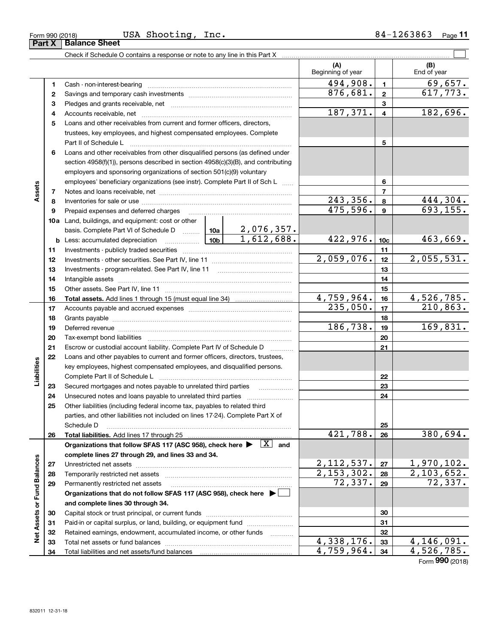| USA<br>Shooting<br>Inc.<br>Form 990 (2018) | .263863<br>84– | Page |
|--------------------------------------------|----------------|------|
|--------------------------------------------|----------------|------|

|                             |    |                                                                                                                                                                                                                                | (A)<br>Beginning of year |                         | (B)<br>End of year        |
|-----------------------------|----|--------------------------------------------------------------------------------------------------------------------------------------------------------------------------------------------------------------------------------|--------------------------|-------------------------|---------------------------|
|                             | 1  |                                                                                                                                                                                                                                | 494,908.                 | $\mathbf{1}$            | 69,657.                   |
|                             | 2  |                                                                                                                                                                                                                                | 876,681.                 | $\mathbf{2}$            | 617,773.                  |
|                             | з  |                                                                                                                                                                                                                                |                          | 3                       |                           |
|                             | 4  |                                                                                                                                                                                                                                | 187,371.                 | $\overline{\mathbf{4}}$ | 182,696.                  |
|                             | 5  | Loans and other receivables from current and former officers, directors,                                                                                                                                                       |                          |                         |                           |
|                             |    | trustees, key employees, and highest compensated employees. Complete                                                                                                                                                           |                          |                         |                           |
|                             |    | Part II of Schedule L                                                                                                                                                                                                          |                          | 5                       |                           |
|                             | 6  | Loans and other receivables from other disqualified persons (as defined under                                                                                                                                                  |                          |                         |                           |
|                             |    | section 4958(f)(1)), persons described in section 4958(c)(3)(B), and contributing                                                                                                                                              |                          |                         |                           |
|                             |    | employers and sponsoring organizations of section 501(c)(9) voluntary                                                                                                                                                          |                          |                         |                           |
|                             |    | employees' beneficiary organizations (see instr). Complete Part II of Sch L                                                                                                                                                    |                          | 6                       |                           |
| Assets                      | 7  |                                                                                                                                                                                                                                |                          | $\overline{7}$          |                           |
|                             | 8  |                                                                                                                                                                                                                                | 243,356.                 | 8                       | 444,304.                  |
|                             | 9  | Prepaid expenses and deferred charges                                                                                                                                                                                          | 475,596.                 | 9                       | 693, 155.                 |
|                             |    | 10a Land, buildings, and equipment: cost or other                                                                                                                                                                              |                          |                         |                           |
|                             |    | $\frac{2,076,357.}{1,612,688.}$<br>basis. Complete Part VI of Schedule D  10a                                                                                                                                                  |                          |                         |                           |
|                             |    | 10 <sub>b</sub><br><b>b</b> Less: accumulated depreciation                                                                                                                                                                     | 422,976.                 | 10 <sub>c</sub>         | 463,669.                  |
|                             | 11 |                                                                                                                                                                                                                                |                          | 11                      |                           |
|                             | 12 |                                                                                                                                                                                                                                | 2,059,076.               | 12                      | 2,055,531.                |
|                             | 13 |                                                                                                                                                                                                                                |                          | 13                      |                           |
|                             | 14 |                                                                                                                                                                                                                                |                          | 14                      |                           |
|                             | 15 |                                                                                                                                                                                                                                |                          | 15                      |                           |
|                             | 16 |                                                                                                                                                                                                                                | 4,759,964.               | 16                      | 4,526,785.                |
|                             | 17 |                                                                                                                                                                                                                                | 235,050.                 | 17                      | 210,863.                  |
|                             | 18 |                                                                                                                                                                                                                                |                          | 18                      |                           |
|                             | 19 | Deferred revenue manual contracts and contracts are all the contracts and contracts are contracted and contracts are contracted and contract are contracted and contract are contracted and contract are contracted and contra | 186,738.                 | 19                      | 169,831.                  |
|                             | 20 |                                                                                                                                                                                                                                |                          | 20                      |                           |
|                             | 21 | Escrow or custodial account liability. Complete Part IV of Schedule D<br>$\overline{\phantom{a}}$                                                                                                                              |                          | 21                      |                           |
|                             | 22 | Loans and other payables to current and former officers, directors, trustees,                                                                                                                                                  |                          |                         |                           |
|                             |    | key employees, highest compensated employees, and disqualified persons.                                                                                                                                                        |                          |                         |                           |
| Liabilities                 |    | Complete Part II of Schedule L                                                                                                                                                                                                 |                          | 22                      |                           |
|                             | 23 | Secured mortgages and notes payable to unrelated third parties<br>.                                                                                                                                                            |                          | 23                      |                           |
|                             | 24 | Unsecured notes and loans payable to unrelated third parties                                                                                                                                                                   |                          | 24                      |                           |
|                             | 25 | Other liabilities (including federal income tax, payables to related third                                                                                                                                                     |                          |                         |                           |
|                             |    | parties, and other liabilities not included on lines 17-24). Complete Part X of                                                                                                                                                |                          |                         |                           |
|                             |    | Schedule D                                                                                                                                                                                                                     | 421,788.                 | 25<br>26                | 380,694.                  |
|                             | 26 | Organizations that follow SFAS 117 (ASC 958), check here $\blacktriangleright \begin{array}{ c } \hline X & \text{and} \end{array}$                                                                                            |                          |                         |                           |
|                             |    | complete lines 27 through 29, and lines 33 and 34.                                                                                                                                                                             |                          |                         |                           |
|                             | 27 |                                                                                                                                                                                                                                | 2, 112, 537.             | 27                      | 1,970,102.                |
|                             | 28 |                                                                                                                                                                                                                                | 2,153,302.               | 28                      | 2,103,652.                |
|                             | 29 | Permanently restricted net assets                                                                                                                                                                                              | 72,337.                  | 29                      | $\overline{72,337}$ .     |
|                             |    | Organizations that do not follow SFAS 117 (ASC 958), check here ▶ □                                                                                                                                                            |                          |                         |                           |
| Net Assets or Fund Balances |    | and complete lines 30 through 34.                                                                                                                                                                                              |                          |                         |                           |
|                             | 30 |                                                                                                                                                                                                                                |                          | 30                      |                           |
|                             | 31 | Paid-in or capital surplus, or land, building, or equipment fund                                                                                                                                                               |                          | 31                      |                           |
|                             | 32 | Retained earnings, endowment, accumulated income, or other funds<br>1.1.1.1.1.1.1.1.1.1                                                                                                                                        |                          | 32                      |                           |
|                             | 33 |                                                                                                                                                                                                                                | $\overline{4,338,176}$ . | 33                      | $\overline{4,146}$ , 091. |
|                             | 34 |                                                                                                                                                                                                                                | 4,759,964.               | 34                      | 4,526,785.                |

Form (2018) **990**

| ınce Sheet |  |
|------------|--|
|            |  |

# **Part X Balance Balan**

 $\overline{a}$ 

 $\overline{\phantom{0}}$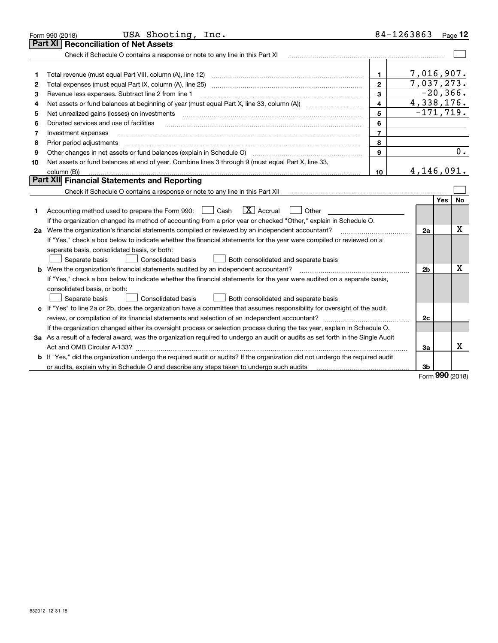|    | USA Shooting, Inc.<br>Form 990 (2018)                                                                                                                                                         |                         | 84-1263863     |            | Page $12$ |
|----|-----------------------------------------------------------------------------------------------------------------------------------------------------------------------------------------------|-------------------------|----------------|------------|-----------|
|    | <b>Reconciliation of Net Assets</b><br><b>Part XI</b>                                                                                                                                         |                         |                |            |           |
|    |                                                                                                                                                                                               |                         |                |            |           |
|    |                                                                                                                                                                                               |                         |                |            |           |
| 1  | Total revenue (must equal Part VIII, column (A), line 12)                                                                                                                                     | $\mathbf{1}$            | 7,016,907.     |            |           |
| 2  | Total expenses (must equal Part IX, column (A), line 25)                                                                                                                                      | $\mathbf{2}$            | 7,037,273.     |            |           |
| з  | Revenue less expenses. Subtract line 2 from line 1                                                                                                                                            | 3                       | $-20, 366.$    |            |           |
| 4  | Net assets or fund balances at beginning of year (must equal Part X, line 33, column (A)) <i>massets</i> or fund balances at beginning of year (must equal Part X, line 33, column (A))       | $\overline{\mathbf{4}}$ | 4,338,176.     |            |           |
| 5  | Net unrealized gains (losses) on investments                                                                                                                                                  | 5                       | $-171, 719.$   |            |           |
| 6  | Donated services and use of facilities                                                                                                                                                        | 6                       |                |            |           |
| 7  | Investment expenses                                                                                                                                                                           | $\overline{7}$          |                |            |           |
| 8  | Prior period adjustments                                                                                                                                                                      | 8                       |                |            |           |
| 9  | Other changes in net assets or fund balances (explain in Schedule O) [11] [12] [13] [13] [13] [13] Other changes in net assets or fund balances (explain in Schedule O)                       | 9                       |                |            | 0.        |
| 10 | Net assets or fund balances at end of year. Combine lines 3 through 9 (must equal Part X, line 33,                                                                                            |                         |                |            |           |
|    | column (B))                                                                                                                                                                                   | 10                      | 4,146,091.     |            |           |
|    | Part XII Financial Statements and Reporting                                                                                                                                                   |                         |                |            |           |
|    |                                                                                                                                                                                               |                         |                |            |           |
|    |                                                                                                                                                                                               |                         |                | <b>Yes</b> | <b>No</b> |
| 1  | $\boxed{\mathbf{X}}$ Accrual<br>Accounting method used to prepare the Form 990: <u>[</u> Cash<br>Other<br>$\mathbf{1}$                                                                        |                         |                |            |           |
|    | If the organization changed its method of accounting from a prior year or checked "Other," explain in Schedule O.                                                                             |                         |                |            |           |
|    | 2a Were the organization's financial statements compiled or reviewed by an independent accountant?                                                                                            |                         | 2a             |            | Χ         |
|    | If "Yes," check a box below to indicate whether the financial statements for the year were compiled or reviewed on a                                                                          |                         |                |            |           |
|    | separate basis, consolidated basis, or both:                                                                                                                                                  |                         |                |            |           |
|    | Both consolidated and separate basis<br>Separate basis<br>Consolidated basis                                                                                                                  |                         |                |            |           |
|    | <b>b</b> Were the organization's financial statements audited by an independent accountant?                                                                                                   |                         | 2 <sub>b</sub> |            | х         |
|    | If "Yes," check a box below to indicate whether the financial statements for the year were audited on a separate basis,                                                                       |                         |                |            |           |
|    | consolidated basis, or both:                                                                                                                                                                  |                         |                |            |           |
|    | Separate basis<br><b>Consolidated basis</b><br>Both consolidated and separate basis                                                                                                           |                         |                |            |           |
|    | c If "Yes" to line 2a or 2b, does the organization have a committee that assumes responsibility for oversight of the audit,                                                                   |                         |                |            |           |
|    |                                                                                                                                                                                               |                         | 2c             |            |           |
|    | If the organization changed either its oversight process or selection process during the tax year, explain in Schedule O.                                                                     |                         |                |            |           |
|    | 3a As a result of a federal award, was the organization required to undergo an audit or audits as set forth in the Single Audit                                                               |                         |                |            |           |
|    | Act and OMB Circular A-133?                                                                                                                                                                   |                         | За             |            | x         |
|    | b If "Yes," did the organization undergo the required audit or audits? If the organization did not undergo the required audit                                                                 |                         |                |            |           |
|    | or audits, explain why in Schedule O and describe any steps taken to undergo such audits contains and the manuscription why in Schedule O and describe any steps taken to undergo such audits |                         | 3b             | nnn.       |           |

Form (2018) **990**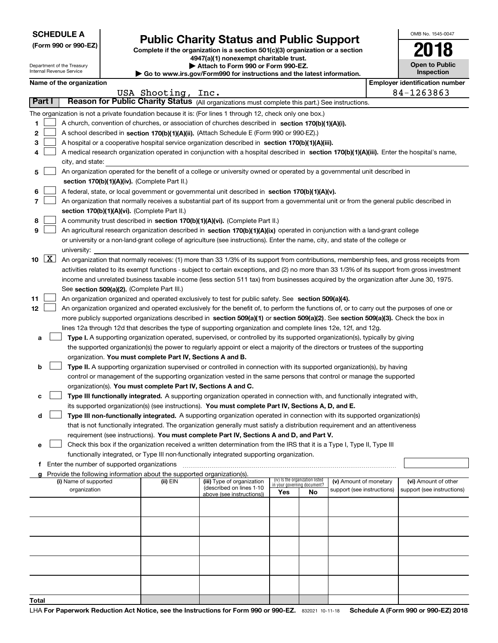|  | <b>SCHEDULE A</b> |
|--|-------------------|
|--|-------------------|

Department of the Treasury Internal Revenue Service

**(Form 990 or 990-EZ)**

## **Public Charity Status and Public Support**

**Complete if the organization is a section 501(c)(3) organization or a section 4947(a)(1) nonexempt charitable trust. | Attach to Form 990 or Form 990-EZ. | Go to www.irs.gov/Form990 for instructions and the latest information.**

| 2018                                |  |
|-------------------------------------|--|
| <b>Open to Public</b><br>Inspection |  |

OMB No. 1545-0047

|               | Name of the organization                                                                                                                      |                    |                            |                                    |    |                            |  | <b>Employer identification number</b> |  |  |  |
|---------------|-----------------------------------------------------------------------------------------------------------------------------------------------|--------------------|----------------------------|------------------------------------|----|----------------------------|--|---------------------------------------|--|--|--|
|               |                                                                                                                                               | USA Shooting, Inc. |                            |                                    |    |                            |  | 84-1263863                            |  |  |  |
| <b>Part I</b> | Reason for Public Charity Status (All organizations must complete this part.) See instructions.                                               |                    |                            |                                    |    |                            |  |                                       |  |  |  |
|               | The organization is not a private foundation because it is: (For lines 1 through 12, check only one box.)                                     |                    |                            |                                    |    |                            |  |                                       |  |  |  |
| 1             | A church, convention of churches, or association of churches described in section 170(b)(1)(A)(i).                                            |                    |                            |                                    |    |                            |  |                                       |  |  |  |
| 2             | A school described in section 170(b)(1)(A)(ii). (Attach Schedule E (Form 990 or 990-EZ).)                                                     |                    |                            |                                    |    |                            |  |                                       |  |  |  |
| з             | A hospital or a cooperative hospital service organization described in section 170(b)(1)(A)(iii).                                             |                    |                            |                                    |    |                            |  |                                       |  |  |  |
| 4             | A medical research organization operated in conjunction with a hospital described in section 170(b)(1)(A)(iii). Enter the hospital's name,    |                    |                            |                                    |    |                            |  |                                       |  |  |  |
|               | city, and state:                                                                                                                              |                    |                            |                                    |    |                            |  |                                       |  |  |  |
| 5             | An organization operated for the benefit of a college or university owned or operated by a governmental unit described in                     |                    |                            |                                    |    |                            |  |                                       |  |  |  |
|               | section 170(b)(1)(A)(iv). (Complete Part II.)                                                                                                 |                    |                            |                                    |    |                            |  |                                       |  |  |  |
| 6             | A federal, state, or local government or governmental unit described in section 170(b)(1)(A)(v).                                              |                    |                            |                                    |    |                            |  |                                       |  |  |  |
| 7             | An organization that normally receives a substantial part of its support from a governmental unit or from the general public described in     |                    |                            |                                    |    |                            |  |                                       |  |  |  |
|               | section 170(b)(1)(A)(vi). (Complete Part II.)                                                                                                 |                    |                            |                                    |    |                            |  |                                       |  |  |  |
| 8             | A community trust described in section 170(b)(1)(A)(vi). (Complete Part II.)                                                                  |                    |                            |                                    |    |                            |  |                                       |  |  |  |
| 9             | An agricultural research organization described in section 170(b)(1)(A)(ix) operated in conjunction with a land-grant college                 |                    |                            |                                    |    |                            |  |                                       |  |  |  |
|               | or university or a non-land-grant college of agriculture (see instructions). Enter the name, city, and state of the college or                |                    |                            |                                    |    |                            |  |                                       |  |  |  |
|               | university:                                                                                                                                   |                    |                            |                                    |    |                            |  |                                       |  |  |  |
| 10 $X$        | An organization that normally receives: (1) more than 33 1/3% of its support from contributions, membership fees, and gross receipts from     |                    |                            |                                    |    |                            |  |                                       |  |  |  |
|               | activities related to its exempt functions - subject to certain exceptions, and (2) no more than 33 1/3% of its support from gross investment |                    |                            |                                    |    |                            |  |                                       |  |  |  |
|               | income and unrelated business taxable income (less section 511 tax) from businesses acquired by the organization after June 30, 1975.         |                    |                            |                                    |    |                            |  |                                       |  |  |  |
|               | See section 509(a)(2). (Complete Part III.)                                                                                                   |                    |                            |                                    |    |                            |  |                                       |  |  |  |
| 11            | An organization organized and operated exclusively to test for public safety. See section 509(a)(4).                                          |                    |                            |                                    |    |                            |  |                                       |  |  |  |
| 12            | An organization organized and operated exclusively for the benefit of, to perform the functions of, or to carry out the purposes of one or    |                    |                            |                                    |    |                            |  |                                       |  |  |  |
|               | more publicly supported organizations described in section 509(a)(1) or section 509(a)(2). See section 509(a)(3). Check the box in            |                    |                            |                                    |    |                            |  |                                       |  |  |  |
|               | lines 12a through 12d that describes the type of supporting organization and complete lines 12e, 12f, and 12g.                                |                    |                            |                                    |    |                            |  |                                       |  |  |  |
| а             | Type I. A supporting organization operated, supervised, or controlled by its supported organization(s), typically by giving                   |                    |                            |                                    |    |                            |  |                                       |  |  |  |
|               | the supported organization(s) the power to regularly appoint or elect a majority of the directors or trustees of the supporting               |                    |                            |                                    |    |                            |  |                                       |  |  |  |
|               | organization. You must complete Part IV, Sections A and B.                                                                                    |                    |                            |                                    |    |                            |  |                                       |  |  |  |
| b             | Type II. A supporting organization supervised or controlled in connection with its supported organization(s), by having                       |                    |                            |                                    |    |                            |  |                                       |  |  |  |
|               | control or management of the supporting organization vested in the same persons that control or manage the supported                          |                    |                            |                                    |    |                            |  |                                       |  |  |  |
|               | organization(s). You must complete Part IV, Sections A and C.                                                                                 |                    |                            |                                    |    |                            |  |                                       |  |  |  |
| c             | Type III functionally integrated. A supporting organization operated in connection with, and functionally integrated with,                    |                    |                            |                                    |    |                            |  |                                       |  |  |  |
|               | its supported organization(s) (see instructions). You must complete Part IV, Sections A, D, and E.                                            |                    |                            |                                    |    |                            |  |                                       |  |  |  |
| d             | Type III non-functionally integrated. A supporting organization operated in connection with its supported organization(s)                     |                    |                            |                                    |    |                            |  |                                       |  |  |  |
|               | that is not functionally integrated. The organization generally must satisfy a distribution requirement and an attentiveness                  |                    |                            |                                    |    |                            |  |                                       |  |  |  |
|               | requirement (see instructions). You must complete Part IV, Sections A and D, and Part V.                                                      |                    |                            |                                    |    |                            |  |                                       |  |  |  |
| е             | Check this box if the organization received a written determination from the IRS that it is a Type I, Type II, Type III                       |                    |                            |                                    |    |                            |  |                                       |  |  |  |
|               | functionally integrated, or Type III non-functionally integrated supporting organization.                                                     |                    |                            |                                    |    |                            |  |                                       |  |  |  |
|               | f Enter the number of supported organizations<br>Provide the following information about the supported organization(s).                       |                    |                            |                                    |    |                            |  |                                       |  |  |  |
|               | (i) Name of supported                                                                                                                         | (ii) EIN           | (iii) Type of organization | (iv) Is the organization listed    |    | (v) Amount of monetary     |  | (vi) Amount of other                  |  |  |  |
|               | organization                                                                                                                                  |                    | (described on lines 1-10   | in your governing document?<br>Yes | No | support (see instructions) |  | support (see instructions)            |  |  |  |
|               |                                                                                                                                               |                    | above (see instructions))  |                                    |    |                            |  |                                       |  |  |  |
|               |                                                                                                                                               |                    |                            |                                    |    |                            |  |                                       |  |  |  |
|               |                                                                                                                                               |                    |                            |                                    |    |                            |  |                                       |  |  |  |
|               |                                                                                                                                               |                    |                            |                                    |    |                            |  |                                       |  |  |  |
|               |                                                                                                                                               |                    |                            |                                    |    |                            |  |                                       |  |  |  |
|               |                                                                                                                                               |                    |                            |                                    |    |                            |  |                                       |  |  |  |
|               |                                                                                                                                               |                    |                            |                                    |    |                            |  |                                       |  |  |  |
|               |                                                                                                                                               |                    |                            |                                    |    |                            |  |                                       |  |  |  |
|               |                                                                                                                                               |                    |                            |                                    |    |                            |  |                                       |  |  |  |
|               |                                                                                                                                               |                    |                            |                                    |    |                            |  |                                       |  |  |  |
| Total         |                                                                                                                                               |                    |                            |                                    |    |                            |  |                                       |  |  |  |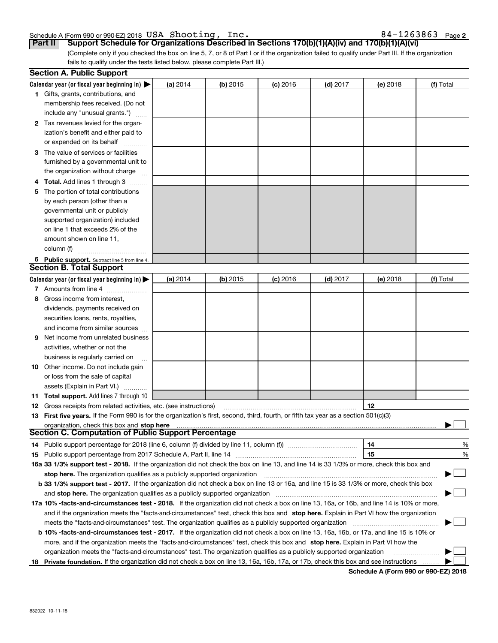## Schedule A (Form 990 or 990-EZ) 2018  $\verb|USA|$   $\verb|Shoothing|$  ,  $\verb|Inc.|$  . The set of the set of the set of the set of the set of the set of the set of the set of the set of the set of the set of the set of the set of the set of

|  |  |  |  |  |  |  |  |  | 84-1263863 Page 2 |
|--|--|--|--|--|--|--|--|--|-------------------|
|--|--|--|--|--|--|--|--|--|-------------------|

(Complete only if you checked the box on line 5, 7, or 8 of Part I or if the organization failed to qualify under Part III. If the organization fails to qualify under the tests listed below, please complete Part III.) **Part II Support Schedule for Organizations Described in Sections 170(b)(1)(A)(iv) and 170(b)(1)(A)(vi)**

| <b>Section A. Public Support</b>                                                                                                               |          |            |            |            |          |           |
|------------------------------------------------------------------------------------------------------------------------------------------------|----------|------------|------------|------------|----------|-----------|
| Calendar year (or fiscal year beginning in) $\blacktriangleright$                                                                              | (a) 2014 | $(b)$ 2015 | $(c)$ 2016 | (d) 2017   | (e) 2018 | (f) Total |
| 1 Gifts, grants, contributions, and                                                                                                            |          |            |            |            |          |           |
| membership fees received. (Do not                                                                                                              |          |            |            |            |          |           |
| include any "unusual grants.")                                                                                                                 |          |            |            |            |          |           |
| 2 Tax revenues levied for the organ-                                                                                                           |          |            |            |            |          |           |
| ization's benefit and either paid to                                                                                                           |          |            |            |            |          |           |
| or expended on its behalf                                                                                                                      |          |            |            |            |          |           |
| 3 The value of services or facilities                                                                                                          |          |            |            |            |          |           |
| furnished by a governmental unit to                                                                                                            |          |            |            |            |          |           |
| the organization without charge                                                                                                                |          |            |            |            |          |           |
| 4 Total. Add lines 1 through 3                                                                                                                 |          |            |            |            |          |           |
| 5 The portion of total contributions                                                                                                           |          |            |            |            |          |           |
| by each person (other than a                                                                                                                   |          |            |            |            |          |           |
| governmental unit or publicly                                                                                                                  |          |            |            |            |          |           |
| supported organization) included                                                                                                               |          |            |            |            |          |           |
| on line 1 that exceeds 2% of the                                                                                                               |          |            |            |            |          |           |
| amount shown on line 11,                                                                                                                       |          |            |            |            |          |           |
| column (f)                                                                                                                                     |          |            |            |            |          |           |
| 6 Public support. Subtract line 5 from line 4.                                                                                                 |          |            |            |            |          |           |
| <b>Section B. Total Support</b>                                                                                                                |          |            |            |            |          |           |
| Calendar year (or fiscal year beginning in) $\blacktriangleright$                                                                              | (a) 2014 | $(b)$ 2015 | $(c)$ 2016 | $(d)$ 2017 | (e) 2018 | (f) Total |
| 7 Amounts from line 4                                                                                                                          |          |            |            |            |          |           |
| 8 Gross income from interest,                                                                                                                  |          |            |            |            |          |           |
| dividends, payments received on                                                                                                                |          |            |            |            |          |           |
| securities loans, rents, royalties,                                                                                                            |          |            |            |            |          |           |
| and income from similar sources                                                                                                                |          |            |            |            |          |           |
| <b>9</b> Net income from unrelated business                                                                                                    |          |            |            |            |          |           |
| activities, whether or not the                                                                                                                 |          |            |            |            |          |           |
| business is regularly carried on                                                                                                               |          |            |            |            |          |           |
| <b>10</b> Other income. Do not include gain                                                                                                    |          |            |            |            |          |           |
| or loss from the sale of capital                                                                                                               |          |            |            |            |          |           |
| assets (Explain in Part VI.)                                                                                                                   |          |            |            |            |          |           |
| <b>11 Total support.</b> Add lines 7 through 10                                                                                                |          |            |            |            |          |           |
| <b>12</b> Gross receipts from related activities, etc. (see instructions)                                                                      |          |            |            |            | 12       |           |
| 13 First five years. If the Form 990 is for the organization's first, second, third, fourth, or fifth tax year as a section 501(c)(3)          |          |            |            |            |          |           |
| organization, check this box and stop here                                                                                                     |          |            |            |            |          |           |
| <b>Section C. Computation of Public Support Percentage</b>                                                                                     |          |            |            |            |          |           |
| 14 Public support percentage for 2018 (line 6, column (f) divided by line 11, column (f) <i>manumanomeron</i>                                  |          |            |            |            | 14       | %         |
|                                                                                                                                                |          |            |            |            | 15       | %         |
| 16a 33 1/3% support test - 2018. If the organization did not check the box on line 13, and line 14 is 33 1/3% or more, check this box and      |          |            |            |            |          |           |
| stop here. The organization qualifies as a publicly supported organization                                                                     |          |            |            |            |          | $\sim$ 10 |
| b 33 1/3% support test - 2017. If the organization did not check a box on line 13 or 16a, and line 15 is 33 1/3% or more, check this box       |          |            |            |            |          |           |
| and stop here. The organization qualifies as a publicly supported organization                                                                 |          |            |            |            |          |           |
| 17a 10% -facts-and-circumstances test - 2018. If the organization did not check a box on line 13, 16a, or 16b, and line 14 is 10% or more,     |          |            |            |            |          |           |
| and if the organization meets the "facts-and-circumstances" test, check this box and stop here. Explain in Part VI how the organization        |          |            |            |            |          |           |
| meets the "facts-and-circumstances" test. The organization qualifies as a publicly supported organization                                      |          |            |            |            |          |           |
| <b>b 10% -facts-and-circumstances test - 2017.</b> If the organization did not check a box on line 13, 16a, 16b, or 17a, and line 15 is 10% or |          |            |            |            |          |           |
| more, and if the organization meets the "facts-and-circumstances" test, check this box and stop here. Explain in Part VI how the               |          |            |            |            |          |           |
| organization meets the "facts-and-circumstances" test. The organization qualifies as a publicly supported organization                         |          |            |            |            |          |           |
| 18 Private foundation. If the organization did not check a box on line 13, 16a, 16b, 17a, or 17b, check this box and see instructions          |          |            |            |            |          |           |

**Schedule A (Form 990 or 990-EZ) 2018**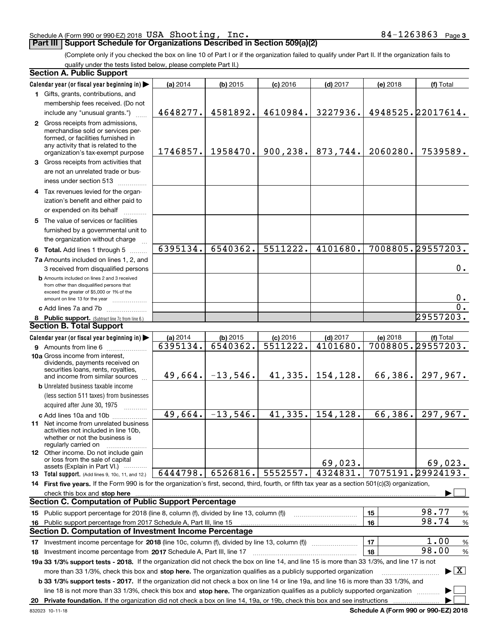#### Schedule A (Form 990 or 990-EZ) 2018  $\verb|USA|$   $\verb|Shoothing|$  ,  $\verb|Inc.|$  . The set of the set of the set of the set of the set of the set of the set of the set of the set of the set of the set of the set of the set of the set of

## **Part III Support Schedule for Organizations Described in Section 509(a)(2)**

**3**

(Complete only if you checked the box on line 10 of Part I or if the organization failed to qualify under Part II. If the organization fails to qualify under the tests listed below, please complete Part II.)

| <b>Section A. Public Support</b>                                                                                                                                                                                                                          |          |                    |            |            |          |                                          |
|-----------------------------------------------------------------------------------------------------------------------------------------------------------------------------------------------------------------------------------------------------------|----------|--------------------|------------|------------|----------|------------------------------------------|
| Calendar year (or fiscal year beginning in)                                                                                                                                                                                                               | (a) 2014 | $(b)$ 2015         | $(c)$ 2016 | $(d)$ 2017 | (e) 2018 | (f) Total                                |
| 1 Gifts, grants, contributions, and                                                                                                                                                                                                                       |          |                    |            |            |          |                                          |
| membership fees received. (Do not                                                                                                                                                                                                                         |          |                    |            |            |          |                                          |
| include any "unusual grants.")                                                                                                                                                                                                                            | 4648277. | 4581892.           | 4610984.   | 3227936.   |          | 4948525.22017614.                        |
| 2 Gross receipts from admissions,<br>merchandise sold or services per-<br>formed, or facilities furnished in<br>any activity that is related to the<br>organization's tax-exempt purpose                                                                  | 1746857. | 1958470.           | 900, 238.  | 873,744.   | 2060280. | 7539589.                                 |
|                                                                                                                                                                                                                                                           |          |                    |            |            |          |                                          |
| 3 Gross receipts from activities that<br>are not an unrelated trade or bus-<br>iness under section 513                                                                                                                                                    |          |                    |            |            |          |                                          |
| 4 Tax revenues levied for the organ-                                                                                                                                                                                                                      |          |                    |            |            |          |                                          |
| ization's benefit and either paid to                                                                                                                                                                                                                      |          |                    |            |            |          |                                          |
| or expended on its behalf                                                                                                                                                                                                                                 |          |                    |            |            |          |                                          |
| 5 The value of services or facilities<br>furnished by a governmental unit to<br>the organization without charge                                                                                                                                           |          |                    |            |            |          |                                          |
| 6 Total. Add lines 1 through 5                                                                                                                                                                                                                            | 6395134. | 6540362.           | 5511222.   | 4101680.   |          | 7008805.29557203.                        |
| 7a Amounts included on lines 1, 2, and<br>3 received from disqualified persons                                                                                                                                                                            |          |                    |            |            |          | $0$ .                                    |
| <b>b</b> Amounts included on lines 2 and 3 received<br>from other than disqualified persons that<br>exceed the greater of \$5,000 or 1% of the<br>amount on line 13 for the year                                                                          |          |                    |            |            |          | 0.                                       |
| c Add lines 7a and 7b                                                                                                                                                                                                                                     |          |                    |            |            |          | $\overline{0}$ .                         |
| 8 Public support. (Subtract line 7c from line 6.)                                                                                                                                                                                                         |          |                    |            |            |          | 29557203.                                |
| <b>Section B. Total Support</b>                                                                                                                                                                                                                           |          |                    |            |            |          |                                          |
| Calendar year (or fiscal year beginning in)                                                                                                                                                                                                               | (a) 2014 | $(b)$ 2015         | $(c)$ 2016 | $(d)$ 2017 | (e) 2018 | (f) Total                                |
| <b>9</b> Amounts from line 6                                                                                                                                                                                                                              | 6395134. | 6540362.           | 5511222.   | 4101680.   |          | 7008805.29557203.                        |
| 10a Gross income from interest,<br>dividends, payments received on<br>securities loans, rents, royalties,<br>and income from similar sources                                                                                                              |          | $49,664. -13,546.$ | 41, 335.   | 154,128.   | 66,386.  | 297,967.                                 |
| <b>b</b> Unrelated business taxable income                                                                                                                                                                                                                |          |                    |            |            |          |                                          |
| (less section 511 taxes) from businesses                                                                                                                                                                                                                  |          |                    |            |            |          |                                          |
| acquired after June 30, 1975                                                                                                                                                                                                                              |          |                    |            |            |          |                                          |
| c Add lines 10a and 10b                                                                                                                                                                                                                                   | 49,664.  | $-13,546.$         | 41, 335.   | 154,128.   | 66,386.  | 297,967.                                 |
| 11 Net income from unrelated business<br>activities not included in line 10b,<br>whether or not the business is<br>regularly carried on                                                                                                                   |          |                    |            |            |          |                                          |
| <b>12</b> Other income. Do not include gain<br>or loss from the sale of capital<br>assets (Explain in Part VI.)                                                                                                                                           |          |                    |            | 69,023.    |          | 69,023.                                  |
| 13 Total support. (Add lines 9, 10c, 11, and 12.)                                                                                                                                                                                                         | 6444798. | 6526816.           | 5552557.   | 4324831.   |          | 7075191.29924193.                        |
| 14 First five years. If the Form 990 is for the organization's first, second, third, fourth, or fifth tax year as a section 501(c)(3) organization,                                                                                                       |          |                    |            |            |          |                                          |
| check this box and stop here measurement control and the control of the state of the change of the change of the change of the change of the change of the change of the change of the change of the change of the change of t                            |          |                    |            |            |          |                                          |
| <b>Section C. Computation of Public Support Percentage</b>                                                                                                                                                                                                |          |                    |            |            |          |                                          |
| 15 Public support percentage for 2018 (line 8, column (f), divided by line 13, column (f))                                                                                                                                                                |          |                    |            |            | 15       | 98.77<br>%                               |
| 16 Public support percentage from 2017 Schedule A, Part III, line 15                                                                                                                                                                                      |          |                    |            |            | 16       | 98.74<br>%                               |
| <b>Section D. Computation of Investment Income Percentage</b>                                                                                                                                                                                             |          |                    |            |            |          |                                          |
| 17 Investment income percentage for 2018 (line 10c, column (f), divided by line 13, column (f))                                                                                                                                                           |          |                    |            |            | 17       | 1.00<br>%                                |
| 18 Investment income percentage from 2017 Schedule A, Part III, line 17                                                                                                                                                                                   |          |                    |            |            | 18       | 98.00<br>%                               |
| 19a 33 1/3% support tests - 2018. If the organization did not check the box on line 14, and line 15 is more than 33 1/3%, and line 17 is not                                                                                                              |          |                    |            |            |          |                                          |
| more than 33 1/3%, check this box and stop here. The organization qualifies as a publicly supported organization<br>b 33 1/3% support tests - 2017. If the organization did not check a box on line 14 or line 19a, and line 16 is more than 33 1/3%, and |          |                    |            |            |          | $\blacktriangleright$ $\boxed{\text{X}}$ |
| line 18 is not more than 33 1/3%, check this box and stop here. The organization qualifies as a publicly supported organization                                                                                                                           |          |                    |            |            |          |                                          |
|                                                                                                                                                                                                                                                           |          |                    |            |            |          |                                          |

**Schedule A (Form 990 or 990-EZ) 2018**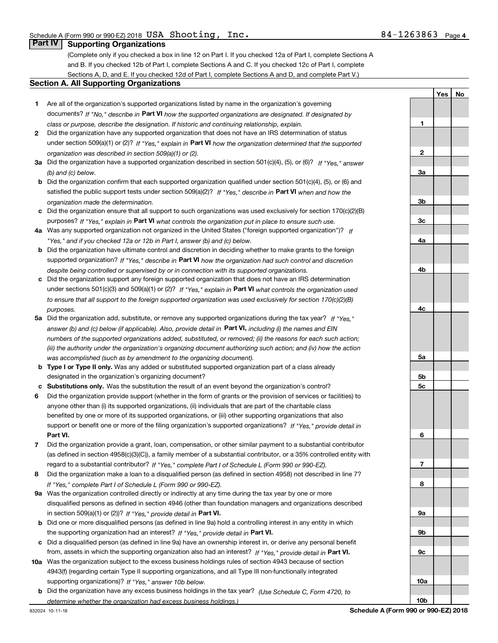**1**

**2**

**3a**

**3b**

**3c**

**4a**

**4b**

**4c**

**5a**

**5b5c**

**6**

**7**

**8**

**9a**

**9b**

**9c**

**10a**

**10b**

**YesNo**

## **Part IV Supporting Organizations**

(Complete only if you checked a box in line 12 on Part I. If you checked 12a of Part I, complete Sections A and B. If you checked 12b of Part I, complete Sections A and C. If you checked 12c of Part I, complete Sections A, D, and E. If you checked 12d of Part I, complete Sections A and D, and complete Part V.)

#### **Section A. All Supporting Organizations**

- **1** Are all of the organization's supported organizations listed by name in the organization's governing documents? If "No," describe in **Part VI** how the supported organizations are designated. If designated by *class or purpose, describe the designation. If historic and continuing relationship, explain.*
- **2** Did the organization have any supported organization that does not have an IRS determination of status under section 509(a)(1) or (2)? If "Yes," explain in Part VI how the organization determined that the supported *organization was described in section 509(a)(1) or (2).*
- **3a** Did the organization have a supported organization described in section 501(c)(4), (5), or (6)? If "Yes," answer *(b) and (c) below.*
- **b** Did the organization confirm that each supported organization qualified under section 501(c)(4), (5), or (6) and satisfied the public support tests under section 509(a)(2)? If "Yes," describe in **Part VI** when and how the *organization made the determination.*
- **c**Did the organization ensure that all support to such organizations was used exclusively for section 170(c)(2)(B) purposes? If "Yes," explain in **Part VI** what controls the organization put in place to ensure such use.
- **4a***If* Was any supported organization not organized in the United States ("foreign supported organization")? *"Yes," and if you checked 12a or 12b in Part I, answer (b) and (c) below.*
- **b** Did the organization have ultimate control and discretion in deciding whether to make grants to the foreign supported organization? If "Yes," describe in **Part VI** how the organization had such control and discretion *despite being controlled or supervised by or in connection with its supported organizations.*
- **c** Did the organization support any foreign supported organization that does not have an IRS determination under sections 501(c)(3) and 509(a)(1) or (2)? If "Yes," explain in **Part VI** what controls the organization used *to ensure that all support to the foreign supported organization was used exclusively for section 170(c)(2)(B) purposes.*
- **5a***If "Yes,"* Did the organization add, substitute, or remove any supported organizations during the tax year? answer (b) and (c) below (if applicable). Also, provide detail in **Part VI,** including (i) the names and EIN *numbers of the supported organizations added, substituted, or removed; (ii) the reasons for each such action; (iii) the authority under the organization's organizing document authorizing such action; and (iv) how the action was accomplished (such as by amendment to the organizing document).*
- **b** Type I or Type II only. Was any added or substituted supported organization part of a class already designated in the organization's organizing document?
- **cSubstitutions only.**  Was the substitution the result of an event beyond the organization's control?
- **6** Did the organization provide support (whether in the form of grants or the provision of services or facilities) to **Part VI.** *If "Yes," provide detail in* support or benefit one or more of the filing organization's supported organizations? anyone other than (i) its supported organizations, (ii) individuals that are part of the charitable class benefited by one or more of its supported organizations, or (iii) other supporting organizations that also
- **7**Did the organization provide a grant, loan, compensation, or other similar payment to a substantial contributor *If "Yes," complete Part I of Schedule L (Form 990 or 990-EZ).* regard to a substantial contributor? (as defined in section 4958(c)(3)(C)), a family member of a substantial contributor, or a 35% controlled entity with
- **8** Did the organization make a loan to a disqualified person (as defined in section 4958) not described in line 7? *If "Yes," complete Part I of Schedule L (Form 990 or 990-EZ).*
- **9a** Was the organization controlled directly or indirectly at any time during the tax year by one or more in section 509(a)(1) or (2))? If "Yes," *provide detail in* <code>Part VI.</code> disqualified persons as defined in section 4946 (other than foundation managers and organizations described
- **b** Did one or more disqualified persons (as defined in line 9a) hold a controlling interest in any entity in which the supporting organization had an interest? If "Yes," provide detail in P**art VI**.
- **c**Did a disqualified person (as defined in line 9a) have an ownership interest in, or derive any personal benefit from, assets in which the supporting organization also had an interest? If "Yes," provide detail in P**art VI.**
- **10a** Was the organization subject to the excess business holdings rules of section 4943 because of section supporting organizations)? If "Yes," answer 10b below. 4943(f) (regarding certain Type II supporting organizations, and all Type III non-functionally integrated
	- **b** Did the organization have any excess business holdings in the tax year? (Use Schedule C, Form 4720, to *determine whether the organization had excess business holdings.)*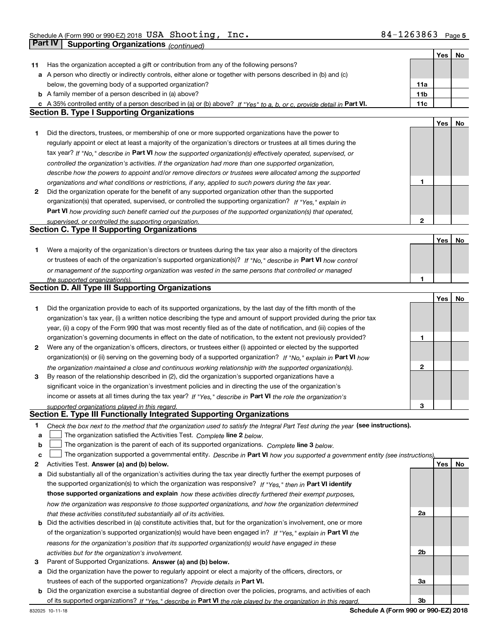|    |                                                                                                                                   |                 | Yes | <b>No</b> |
|----|-----------------------------------------------------------------------------------------------------------------------------------|-----------------|-----|-----------|
| 11 | Has the organization accepted a gift or contribution from any of the following persons?                                           |                 |     |           |
|    | a A person who directly or indirectly controls, either alone or together with persons described in (b) and (c)                    |                 |     |           |
|    | below, the governing body of a supported organization?                                                                            | 11a             |     |           |
|    | <b>b</b> A family member of a person described in (a) above?                                                                      | 11 <sub>b</sub> |     |           |
|    | c A 35% controlled entity of a person described in (a) or (b) above? If "Yes" to a, b, or c, provide detail in Part VI.           | 11c             |     |           |
|    | <b>Section B. Type I Supporting Organizations</b>                                                                                 |                 |     |           |
|    |                                                                                                                                   |                 | Yes | No        |
| 1  | Did the directors, trustees, or membership of one or more supported organizations have the power to                               |                 |     |           |
|    | regularly appoint or elect at least a majority of the organization's directors or trustees at all times during the                |                 |     |           |
|    | tax year? If "No," describe in Part VI how the supported organization(s) effectively operated, supervised, or                     |                 |     |           |
|    | controlled the organization's activities. If the organization had more than one supported organization,                           |                 |     |           |
|    | describe how the powers to appoint and/or remove directors or trustees were allocated among the supported                         |                 |     |           |
|    |                                                                                                                                   | 1               |     |           |
|    | organizations and what conditions or restrictions, if any, applied to such powers during the tax year.                            |                 |     |           |
| 2  | Did the organization operate for the benefit of any supported organization other than the supported                               |                 |     |           |
|    | organization(s) that operated, supervised, or controlled the supporting organization? If "Yes," explain in                        |                 |     |           |
|    | Part VI how providing such benefit carried out the purposes of the supported organization(s) that operated,                       |                 |     |           |
|    | supervised, or controlled the supporting organization.                                                                            | $\mathbf{2}$    |     |           |
|    | <b>Section C. Type II Supporting Organizations</b>                                                                                |                 |     |           |
|    |                                                                                                                                   |                 | Yes | No        |
| 1. | Were a majority of the organization's directors or trustees during the tax year also a majority of the directors                  |                 |     |           |
|    | or trustees of each of the organization's supported organization(s)? If "No," describe in Part VI how control                     |                 |     |           |
|    | or management of the supporting organization was vested in the same persons that controlled or managed                            |                 |     |           |
|    | the supported organization(s).                                                                                                    | 1               |     |           |
|    | Section D. All Type III Supporting Organizations                                                                                  |                 |     |           |
|    |                                                                                                                                   |                 | Yes | No        |
| 1  | Did the organization provide to each of its supported organizations, by the last day of the fifth month of the                    |                 |     |           |
|    | organization's tax year, (i) a written notice describing the type and amount of support provided during the prior tax             |                 |     |           |
|    | year, (ii) a copy of the Form 990 that was most recently filed as of the date of notification, and (iii) copies of the            |                 |     |           |
|    | organization's governing documents in effect on the date of notification, to the extent not previously provided?                  | 1               |     |           |
| 2  | Were any of the organization's officers, directors, or trustees either (i) appointed or elected by the supported                  |                 |     |           |
|    | organization(s) or (ii) serving on the governing body of a supported organization? If "No," explain in Part VI how                |                 |     |           |
|    | the organization maintained a close and continuous working relationship with the supported organization(s).                       | $\mathbf{2}$    |     |           |
| 3  | By reason of the relationship described in (2), did the organization's supported organizations have a                             |                 |     |           |
|    | significant voice in the organization's investment policies and in directing the use of the organization's                        |                 |     |           |
|    | income or assets at all times during the tax year? If "Yes," describe in Part VI the role the organization's                      |                 |     |           |
|    | supported organizations played in this regard.                                                                                    | 3               |     |           |
|    | Section E. Type III Functionally Integrated Supporting Organizations                                                              |                 |     |           |
| 1  | Check the box next to the method that the organization used to satisfy the Integral Part Test during the year (see instructions). |                 |     |           |
| a  | The organization satisfied the Activities Test. Complete line 2 below.                                                            |                 |     |           |
| b  | The organization is the parent of each of its supported organizations. Complete line 3 below.                                     |                 |     |           |
| с  | The organization supported a governmental entity. Describe in Part VI how you supported a government entity (see instructions),   |                 |     |           |
| 2  | Activities Test. Answer (a) and (b) below.                                                                                        |                 | Yes | No        |
| а  | Did substantially all of the organization's activities during the tax year directly further the exempt purposes of                |                 |     |           |
|    | the supported organization(s) to which the organization was responsive? If "Yes." then in Part VI identify                        |                 |     |           |
|    |                                                                                                                                   |                 |     |           |
|    | those supported organizations and explain how these activities directly furthered their exempt purposes,                          |                 |     |           |
|    | how the organization was responsive to those supported organizations, and how the organization determined                         |                 |     |           |
|    | that these activities constituted substantially all of its activities.                                                            | 2a              |     |           |
| b  | Did the activities described in (a) constitute activities that, but for the organization's involvement, one or more               |                 |     |           |
|    | of the organization's supported organization(s) would have been engaged in? If "Yes," explain in Part VI the                      |                 |     |           |
|    | reasons for the organization's position that its supported organization(s) would have engaged in these                            |                 |     |           |
|    | activities but for the organization's involvement.                                                                                | 2b              |     |           |
| З  | Parent of Supported Organizations. Answer (a) and (b) below.                                                                      |                 |     |           |
|    | a Did the organization have the power to regularly appoint or elect a majority of the officers, directors, or                     |                 |     |           |
|    | trustees of each of the supported organizations? Provide details in Part VI.                                                      | За              |     |           |
|    | <b>b</b> Did the organization exercise a substantial degree of direction over the policies, programs, and activities of each      |                 |     |           |
|    | of its supported organizations? If "Yes." describe in Part VI the role played by the organization in this regard.                 | 3b              |     |           |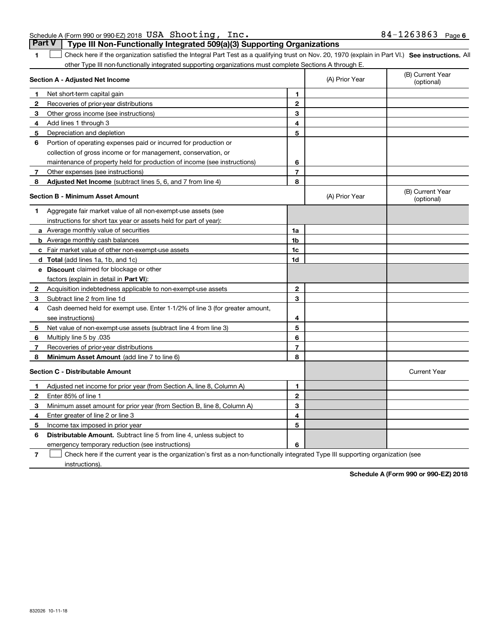| Schedule A (Form 990 or 990-EZ) 2018 USA Shooting, Inc. |                                                                                         | $84 - 1263863$ Page 6 |  |
|---------------------------------------------------------|-----------------------------------------------------------------------------------------|-----------------------|--|
|                                                         | <b>Part V</b>   Type III Non-Functionally Integrated 509(a)(3) Supporting Organizations |                       |  |

**1**

1 Check here if the organization satisfied the Integral Part Test as a qualifying trust on Nov. 20, 1970 (explain in Part VI.) See instructions. All other Type III non-functionally integrated supporting organizations must complete Sections A through E.

| Section A - Adjusted Net Income |                                                                              | (A) Prior Year | (B) Current Year<br>(optional) |                                |
|---------------------------------|------------------------------------------------------------------------------|----------------|--------------------------------|--------------------------------|
| $\mathbf 1$                     | Net short-term capital gain                                                  | 1              |                                |                                |
| $\mathbf{2}$                    | Recoveries of prior-year distributions                                       | $\overline{2}$ |                                |                                |
| 3                               | Other gross income (see instructions)                                        | 3              |                                |                                |
| 4                               | Add lines 1 through 3                                                        | 4              |                                |                                |
| 5                               | Depreciation and depletion                                                   | 5              |                                |                                |
| 6                               | Portion of operating expenses paid or incurred for production or             |                |                                |                                |
|                                 | collection of gross income or for management, conservation, or               |                |                                |                                |
|                                 | maintenance of property held for production of income (see instructions)     | 6              |                                |                                |
| 7                               | Other expenses (see instructions)                                            | $\overline{7}$ |                                |                                |
| 8                               | <b>Adjusted Net Income</b> (subtract lines 5, 6, and 7 from line 4)          | 8              |                                |                                |
|                                 | <b>Section B - Minimum Asset Amount</b>                                      |                | (A) Prior Year                 | (B) Current Year<br>(optional) |
| 1                               | Aggregate fair market value of all non-exempt-use assets (see                |                |                                |                                |
|                                 | instructions for short tax year or assets held for part of year):            |                |                                |                                |
|                                 | a Average monthly value of securities                                        | 1a             |                                |                                |
|                                 | <b>b</b> Average monthly cash balances                                       | 1b             |                                |                                |
|                                 | <b>c</b> Fair market value of other non-exempt-use assets                    | 1c             |                                |                                |
|                                 | d Total (add lines 1a, 1b, and 1c)                                           | 1d             |                                |                                |
|                                 | e Discount claimed for blockage or other                                     |                |                                |                                |
|                                 | factors (explain in detail in Part VI):                                      |                |                                |                                |
| $\mathbf{2}$                    | Acquisition indebtedness applicable to non-exempt-use assets                 | $\mathbf{2}$   |                                |                                |
|                                 | 3 Subtract line 2 from line 1d                                               | 3              |                                |                                |
| 4                               | Cash deemed held for exempt use. Enter 1-1/2% of line 3 (for greater amount, |                |                                |                                |
|                                 | see instructions)                                                            | 4              |                                |                                |
| 5                               | Net value of non-exempt-use assets (subtract line 4 from line 3)             | 5              |                                |                                |
| 6                               | Multiply line 5 by .035                                                      | 6              |                                |                                |
| 7                               | Recoveries of prior-year distributions                                       | $\overline{7}$ |                                |                                |
| 8                               | <b>Minimum Asset Amount</b> (add line 7 to line 6)                           | 8              |                                |                                |
|                                 | <b>Section C - Distributable Amount</b>                                      |                |                                | <b>Current Year</b>            |
| 1                               | Adjusted net income for prior year (from Section A, line 8, Column A)        | 1              |                                |                                |
| $\mathbf{2}$                    | Enter 85% of line 1                                                          | $\mathbf{2}$   |                                |                                |
| 3                               | Minimum asset amount for prior year (from Section B, line 8, Column A)       | 3              |                                |                                |
| 4                               | Enter greater of line 2 or line 3                                            | 4              |                                |                                |
| 5                               | Income tax imposed in prior year                                             | 5              |                                |                                |
| 6                               | <b>Distributable Amount.</b> Subtract line 5 from line 4, unless subject to  |                |                                |                                |
|                                 | emergency temporary reduction (see instructions)                             | 6              |                                |                                |
|                                 |                                                                              |                |                                |                                |

**7**Check here if the current year is the organization's first as a non-functionally integrated Type III supporting organization (see instructions).

**Schedule A (Form 990 or 990-EZ) 2018**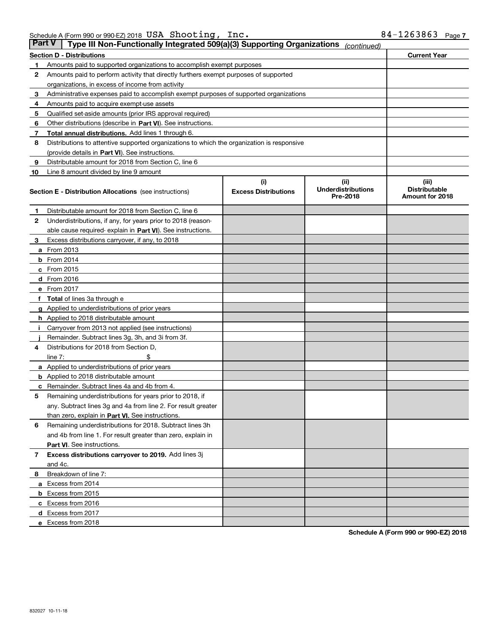|    | Part V<br>Type III Non-Functionally Integrated 509(a)(3) Supporting Organizations<br>(continued) |                             |                                       |                                         |  |  |
|----|--------------------------------------------------------------------------------------------------|-----------------------------|---------------------------------------|-----------------------------------------|--|--|
|    | <b>Section D - Distributions</b>                                                                 |                             |                                       | <b>Current Year</b>                     |  |  |
| 1  | Amounts paid to supported organizations to accomplish exempt purposes                            |                             |                                       |                                         |  |  |
| 2  | Amounts paid to perform activity that directly furthers exempt purposes of supported             |                             |                                       |                                         |  |  |
|    | organizations, in excess of income from activity                                                 |                             |                                       |                                         |  |  |
| з  | Administrative expenses paid to accomplish exempt purposes of supported organizations            |                             |                                       |                                         |  |  |
| 4  | Amounts paid to acquire exempt-use assets                                                        |                             |                                       |                                         |  |  |
| 5  | Qualified set-aside amounts (prior IRS approval required)                                        |                             |                                       |                                         |  |  |
| 6  | Other distributions (describe in Part VI). See instructions.                                     |                             |                                       |                                         |  |  |
| 7  | <b>Total annual distributions.</b> Add lines 1 through 6.                                        |                             |                                       |                                         |  |  |
| 8  | Distributions to attentive supported organizations to which the organization is responsive       |                             |                                       |                                         |  |  |
|    | (provide details in Part VI). See instructions.                                                  |                             |                                       |                                         |  |  |
| 9  | Distributable amount for 2018 from Section C, line 6                                             |                             |                                       |                                         |  |  |
| 10 | Line 8 amount divided by line 9 amount                                                           |                             |                                       |                                         |  |  |
|    |                                                                                                  | (i)                         | (iii)                                 | (iii)                                   |  |  |
|    | <b>Section E - Distribution Allocations</b> (see instructions)                                   | <b>Excess Distributions</b> | <b>Underdistributions</b><br>Pre-2018 | <b>Distributable</b><br>Amount for 2018 |  |  |
| 1  | Distributable amount for 2018 from Section C, line 6                                             |                             |                                       |                                         |  |  |
| 2  | Underdistributions, if any, for years prior to 2018 (reason-                                     |                             |                                       |                                         |  |  |
|    | able cause required- explain in <b>Part VI</b> ). See instructions.                              |                             |                                       |                                         |  |  |
| з  | Excess distributions carryover, if any, to 2018                                                  |                             |                                       |                                         |  |  |
|    | <b>a</b> From 2013                                                                               |                             |                                       |                                         |  |  |
|    | $b$ From 2014                                                                                    |                             |                                       |                                         |  |  |
|    | c From 2015                                                                                      |                             |                                       |                                         |  |  |
|    | d From 2016                                                                                      |                             |                                       |                                         |  |  |
|    | e From 2017                                                                                      |                             |                                       |                                         |  |  |
|    | Total of lines 3a through e                                                                      |                             |                                       |                                         |  |  |
|    | <b>g</b> Applied to underdistributions of prior years                                            |                             |                                       |                                         |  |  |
|    | <b>h</b> Applied to 2018 distributable amount                                                    |                             |                                       |                                         |  |  |
|    | Carryover from 2013 not applied (see instructions)                                               |                             |                                       |                                         |  |  |
|    | Remainder. Subtract lines 3g, 3h, and 3i from 3f.                                                |                             |                                       |                                         |  |  |
| 4  | Distributions for 2018 from Section D,                                                           |                             |                                       |                                         |  |  |
|    | line $7:$                                                                                        |                             |                                       |                                         |  |  |
|    | <b>a</b> Applied to underdistributions of prior years                                            |                             |                                       |                                         |  |  |
|    | <b>b</b> Applied to 2018 distributable amount                                                    |                             |                                       |                                         |  |  |
| c  | Remainder. Subtract lines 4a and 4b from 4.                                                      |                             |                                       |                                         |  |  |
| 5  | Remaining underdistributions for years prior to 2018, if                                         |                             |                                       |                                         |  |  |
|    | any. Subtract lines 3g and 4a from line 2. For result greater                                    |                             |                                       |                                         |  |  |
|    | than zero, explain in Part VI. See instructions.                                                 |                             |                                       |                                         |  |  |
| 6  | Remaining underdistributions for 2018. Subtract lines 3h                                         |                             |                                       |                                         |  |  |
|    | and 4b from line 1. For result greater than zero, explain in                                     |                             |                                       |                                         |  |  |
|    | Part VI. See instructions.                                                                       |                             |                                       |                                         |  |  |
| 7  | Excess distributions carryover to 2019. Add lines 3j                                             |                             |                                       |                                         |  |  |
|    | and 4c.                                                                                          |                             |                                       |                                         |  |  |
| 8  | Breakdown of line 7:                                                                             |                             |                                       |                                         |  |  |
|    | a Excess from 2014                                                                               |                             |                                       |                                         |  |  |
|    | <b>b</b> Excess from 2015                                                                        |                             |                                       |                                         |  |  |
|    | c Excess from 2016                                                                               |                             |                                       |                                         |  |  |
|    | d Excess from 2017                                                                               |                             |                                       |                                         |  |  |
|    | e Excess from 2018                                                                               |                             |                                       |                                         |  |  |

**Schedule A (Form 990 or 990-EZ) 2018**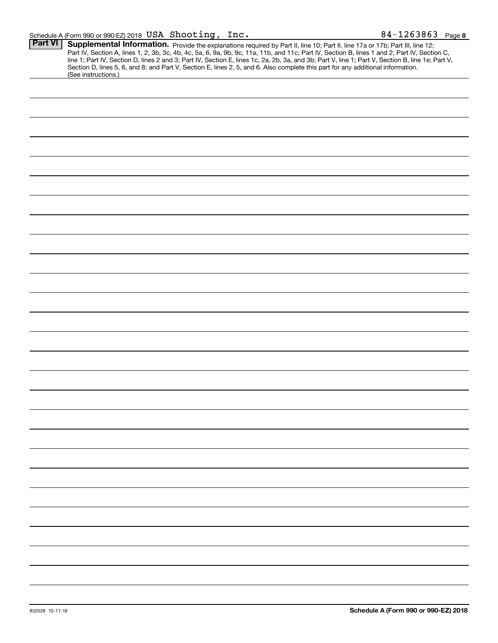| <b>Part VI</b> | Supplemental Information. Provide the explanations required by Part II, line 10; Part II, line 17a or 17b; Part III, line 12;                    |  |  |
|----------------|--------------------------------------------------------------------------------------------------------------------------------------------------|--|--|
|                |                                                                                                                                                  |  |  |
|                | Part IV, Section A, lines 1, 2, 3b, 3c, 4b, 4c, 5a, 6, 9a, 9b, 9c, 11a, 11b, and 11c; Part IV, Section B, lines 1 and 2; Part IV, Section C,     |  |  |
|                | line 1; Part IV, Section D, lines 2 and 3; Part IV, Section E, lines 1c, 2a, 2b, 3a, and 3b; Part V, line 1; Part V, Section B, line 1e; Part V, |  |  |
|                | Section D, lines 5, 6, and 8; and Part V, Section E, lines 2, 5, and 6. Also complete this part for any additional information.                  |  |  |
|                | (See instructions.)                                                                                                                              |  |  |
|                |                                                                                                                                                  |  |  |
|                |                                                                                                                                                  |  |  |
|                |                                                                                                                                                  |  |  |
|                |                                                                                                                                                  |  |  |
|                |                                                                                                                                                  |  |  |
|                |                                                                                                                                                  |  |  |
|                |                                                                                                                                                  |  |  |
|                |                                                                                                                                                  |  |  |
|                |                                                                                                                                                  |  |  |
|                |                                                                                                                                                  |  |  |
|                |                                                                                                                                                  |  |  |
|                |                                                                                                                                                  |  |  |
|                |                                                                                                                                                  |  |  |
|                |                                                                                                                                                  |  |  |
|                |                                                                                                                                                  |  |  |
|                |                                                                                                                                                  |  |  |
|                |                                                                                                                                                  |  |  |
|                |                                                                                                                                                  |  |  |
|                |                                                                                                                                                  |  |  |
|                |                                                                                                                                                  |  |  |
|                |                                                                                                                                                  |  |  |
|                |                                                                                                                                                  |  |  |
|                |                                                                                                                                                  |  |  |
|                |                                                                                                                                                  |  |  |
|                |                                                                                                                                                  |  |  |
|                |                                                                                                                                                  |  |  |
|                |                                                                                                                                                  |  |  |
|                |                                                                                                                                                  |  |  |
|                |                                                                                                                                                  |  |  |
|                |                                                                                                                                                  |  |  |
|                |                                                                                                                                                  |  |  |
|                |                                                                                                                                                  |  |  |
|                |                                                                                                                                                  |  |  |
|                |                                                                                                                                                  |  |  |
|                |                                                                                                                                                  |  |  |
|                |                                                                                                                                                  |  |  |
|                |                                                                                                                                                  |  |  |
|                |                                                                                                                                                  |  |  |
|                |                                                                                                                                                  |  |  |
|                |                                                                                                                                                  |  |  |
|                |                                                                                                                                                  |  |  |
|                |                                                                                                                                                  |  |  |
|                |                                                                                                                                                  |  |  |
|                |                                                                                                                                                  |  |  |
|                |                                                                                                                                                  |  |  |
|                |                                                                                                                                                  |  |  |
|                |                                                                                                                                                  |  |  |
|                |                                                                                                                                                  |  |  |
|                |                                                                                                                                                  |  |  |
|                |                                                                                                                                                  |  |  |
|                |                                                                                                                                                  |  |  |
|                |                                                                                                                                                  |  |  |
|                |                                                                                                                                                  |  |  |
|                |                                                                                                                                                  |  |  |
|                |                                                                                                                                                  |  |  |
|                |                                                                                                                                                  |  |  |
|                |                                                                                                                                                  |  |  |
|                |                                                                                                                                                  |  |  |
|                |                                                                                                                                                  |  |  |
|                |                                                                                                                                                  |  |  |
|                |                                                                                                                                                  |  |  |
|                |                                                                                                                                                  |  |  |
|                |                                                                                                                                                  |  |  |
|                |                                                                                                                                                  |  |  |
|                |                                                                                                                                                  |  |  |
|                |                                                                                                                                                  |  |  |
|                |                                                                                                                                                  |  |  |
|                |                                                                                                                                                  |  |  |
|                |                                                                                                                                                  |  |  |
|                |                                                                                                                                                  |  |  |
|                |                                                                                                                                                  |  |  |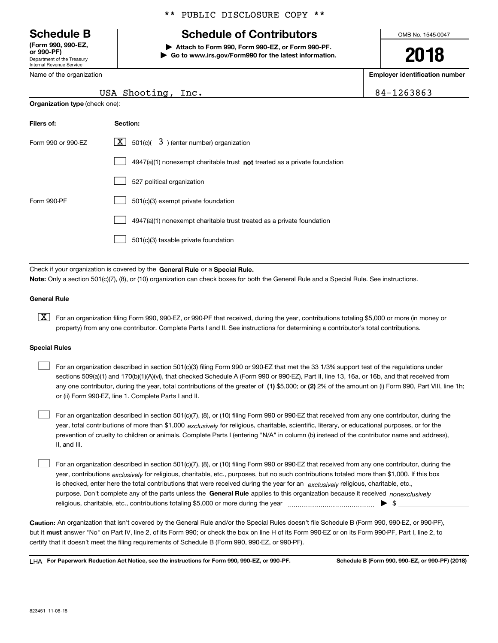Department of the Treasury Internal Revenue Service **(Form 990, 990-EZ, or 990-PF)**

Name of the organization

**Organization type** (check one):

\*\* PUBLIC DISCLOSURE COPY \*\*

## **Schedule B Schedule of Contributors**

**| Attach to Form 990, Form 990-EZ, or Form 990-PF. | Go to www.irs.gov/Form990 for the latest information.** OMB No. 1545-0047

**2018**

**Employer identification number**

84-1263863

| USA Shooting, Inc. |  |
|--------------------|--|
|                    |  |

| Filers of:         | Section:                                                                    |
|--------------------|-----------------------------------------------------------------------------|
| Form 990 or 990-FZ | $ \mathbf{X} $ 501(c)( 3) (enter number) organization                       |
|                    | $4947(a)(1)$ nonexempt charitable trust not treated as a private foundation |
|                    | 527 political organization                                                  |
| Form 990-PF        | 501(c)(3) exempt private foundation                                         |
|                    | 4947(a)(1) nonexempt charitable trust treated as a private foundation       |
|                    | 501(c)(3) taxable private foundation                                        |

Check if your organization is covered by the **General Rule** or a **Special Rule. Note:**  Only a section 501(c)(7), (8), or (10) organization can check boxes for both the General Rule and a Special Rule. See instructions.

### **General Rule**

 $\boxed{\textbf{X}}$  For an organization filing Form 990, 990-EZ, or 990-PF that received, during the year, contributions totaling \$5,000 or more (in money or property) from any one contributor. Complete Parts I and II. See instructions for determining a contributor's total contributions.

#### **Special Rules**

 $\sqrt{ }$ 

| For an organization described in section 501(c)(3) filing Form 990 or 990-EZ that met the 33 1/3% support test of the requlations under               |
|-------------------------------------------------------------------------------------------------------------------------------------------------------|
| sections 509(a)(1) and 170(b)(1)(A)(vi), that checked Schedule A (Form 990 or 990-EZ), Part II, line 13, 16a, or 16b, and that received from          |
| any one contributor, during the year, total contributions of the greater of (1) \$5,000; or (2) 2% of the amount on (i) Form 990, Part VIII, line 1h; |
| or (ii) Form 990-EZ, line 1. Complete Parts I and II.                                                                                                 |

year, total contributions of more than \$1,000 *exclusively* for religious, charitable, scientific, literary, or educational purposes, or for the For an organization described in section 501(c)(7), (8), or (10) filing Form 990 or 990-EZ that received from any one contributor, during the prevention of cruelty to children or animals. Complete Parts I (entering "N/A" in column (b) instead of the contributor name and address), II, and III.  $\mathcal{L}^{\text{max}}$ 

purpose. Don't complete any of the parts unless the **General Rule** applies to this organization because it received *nonexclusively* year, contributions <sub>exclusively</sub> for religious, charitable, etc., purposes, but no such contributions totaled more than \$1,000. If this box is checked, enter here the total contributions that were received during the year for an  $\;$ exclusively religious, charitable, etc., For an organization described in section 501(c)(7), (8), or (10) filing Form 990 or 990-EZ that received from any one contributor, during the religious, charitable, etc., contributions totaling \$5,000 or more during the year  $\Box$ — $\Box$  =  $\Box$  $\mathcal{L}^{\text{max}}$ 

**Caution:**  An organization that isn't covered by the General Rule and/or the Special Rules doesn't file Schedule B (Form 990, 990-EZ, or 990-PF),  **must** but it answer "No" on Part IV, line 2, of its Form 990; or check the box on line H of its Form 990-EZ or on its Form 990-PF, Part I, line 2, to certify that it doesn't meet the filing requirements of Schedule B (Form 990, 990-EZ, or 990-PF).

**For Paperwork Reduction Act Notice, see the instructions for Form 990, 990-EZ, or 990-PF. Schedule B (Form 990, 990-EZ, or 990-PF) (2018)** LHA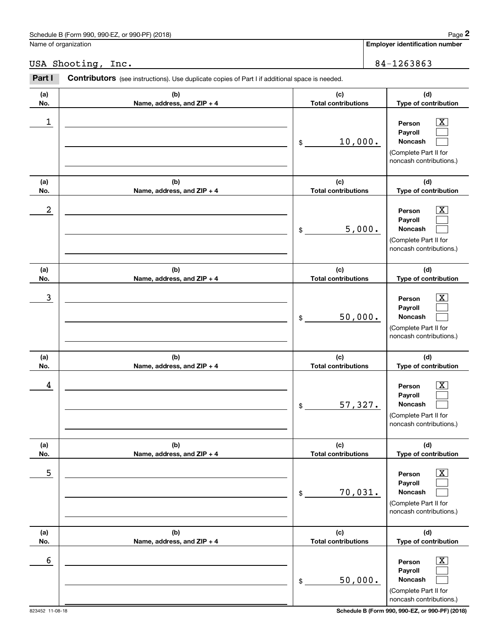## USA Shooting, Inc. 84-1263863

|                         | Schedule B (Form 990, 990-EZ, or 990-PF) (2018)                                                |                                   | Page 2                                                                                                                                      |
|-------------------------|------------------------------------------------------------------------------------------------|-----------------------------------|---------------------------------------------------------------------------------------------------------------------------------------------|
|                         | Name of organization                                                                           |                                   | <b>Employer identification number</b>                                                                                                       |
|                         | USA Shooting, Inc.                                                                             |                                   | 84-1263863                                                                                                                                  |
| Part I                  | Contributors (see instructions). Use duplicate copies of Part I if additional space is needed. |                                   |                                                                                                                                             |
| (a)<br>No.              | (b)<br>Name, address, and ZIP + 4                                                              | (c)<br><b>Total contributions</b> | (d)<br>Type of contribution                                                                                                                 |
| 1                       |                                                                                                | 10,000.<br>\$                     | $\overline{\text{X}}$<br>Person<br>Payroll<br>Noncash<br>(Complete Part II for<br>noncash contributions.)                                   |
| (a)                     | (b)                                                                                            | (c)                               | (d)                                                                                                                                         |
| No.<br>$\boldsymbol{2}$ | Name, address, and ZIP + 4                                                                     | <b>Total contributions</b><br>\$  | Type of contribution<br>$\overline{\text{X}}$<br>Person<br>Payroll<br>5,000.<br>Noncash<br>(Complete Part II for<br>noncash contributions.) |
| (a)<br>No.              | (b)<br>Name, address, and ZIP + 4                                                              | (c)<br><b>Total contributions</b> | (d)<br>Type of contribution                                                                                                                 |
| 3                       |                                                                                                | 50,000.<br>\$                     | $\overline{\text{X}}$<br>Person<br>Payroll<br>Noncash<br>(Complete Part II for<br>noncash contributions.)                                   |
| (a)<br>No.              | (b)<br>Name, address, and ZIP + 4                                                              | (c)<br><b>Total contributions</b> | (d)<br>Type of contribution                                                                                                                 |
| 4                       |                                                                                                | 57,327.<br>\$                     | $\overline{\text{X}}$<br>Person<br>Payroll<br>Noncash<br>(Complete Part II for<br>noncash contributions.)                                   |
| (a)<br>No.              | (b)<br>Name, address, and ZIP + 4                                                              | (c)<br><b>Total contributions</b> | (d)<br>Type of contribution                                                                                                                 |
| 5                       |                                                                                                | 70,031.<br>\$                     | $\overline{\text{X}}$<br>Person<br>Payroll<br><b>Noncash</b><br>(Complete Part II for<br>noncash contributions.)                            |
| (a)<br>No.              | (b)<br>Name, address, and ZIP + 4                                                              | (c)<br><b>Total contributions</b> | (d)<br>Type of contribution                                                                                                                 |
| 6                       |                                                                                                | \$                                | $\overline{\text{X}}$<br>Person<br>Payroll<br>50,000.<br>Noncash<br>(Complete Part II for<br>noncash contributions.)                        |

823452 11-08-18 **Schedule B (Form 990, 990-EZ, or 990-PF) (2018)**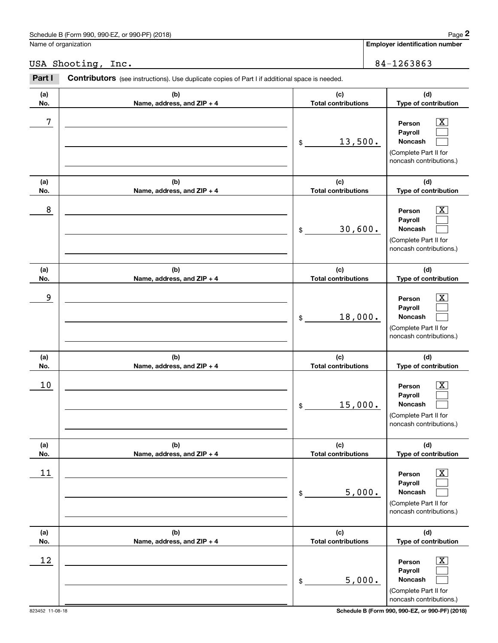|            | Schedule B (Form 990, 990-EZ, or 990-PF) (2018)                                                |                                   | Page 2                                                                                                      |
|------------|------------------------------------------------------------------------------------------------|-----------------------------------|-------------------------------------------------------------------------------------------------------------|
|            | Name of organization                                                                           |                                   | Employer identification number                                                                              |
|            | USA Shooting, Inc.                                                                             |                                   | 84-1263863                                                                                                  |
| Part I     | Contributors (see instructions). Use duplicate copies of Part I if additional space is needed. |                                   |                                                                                                             |
| (a)<br>No. | (b)<br>Name, address, and ZIP + 4                                                              | (c)<br><b>Total contributions</b> | (d)<br>Type of contribution                                                                                 |
| 7          |                                                                                                | 13,500.<br>\$                     | $\mathbf{X}$<br>Person<br>Payroll<br>Noncash<br>(Complete Part II for<br>noncash contributions.)            |
| (a)<br>No. | (b)<br>Name, address, and ZIP + 4                                                              | (c)<br><b>Total contributions</b> | (d)<br>Type of contribution                                                                                 |
| 8          |                                                                                                | 30,600.<br>\$                     | $\mathbf{X}$<br>Person<br>Payroll<br>Noncash<br>(Complete Part II for<br>noncash contributions.)            |
| (a)<br>No. | (b)<br>Name, address, and ZIP + 4                                                              | (c)<br><b>Total contributions</b> | (d)<br>Type of contribution                                                                                 |
| 9          |                                                                                                | 18,000.<br>\$                     | $\overline{\mathbf{X}}$<br>Person<br>Payroll<br>Noncash<br>(Complete Part II for<br>noncash contributions.) |
| (a)<br>No. | (b)<br>Name, address, and ZIP + 4                                                              | (c)<br><b>Total contributions</b> | (d)<br>Type of contribution                                                                                 |
| 10         |                                                                                                | 15,000.<br>\$                     | $\mathbf{X}$<br>Person<br>Payroll<br>Noncash<br>(Complete Part II for<br>noncash contributions.)            |
| (a)<br>No. | (b)<br>Name, address, and ZIP + 4                                                              | (c)<br><b>Total contributions</b> | (d)<br>Type of contribution                                                                                 |
| 11         |                                                                                                | 5,000.<br>\$                      | $\boxed{\text{X}}$<br>Person<br>Payroll<br>Noncash<br>(Complete Part II for<br>noncash contributions.)      |
| (a)<br>No. | (b)<br>Name, address, and ZIP + 4                                                              | (c)<br><b>Total contributions</b> | (d)<br>Type of contribution                                                                                 |
| 12         |                                                                                                | 5,000.<br>\$                      | $\boxed{\text{X}}$<br>Person<br>Payroll<br>Noncash<br>(Complete Part II for<br>noncash contributions.)      |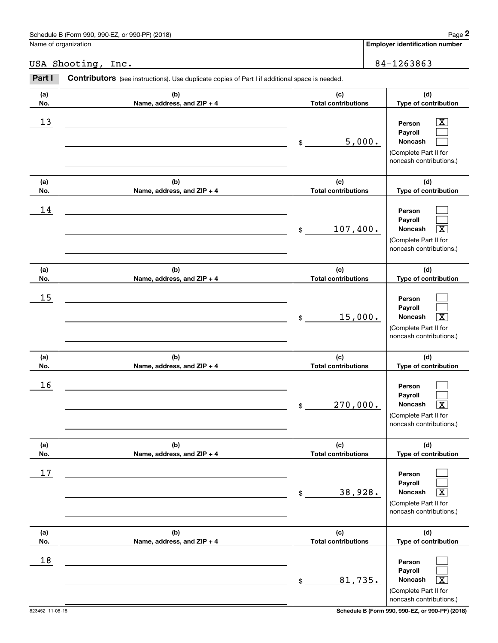## USA Shooting, Inc. 2008 2010 2020 2020 2031 2040 2040 2051 2052 2053 2054 2056 2057 2058 2059 2050 2050 2050 20

|            | Schedule B (Form 990, 990-EZ, or 990-PF) (2018)                                                |                                   | Page 2                                                                                                      |
|------------|------------------------------------------------------------------------------------------------|-----------------------------------|-------------------------------------------------------------------------------------------------------------|
|            | Name of organization                                                                           |                                   | Employer identification number                                                                              |
|            | USA Shooting, Inc.                                                                             |                                   | 84-1263863                                                                                                  |
| Part I     | Contributors (see instructions). Use duplicate copies of Part I if additional space is needed. |                                   |                                                                                                             |
| (a)<br>No. | (b)<br>Name, address, and ZIP + 4                                                              | (c)<br><b>Total contributions</b> | (d)<br>Type of contribution                                                                                 |
| 13         |                                                                                                | 5,000.<br>\$                      | $\overline{\text{X}}$<br>Person<br>Payroll<br>Noncash<br>(Complete Part II for<br>noncash contributions.)   |
| (a)<br>No. | (b)<br>Name, address, and ZIP + 4                                                              | (c)<br><b>Total contributions</b> | (d)<br>Type of contribution                                                                                 |
| 14         |                                                                                                | 107,400.<br>\$                    | Person<br>Payroll<br>Noncash<br>$\overline{\texttt{X}}$<br>(Complete Part II for<br>noncash contributions.) |
| (a)<br>No. | (b)<br>Name, address, and ZIP + 4                                                              | (c)<br><b>Total contributions</b> | (d)<br>Type of contribution                                                                                 |
| 15         |                                                                                                | 15,000.<br>\$                     | Person<br>Payroll<br>$\overline{\text{X}}$<br>Noncash<br>(Complete Part II for<br>noncash contributions.)   |
| (a)<br>No. | (b)<br>Name, address, and ZIP + 4                                                              | (c)<br><b>Total contributions</b> | (d)<br>Type of contribution                                                                                 |
| 16         |                                                                                                | 270,000.<br>\$                    | Person<br>Payroll<br>Noncash<br>$\overline{\text{X}}$<br>(Complete Part II for<br>noncash contributions.)   |
| (a)<br>No. | (b)<br>Name, address, and ZIP + 4                                                              | (c)<br><b>Total contributions</b> | (d)<br>Type of contribution                                                                                 |
| 17         |                                                                                                | 38,928.<br>\$                     | Person<br>Payroll<br>Noncash<br>$\overline{\texttt{X}}$<br>(Complete Part II for<br>noncash contributions.) |
| (a)<br>No. | (b)<br>Name, address, and ZIP + 4                                                              | (c)<br><b>Total contributions</b> | (d)<br>Type of contribution                                                                                 |
| 18         |                                                                                                | 81,735.<br>\$                     | Person<br>Payroll<br>Noncash<br>$\overline{\text{X}}$<br>(Complete Part II for<br>noncash contributions.)   |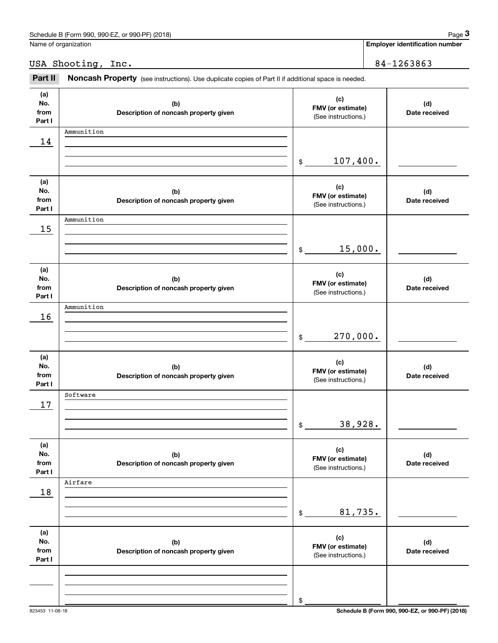| . or 990-PF) (2018)<br>Schedule B (Form 990, 990-EZ, | Page |
|------------------------------------------------------|------|
|                                                      |      |

Name of organization

## USA Shooting, Inc. 2008 2010 2020 2020 2031 2040 2040 2051 2052 2053 2054 2056 2057 2058 2059 2050 2050 2050 20

Chedule B (Form 990, 990-EZ, or 990-PF) (2018)<br>Iame of organization<br>**3Part II is A Shooting, Inc.** 84–1263863<br>**Part II Noncash Property** (see instructions). Use duplicate copies of Part II if additional space is needed.

| (a)<br>No.<br>from<br>Part I | (b)<br>Description of noncash property given | (c)<br>FMV (or estimate)<br>(See instructions.) | (d)<br>Date received |
|------------------------------|----------------------------------------------|-------------------------------------------------|----------------------|
| 14                           | Ammunition                                   |                                                 |                      |
|                              |                                              | 107,400.<br>$$\mathbb{S}$$                      |                      |
| (a)<br>No.<br>from<br>Part I | (b)<br>Description of noncash property given | (c)<br>FMV (or estimate)<br>(See instructions.) | (d)<br>Date received |
| 15                           | Ammunition                                   |                                                 |                      |
|                              |                                              | 15,000.<br>$$\mathbb{S}$$                       |                      |
| (a)<br>No.<br>from<br>Part I | (b)<br>Description of noncash property given | (c)<br>FMV (or estimate)<br>(See instructions.) | (d)<br>Date received |
| 16                           | Ammunition                                   |                                                 |                      |
|                              |                                              | 270,000.<br>$\mathfrak{S}$                      |                      |
| (a)<br>No.<br>from<br>Part I | (b)<br>Description of noncash property given | (c)<br>FMV (or estimate)<br>(See instructions.) | (d)<br>Date received |
| 17                           | Software                                     |                                                 |                      |
|                              |                                              | 38,928.<br>\$                                   |                      |
| (a)<br>No.<br>from<br>Part I | (b)<br>Description of noncash property given | (c)<br>FMV (or estimate)<br>(See instructions.) | (d)<br>Date received |
| 18                           | Airfare                                      |                                                 |                      |
|                              |                                              | 81,735.<br>\$                                   |                      |
| (a)<br>No.<br>from<br>Part I | (b)<br>Description of noncash property given | (c)<br>FMV (or estimate)<br>(See instructions.) | (d)<br>Date received |
|                              |                                              |                                                 |                      |
|                              |                                              | \$                                              |                      |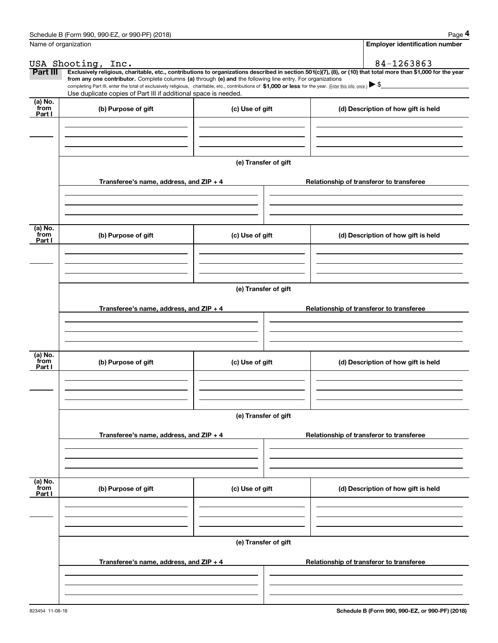|                 | Schedule B (Form 990, 990-EZ, or 990-PF) (2018)                                                                                                                                                                                                      |                      | Page 4                                                                                                                                                         |
|-----------------|------------------------------------------------------------------------------------------------------------------------------------------------------------------------------------------------------------------------------------------------------|----------------------|----------------------------------------------------------------------------------------------------------------------------------------------------------------|
|                 | Name of organization                                                                                                                                                                                                                                 |                      | <b>Employer identification number</b>                                                                                                                          |
|                 | USA Shooting, Inc.                                                                                                                                                                                                                                   |                      | 84-1263863                                                                                                                                                     |
| Part III        | from any one contributor. Complete columns (a) through (e) and the following line entry. For organizations                                                                                                                                           |                      | Exclusively religious, charitable, etc., contributions to organizations described in section 501(c)(7), (8), or (10) that total more than \$1,000 for the year |
|                 | completing Part III, enter the total of exclusively religious, charitable, etc., contributions of \$1,000 or less for the year. (Enter this info. once.) $\blacktriangleright$ \$<br>Use duplicate copies of Part III if additional space is needed. |                      |                                                                                                                                                                |
| (a) No.         |                                                                                                                                                                                                                                                      |                      |                                                                                                                                                                |
| from<br>Part I  | (b) Purpose of gift                                                                                                                                                                                                                                  | (c) Use of gift      | (d) Description of how gift is held                                                                                                                            |
|                 |                                                                                                                                                                                                                                                      |                      |                                                                                                                                                                |
|                 |                                                                                                                                                                                                                                                      |                      |                                                                                                                                                                |
|                 |                                                                                                                                                                                                                                                      |                      |                                                                                                                                                                |
|                 |                                                                                                                                                                                                                                                      | (e) Transfer of gift |                                                                                                                                                                |
|                 | Transferee's name, address, and ZIP + 4                                                                                                                                                                                                              |                      | Relationship of transferor to transferee                                                                                                                       |
|                 |                                                                                                                                                                                                                                                      |                      |                                                                                                                                                                |
|                 |                                                                                                                                                                                                                                                      |                      |                                                                                                                                                                |
|                 |                                                                                                                                                                                                                                                      |                      |                                                                                                                                                                |
| (a) No.<br>from | (b) Purpose of gift                                                                                                                                                                                                                                  | (c) Use of gift      | (d) Description of how gift is held                                                                                                                            |
| Part I          |                                                                                                                                                                                                                                                      |                      |                                                                                                                                                                |
|                 |                                                                                                                                                                                                                                                      |                      |                                                                                                                                                                |
|                 |                                                                                                                                                                                                                                                      |                      |                                                                                                                                                                |
|                 |                                                                                                                                                                                                                                                      | (e) Transfer of gift |                                                                                                                                                                |
|                 |                                                                                                                                                                                                                                                      |                      |                                                                                                                                                                |
|                 | Transferee's name, address, and $ZIP + 4$                                                                                                                                                                                                            |                      | Relationship of transferor to transferee                                                                                                                       |
|                 |                                                                                                                                                                                                                                                      |                      |                                                                                                                                                                |
|                 |                                                                                                                                                                                                                                                      |                      |                                                                                                                                                                |
| (a) No.         |                                                                                                                                                                                                                                                      |                      |                                                                                                                                                                |
| from<br>Part I  | (b) Purpose of gift                                                                                                                                                                                                                                  | (c) Use of gift      | (d) Description of how gift is held                                                                                                                            |
|                 |                                                                                                                                                                                                                                                      |                      |                                                                                                                                                                |
|                 |                                                                                                                                                                                                                                                      |                      |                                                                                                                                                                |
|                 |                                                                                                                                                                                                                                                      |                      |                                                                                                                                                                |
|                 |                                                                                                                                                                                                                                                      | (e) Transfer of gift |                                                                                                                                                                |
|                 | Transferee's name, address, and $ZIP + 4$                                                                                                                                                                                                            |                      | Relationship of transferor to transferee                                                                                                                       |
|                 |                                                                                                                                                                                                                                                      |                      |                                                                                                                                                                |
|                 |                                                                                                                                                                                                                                                      |                      |                                                                                                                                                                |
|                 |                                                                                                                                                                                                                                                      |                      |                                                                                                                                                                |
| (a) No.<br>from | (b) Purpose of gift                                                                                                                                                                                                                                  | (c) Use of gift      | (d) Description of how gift is held                                                                                                                            |
| Part I          |                                                                                                                                                                                                                                                      |                      |                                                                                                                                                                |
|                 |                                                                                                                                                                                                                                                      |                      |                                                                                                                                                                |
|                 |                                                                                                                                                                                                                                                      |                      |                                                                                                                                                                |
|                 |                                                                                                                                                                                                                                                      | (e) Transfer of gift |                                                                                                                                                                |
|                 |                                                                                                                                                                                                                                                      |                      |                                                                                                                                                                |
|                 | Transferee's name, address, and $ZIP + 4$                                                                                                                                                                                                            |                      | Relationship of transferor to transferee                                                                                                                       |
|                 |                                                                                                                                                                                                                                                      |                      |                                                                                                                                                                |
|                 |                                                                                                                                                                                                                                                      |                      |                                                                                                                                                                |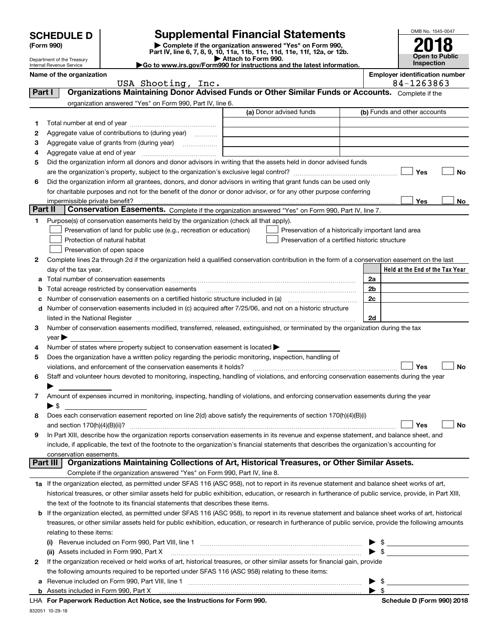|                                                                                                             | <b>SCHEDULE D</b>                                    |                                                                                                        | <b>Supplemental Financial Statements</b>                                                                                                                  |                         | OMB No. 1545-0047                     |  |  |  |
|-------------------------------------------------------------------------------------------------------------|------------------------------------------------------|--------------------------------------------------------------------------------------------------------|-----------------------------------------------------------------------------------------------------------------------------------------------------------|-------------------------|---------------------------------------|--|--|--|
|                                                                                                             | (Form 990)                                           |                                                                                                        | Complete if the organization answered "Yes" on Form 990,                                                                                                  |                         |                                       |  |  |  |
|                                                                                                             | Department of the Treasury                           |                                                                                                        | Part IV, line 6, 7, 8, 9, 10, 11a, 11b, 11c, 11d, 11e, 11f, 12a, or 12b.<br>Attach to Form 990.                                                           |                         | Open to Public<br>Inspection          |  |  |  |
|                                                                                                             | Internal Revenue Service<br>Name of the organization |                                                                                                        | Go to www.irs.gov/Form990 for instructions and the latest information.                                                                                    |                         | <b>Employer identification number</b> |  |  |  |
|                                                                                                             |                                                      | USA Shooting, Inc.                                                                                     |                                                                                                                                                           |                         | 84-1263863                            |  |  |  |
| Organizations Maintaining Donor Advised Funds or Other Similar Funds or Accounts. Complete if the<br>Part I |                                                      |                                                                                                        |                                                                                                                                                           |                         |                                       |  |  |  |
|                                                                                                             |                                                      | organization answered "Yes" on Form 990, Part IV, line 6.                                              |                                                                                                                                                           |                         |                                       |  |  |  |
|                                                                                                             |                                                      |                                                                                                        | (a) Donor advised funds                                                                                                                                   |                         | (b) Funds and other accounts          |  |  |  |
| 1<br>2                                                                                                      |                                                      | Aggregate value of contributions to (during year)                                                      |                                                                                                                                                           |                         |                                       |  |  |  |
| з                                                                                                           |                                                      |                                                                                                        |                                                                                                                                                           |                         |                                       |  |  |  |
| 4                                                                                                           |                                                      |                                                                                                        |                                                                                                                                                           |                         |                                       |  |  |  |
| 5                                                                                                           |                                                      |                                                                                                        | Did the organization inform all donors and donor advisors in writing that the assets held in donor advised funds                                          |                         |                                       |  |  |  |
|                                                                                                             |                                                      |                                                                                                        |                                                                                                                                                           |                         | Yes<br>No                             |  |  |  |
| 6                                                                                                           |                                                      |                                                                                                        | Did the organization inform all grantees, donors, and donor advisors in writing that grant funds can be used only                                         |                         |                                       |  |  |  |
|                                                                                                             |                                                      |                                                                                                        | for charitable purposes and not for the benefit of the donor or donor advisor, or for any other purpose conferring                                        |                         |                                       |  |  |  |
| Part II                                                                                                     | impermissible private benefit?                       |                                                                                                        | Conservation Easements. Complete if the organization answered "Yes" on Form 990, Part IV, line 7.                                                         |                         | Yes<br>No                             |  |  |  |
| 1                                                                                                           |                                                      | Purpose(s) of conservation easements held by the organization (check all that apply).                  |                                                                                                                                                           |                         |                                       |  |  |  |
|                                                                                                             |                                                      | Preservation of land for public use (e.g., recreation or education)                                    | Preservation of a historically important land area                                                                                                        |                         |                                       |  |  |  |
|                                                                                                             |                                                      | Protection of natural habitat                                                                          | Preservation of a certified historic structure                                                                                                            |                         |                                       |  |  |  |
|                                                                                                             |                                                      | Preservation of open space                                                                             |                                                                                                                                                           |                         |                                       |  |  |  |
| 2                                                                                                           |                                                      |                                                                                                        | Complete lines 2a through 2d if the organization held a qualified conservation contribution in the form of a conservation easement on the last            |                         |                                       |  |  |  |
|                                                                                                             | day of the tax year.                                 |                                                                                                        |                                                                                                                                                           |                         | Held at the End of the Tax Year       |  |  |  |
| a                                                                                                           |                                                      |                                                                                                        |                                                                                                                                                           | 2a                      |                                       |  |  |  |
| b<br>с                                                                                                      |                                                      | Total acreage restricted by conservation easements                                                     |                                                                                                                                                           | 2b<br>2c                |                                       |  |  |  |
| d                                                                                                           |                                                      |                                                                                                        | Number of conservation easements included in (c) acquired after 7/25/06, and not on a historic structure                                                  |                         |                                       |  |  |  |
|                                                                                                             |                                                      |                                                                                                        |                                                                                                                                                           | 2d                      |                                       |  |  |  |
| 3                                                                                                           |                                                      |                                                                                                        | Number of conservation easements modified, transferred, released, extinguished, or terminated by the organization during the tax                          |                         |                                       |  |  |  |
|                                                                                                             | $\mathsf{year}$                                      |                                                                                                        |                                                                                                                                                           |                         |                                       |  |  |  |
| 4                                                                                                           |                                                      | Number of states where property subject to conservation easement is located $\blacktriangleright$      |                                                                                                                                                           |                         |                                       |  |  |  |
| 5                                                                                                           |                                                      | Does the organization have a written policy regarding the periodic monitoring, inspection, handling of |                                                                                                                                                           |                         |                                       |  |  |  |
| 6                                                                                                           |                                                      | violations, and enforcement of the conservation easements it holds?                                    | Staff and volunteer hours devoted to monitoring, inspecting, handling of violations, and enforcing conservation easements during the year                 |                         | Yes<br>No                             |  |  |  |
|                                                                                                             |                                                      |                                                                                                        |                                                                                                                                                           |                         |                                       |  |  |  |
| 7                                                                                                           |                                                      |                                                                                                        | Amount of expenses incurred in monitoring, inspecting, handling of violations, and enforcing conservation easements during the year                       |                         |                                       |  |  |  |
|                                                                                                             | $\blacktriangleright$ \$                             |                                                                                                        |                                                                                                                                                           |                         |                                       |  |  |  |
| 8                                                                                                           |                                                      |                                                                                                        | Does each conservation easement reported on line 2(d) above satisfy the requirements of section 170(h)(4)(B)(i)                                           |                         |                                       |  |  |  |
|                                                                                                             | and section $170(h)(4)(B)(ii)?$                      |                                                                                                        |                                                                                                                                                           |                         | Yes<br>No                             |  |  |  |
| 9                                                                                                           |                                                      |                                                                                                        | In Part XIII, describe how the organization reports conservation easements in its revenue and expense statement, and balance sheet, and                   |                         |                                       |  |  |  |
|                                                                                                             | conservation easements.                              |                                                                                                        | include, if applicable, the text of the footnote to the organization's financial statements that describes the organization's accounting for              |                         |                                       |  |  |  |
|                                                                                                             | Part III                                             |                                                                                                        | Organizations Maintaining Collections of Art, Historical Treasures, or Other Similar Assets.                                                              |                         |                                       |  |  |  |
|                                                                                                             |                                                      | Complete if the organization answered "Yes" on Form 990, Part IV, line 8.                              |                                                                                                                                                           |                         |                                       |  |  |  |
|                                                                                                             |                                                      |                                                                                                        | 1a If the organization elected, as permitted under SFAS 116 (ASC 958), not to report in its revenue statement and balance sheet works of art,             |                         |                                       |  |  |  |
|                                                                                                             |                                                      |                                                                                                        | historical treasures, or other similar assets held for public exhibition, education, or research in furtherance of public service, provide, in Part XIII, |                         |                                       |  |  |  |
|                                                                                                             |                                                      | the text of the footnote to its financial statements that describes these items.                       |                                                                                                                                                           |                         |                                       |  |  |  |
| b                                                                                                           |                                                      |                                                                                                        | If the organization elected, as permitted under SFAS 116 (ASC 958), to report in its revenue statement and balance sheet works of art, historical         |                         |                                       |  |  |  |
|                                                                                                             |                                                      |                                                                                                        | treasures, or other similar assets held for public exhibition, education, or research in furtherance of public service, provide the following amounts     |                         |                                       |  |  |  |
|                                                                                                             | relating to these items:                             |                                                                                                        | (i) Revenue included on Form 990, Part VIII, line 1 <i>maching communically communically communically communical</i>                                      |                         | $\frac{1}{2}$                         |  |  |  |
|                                                                                                             |                                                      | (ii) Assets included in Form 990, Part X                                                               |                                                                                                                                                           |                         | $\triangleright$ \$                   |  |  |  |
| 2                                                                                                           |                                                      |                                                                                                        | If the organization received or held works of art, historical treasures, or other similar assets for financial gain, provide                              |                         |                                       |  |  |  |
|                                                                                                             |                                                      | the following amounts required to be reported under SFAS 116 (ASC 958) relating to these items:        |                                                                                                                                                           |                         |                                       |  |  |  |
| а                                                                                                           |                                                      |                                                                                                        |                                                                                                                                                           |                         | \$                                    |  |  |  |
|                                                                                                             | <b>b</b> Assets included in Form 990, Part X         |                                                                                                        |                                                                                                                                                           | $\blacktriangleright$ s |                                       |  |  |  |
|                                                                                                             |                                                      | LHA For Paperwork Reduction Act Notice, see the Instructions for Form 990.                             |                                                                                                                                                           |                         | Schedule D (Form 990) 2018            |  |  |  |

832051 10-29-18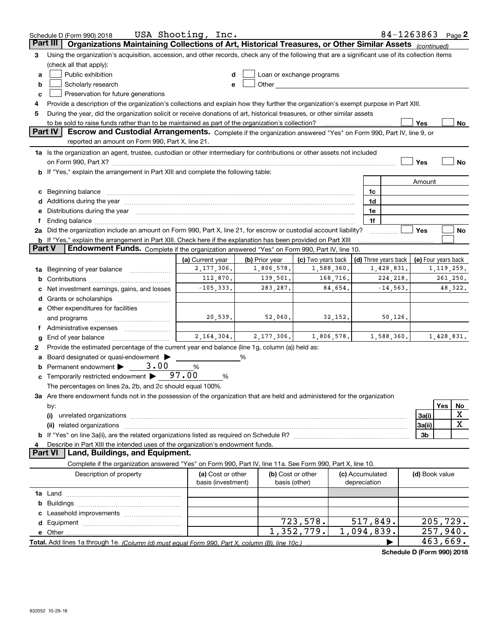|               | Schedule D (Form 990) 2018                                                                                                                                                                                           | USA Shooting, Inc.                      |                |                                                                                                                                                                                                                               |                                 | 84-1263863 Page 2    |                     |              |         |
|---------------|----------------------------------------------------------------------------------------------------------------------------------------------------------------------------------------------------------------------|-----------------------------------------|----------------|-------------------------------------------------------------------------------------------------------------------------------------------------------------------------------------------------------------------------------|---------------------------------|----------------------|---------------------|--------------|---------|
|               | Organizations Maintaining Collections of Art, Historical Treasures, or Other Similar Assets (continued)<br>Part III                                                                                                  |                                         |                |                                                                                                                                                                                                                               |                                 |                      |                     |              |         |
| з             | Using the organization's acquisition, accession, and other records, check any of the following that are a significant use of its collection items                                                                    |                                         |                |                                                                                                                                                                                                                               |                                 |                      |                     |              |         |
|               | (check all that apply):                                                                                                                                                                                              |                                         |                |                                                                                                                                                                                                                               |                                 |                      |                     |              |         |
| a             | Public exhibition                                                                                                                                                                                                    |                                         |                | Loan or exchange programs                                                                                                                                                                                                     |                                 |                      |                     |              |         |
| b             | Scholarly research                                                                                                                                                                                                   |                                         |                | Other and the contract of the contract of the contract of the contract of the contract of the contract of the contract of the contract of the contract of the contract of the contract of the contract of the contract of the |                                 |                      |                     |              |         |
| c             | Preservation for future generations                                                                                                                                                                                  |                                         |                |                                                                                                                                                                                                                               |                                 |                      |                     |              |         |
|               | Provide a description of the organization's collections and explain how they further the organization's exempt purpose in Part XIII.                                                                                 |                                         |                |                                                                                                                                                                                                                               |                                 |                      |                     |              |         |
| 5             | During the year, did the organization solicit or receive donations of art, historical treasures, or other similar assets                                                                                             |                                         |                |                                                                                                                                                                                                                               |                                 |                      |                     |              |         |
|               | to be sold to raise funds rather than to be maintained as part of the organization's collection?                                                                                                                     |                                         |                |                                                                                                                                                                                                                               |                                 |                      | Yes                 |              | No      |
|               | <b>Part IV</b><br>Escrow and Custodial Arrangements. Complete if the organization answered "Yes" on Form 990, Part IV, line 9, or                                                                                    |                                         |                |                                                                                                                                                                                                                               |                                 |                      |                     |              |         |
|               | reported an amount on Form 990, Part X, line 21.                                                                                                                                                                     |                                         |                |                                                                                                                                                                                                                               |                                 |                      |                     |              |         |
|               | 1a Is the organization an agent, trustee, custodian or other intermediary for contributions or other assets not included                                                                                             |                                         |                |                                                                                                                                                                                                                               |                                 |                      |                     |              |         |
|               |                                                                                                                                                                                                                      |                                         |                |                                                                                                                                                                                                                               |                                 |                      | Yes                 |              | No      |
|               | b If "Yes," explain the arrangement in Part XIII and complete the following table:                                                                                                                                   |                                         |                |                                                                                                                                                                                                                               |                                 |                      |                     |              |         |
|               |                                                                                                                                                                                                                      |                                         |                |                                                                                                                                                                                                                               |                                 |                      | Amount              |              |         |
|               |                                                                                                                                                                                                                      |                                         |                |                                                                                                                                                                                                                               | 1c                              |                      |                     |              |         |
|               |                                                                                                                                                                                                                      |                                         |                |                                                                                                                                                                                                                               | 1d                              |                      |                     |              |         |
|               | e Distributions during the year manufactured and continuum and contract the year manufactured and contract the                                                                                                       |                                         |                |                                                                                                                                                                                                                               | 1e                              |                      |                     |              |         |
|               |                                                                                                                                                                                                                      |                                         |                |                                                                                                                                                                                                                               | 1f                              |                      |                     |              |         |
|               | 2a Did the organization include an amount on Form 990, Part X, line 21, for escrow or custodial account liability?                                                                                                   |                                         |                |                                                                                                                                                                                                                               |                                 |                      | Yes                 |              | No      |
| <b>Part V</b> | <b>b</b> If "Yes," explain the arrangement in Part XIII. Check here if the explanation has been provided on Part XIII<br>Endowment Funds. Complete if the organization answered "Yes" on Form 990, Part IV, line 10. |                                         |                |                                                                                                                                                                                                                               |                                 |                      |                     |              |         |
|               |                                                                                                                                                                                                                      | (a) Current year                        | (b) Prior year | (c) Two years back                                                                                                                                                                                                            |                                 | (d) Three years back | (e) Four years back |              |         |
| 1a            | Beginning of year balance                                                                                                                                                                                            | 2, 177, 306.                            | 1,806,578.     | 1,588,360.                                                                                                                                                                                                                    |                                 | 1,428,831.           |                     | 1, 119, 259. |         |
|               |                                                                                                                                                                                                                      | 112,870.                                | 139,501.       | 168,716.                                                                                                                                                                                                                      |                                 | 224, 218.            |                     | 261,250.     |         |
|               | Net investment earnings, gains, and losses                                                                                                                                                                           | $-105, 333.$                            | 283, 287.      | 84,654.                                                                                                                                                                                                                       |                                 | $-14, 563.$          |                     |              | 48,322. |
|               |                                                                                                                                                                                                                      |                                         |                |                                                                                                                                                                                                                               |                                 |                      |                     |              |         |
|               | e Other expenditures for facilities                                                                                                                                                                                  |                                         |                |                                                                                                                                                                                                                               |                                 |                      |                     |              |         |
|               | and programs                                                                                                                                                                                                         | 20,539.                                 | 52,060.        | 32,152.                                                                                                                                                                                                                       |                                 | 50,126.              |                     |              |         |
|               | f Administrative expenses                                                                                                                                                                                            |                                         |                |                                                                                                                                                                                                                               |                                 |                      |                     |              |         |
| g             | End of year balance                                                                                                                                                                                                  | 2, 164, 304.                            | 2,177,306.     | 1,806,578.                                                                                                                                                                                                                    |                                 | 1,588,360.           |                     | 1,428,831.   |         |
|               | Provide the estimated percentage of the current year end balance (line 1g, column (a)) held as:                                                                                                                      |                                         |                |                                                                                                                                                                                                                               |                                 |                      |                     |              |         |
|               | Board designated or quasi-endowment                                                                                                                                                                                  |                                         | %              |                                                                                                                                                                                                                               |                                 |                      |                     |              |         |
|               | <b>b</b> Permanent endowment $\blacktriangleright$<br>3,00                                                                                                                                                           | %                                       |                |                                                                                                                                                                                                                               |                                 |                      |                     |              |         |
|               | <b>c</b> Temporarily restricted endowment $\blacktriangleright$ 97.00                                                                                                                                                | %                                       |                |                                                                                                                                                                                                                               |                                 |                      |                     |              |         |
|               | The percentages on lines 2a, 2b, and 2c should equal 100%.                                                                                                                                                           |                                         |                |                                                                                                                                                                                                                               |                                 |                      |                     |              |         |
|               | 3a Are there endowment funds not in the possession of the organization that are held and administered for the organization                                                                                           |                                         |                |                                                                                                                                                                                                                               |                                 |                      |                     |              |         |
|               | by:                                                                                                                                                                                                                  |                                         |                |                                                                                                                                                                                                                               |                                 |                      |                     | Yes          | No      |
|               | (i)                                                                                                                                                                                                                  |                                         |                |                                                                                                                                                                                                                               |                                 |                      | 3a(i)               |              | X       |
|               | related organizations<br>(ii)                                                                                                                                                                                        |                                         |                |                                                                                                                                                                                                                               |                                 |                      | 3a(ii)              |              | X       |
|               |                                                                                                                                                                                                                      |                                         |                |                                                                                                                                                                                                                               |                                 |                      | 3b                  |              |         |
|               | Describe in Part XIII the intended uses of the organization's endowment funds.                                                                                                                                       |                                         |                |                                                                                                                                                                                                                               |                                 |                      |                     |              |         |
|               | <b>Part VI</b><br>Land, Buildings, and Equipment.                                                                                                                                                                    |                                         |                |                                                                                                                                                                                                                               |                                 |                      |                     |              |         |
|               | Complete if the organization answered "Yes" on Form 990, Part IV, line 11a. See Form 990, Part X, line 10.                                                                                                           |                                         |                |                                                                                                                                                                                                                               |                                 |                      |                     |              |         |
|               | Description of property                                                                                                                                                                                              | (a) Cost or other<br>basis (investment) |                | (b) Cost or other<br>basis (other)                                                                                                                                                                                            | (c) Accumulated<br>depreciation |                      | (d) Book value      |              |         |
|               |                                                                                                                                                                                                                      |                                         |                |                                                                                                                                                                                                                               |                                 |                      |                     |              |         |
|               |                                                                                                                                                                                                                      |                                         |                |                                                                                                                                                                                                                               |                                 |                      |                     |              |         |
|               |                                                                                                                                                                                                                      |                                         |                |                                                                                                                                                                                                                               |                                 |                      |                     |              |         |
|               |                                                                                                                                                                                                                      |                                         |                | 723,578.                                                                                                                                                                                                                      | 517,849.                        |                      |                     | 205,729.     |         |
|               | e Other                                                                                                                                                                                                              |                                         |                | 1,352,779.                                                                                                                                                                                                                    | 1,094,839.                      |                      |                     | 257,940.     |         |
|               |                                                                                                                                                                                                                      |                                         |                |                                                                                                                                                                                                                               |                                 |                      |                     | 463,669.     |         |

**Schedule D (Form 990) 2018**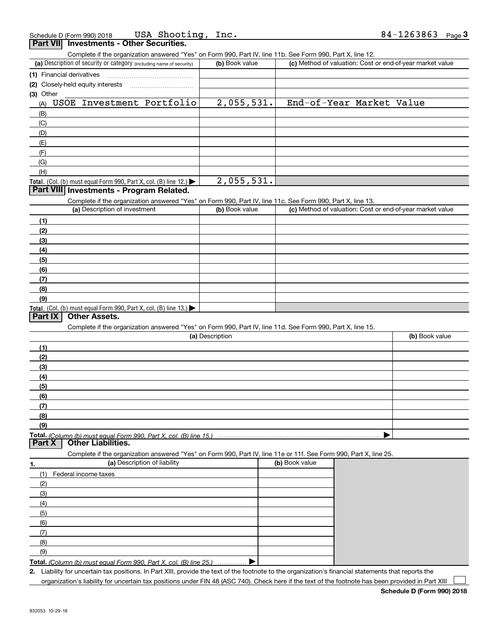| Complete if the organization answered "Yes" on Form 990, Part IV, line 11b. See Form 990, Part X, line 12.<br>(a) Description of security or category (including name of security)<br>(1) Financial derivatives<br>(2) Closely-held equity interests<br>(3) Other<br>USOE Investment Portfolio<br>(A)<br>(B)<br>(C)<br>(D)<br>(E)<br>(F)<br>(G)<br>(H) | (b) Book value<br>2,055,531. | (c) Method of valuation: Cost or end-of-year market value<br>End-of-Year Market Value |                |
|--------------------------------------------------------------------------------------------------------------------------------------------------------------------------------------------------------------------------------------------------------------------------------------------------------------------------------------------------------|------------------------------|---------------------------------------------------------------------------------------|----------------|
|                                                                                                                                                                                                                                                                                                                                                        |                              |                                                                                       |                |
|                                                                                                                                                                                                                                                                                                                                                        |                              |                                                                                       |                |
|                                                                                                                                                                                                                                                                                                                                                        |                              |                                                                                       |                |
|                                                                                                                                                                                                                                                                                                                                                        |                              |                                                                                       |                |
|                                                                                                                                                                                                                                                                                                                                                        |                              |                                                                                       |                |
|                                                                                                                                                                                                                                                                                                                                                        |                              |                                                                                       |                |
|                                                                                                                                                                                                                                                                                                                                                        |                              |                                                                                       |                |
|                                                                                                                                                                                                                                                                                                                                                        |                              |                                                                                       |                |
|                                                                                                                                                                                                                                                                                                                                                        |                              |                                                                                       |                |
|                                                                                                                                                                                                                                                                                                                                                        |                              |                                                                                       |                |
|                                                                                                                                                                                                                                                                                                                                                        |                              |                                                                                       |                |
| Total. (Col. (b) must equal Form 990, Part X, col. (B) line 12.)                                                                                                                                                                                                                                                                                       |                              |                                                                                       |                |
|                                                                                                                                                                                                                                                                                                                                                        | 2,055,531.                   |                                                                                       |                |
| Part VIII Investments - Program Related.                                                                                                                                                                                                                                                                                                               |                              |                                                                                       |                |
| Complete if the organization answered "Yes" on Form 990, Part IV, line 11c. See Form 990, Part X, line 13.                                                                                                                                                                                                                                             |                              |                                                                                       |                |
| (a) Description of investment                                                                                                                                                                                                                                                                                                                          | (b) Book value               | (c) Method of valuation: Cost or end-of-year market value                             |                |
| (1)                                                                                                                                                                                                                                                                                                                                                    |                              |                                                                                       |                |
| (2)                                                                                                                                                                                                                                                                                                                                                    |                              |                                                                                       |                |
| (3)                                                                                                                                                                                                                                                                                                                                                    |                              |                                                                                       |                |
| (4)                                                                                                                                                                                                                                                                                                                                                    |                              |                                                                                       |                |
| (5)                                                                                                                                                                                                                                                                                                                                                    |                              |                                                                                       |                |
| (6)                                                                                                                                                                                                                                                                                                                                                    |                              |                                                                                       |                |
| (7)                                                                                                                                                                                                                                                                                                                                                    |                              |                                                                                       |                |
| (8)                                                                                                                                                                                                                                                                                                                                                    |                              |                                                                                       |                |
| (9)                                                                                                                                                                                                                                                                                                                                                    |                              |                                                                                       |                |
| Total. (Col. (b) must equal Form 990, Part X, col. (B) line 13.)<br>Other Assets.<br>Part IX                                                                                                                                                                                                                                                           |                              |                                                                                       |                |
| Complete if the organization answered "Yes" on Form 990, Part IV, line 11d. See Form 990, Part X, line 15.                                                                                                                                                                                                                                             | (a) Description              |                                                                                       | (b) Book value |
|                                                                                                                                                                                                                                                                                                                                                        |                              |                                                                                       |                |
| (1)                                                                                                                                                                                                                                                                                                                                                    |                              |                                                                                       |                |
| (2)<br>(3)                                                                                                                                                                                                                                                                                                                                             |                              |                                                                                       |                |
| (4)                                                                                                                                                                                                                                                                                                                                                    |                              |                                                                                       |                |
| (5)                                                                                                                                                                                                                                                                                                                                                    |                              |                                                                                       |                |
| (6)                                                                                                                                                                                                                                                                                                                                                    |                              |                                                                                       |                |
| (7)                                                                                                                                                                                                                                                                                                                                                    |                              |                                                                                       |                |
| (8)                                                                                                                                                                                                                                                                                                                                                    |                              |                                                                                       |                |
| (9)                                                                                                                                                                                                                                                                                                                                                    |                              |                                                                                       |                |
| Total. (Column (b) must equal Form 990, Part X, col. (B) line 15.)<br>Part X<br><b>Other Liabilities.</b>                                                                                                                                                                                                                                              |                              |                                                                                       |                |
| Complete if the organization answered "Yes" on Form 990, Part IV, line 11e or 11f. See Form 990, Part X, line 25.                                                                                                                                                                                                                                      |                              |                                                                                       |                |
| (a) Description of liability<br>1.                                                                                                                                                                                                                                                                                                                     |                              | (b) Book value                                                                        |                |
| (1)<br>Federal income taxes                                                                                                                                                                                                                                                                                                                            |                              |                                                                                       |                |
| (2)                                                                                                                                                                                                                                                                                                                                                    |                              |                                                                                       |                |
| (3)                                                                                                                                                                                                                                                                                                                                                    |                              |                                                                                       |                |
| (4)                                                                                                                                                                                                                                                                                                                                                    |                              |                                                                                       |                |
| (5)                                                                                                                                                                                                                                                                                                                                                    |                              |                                                                                       |                |
| (6)                                                                                                                                                                                                                                                                                                                                                    |                              |                                                                                       |                |
| (7)                                                                                                                                                                                                                                                                                                                                                    |                              |                                                                                       |                |
| (8)                                                                                                                                                                                                                                                                                                                                                    |                              |                                                                                       |                |
| (9)                                                                                                                                                                                                                                                                                                                                                    |                              |                                                                                       |                |
| Total. (Column (b) must equal Form 990, Part X, col. (B) line 25.)                                                                                                                                                                                                                                                                                     |                              |                                                                                       |                |

organization's liability for uncertain tax positions under FIN 48 (ASC 740). Check here if the text of the footnote has been provided in Part XIII  $\Box$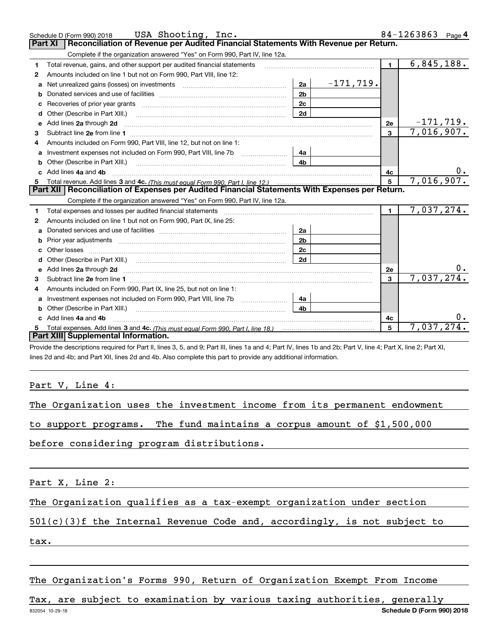|              | USA Shooting, Inc.<br>Schedule D (Form 990) 2018                                                                                                                                                                                    |                |             |                 | 84-1263863 | Page 4      |
|--------------|-------------------------------------------------------------------------------------------------------------------------------------------------------------------------------------------------------------------------------------|----------------|-------------|-----------------|------------|-------------|
|              | Reconciliation of Revenue per Audited Financial Statements With Revenue per Return.<br>Part XI                                                                                                                                      |                |             |                 |            |             |
|              | Complete if the organization answered "Yes" on Form 990, Part IV, line 12a.                                                                                                                                                         |                |             |                 |            |             |
| 1            | Total revenue, gains, and other support per audited financial statements                                                                                                                                                            |                |             | $\blacksquare$  | 6,845,188. |             |
| $\mathbf{2}$ | Amounts included on line 1 but not on Form 990, Part VIII, line 12:                                                                                                                                                                 |                |             |                 |            |             |
| a            | Net unrealized gains (losses) on investments [11] matter contracts and the unrealized gains (losses) on investments                                                                                                                 | 2a             | $-171,719.$ |                 |            |             |
|              |                                                                                                                                                                                                                                     | 2 <sub>b</sub> |             |                 |            |             |
| c            |                                                                                                                                                                                                                                     | 2c             |             |                 |            |             |
|              |                                                                                                                                                                                                                                     | 2d             |             |                 |            |             |
| е            | Add lines 2a through 2d                                                                                                                                                                                                             |                |             | 2e              |            | $-171,719.$ |
| з            |                                                                                                                                                                                                                                     |                |             | 3               | 7,016,907. |             |
|              | Amounts included on Form 990. Part VIII, line 12, but not on line 1:                                                                                                                                                                |                |             |                 |            |             |
|              |                                                                                                                                                                                                                                     | 4a             |             |                 |            |             |
| b            | Other (Describe in Part XIII.) <b>Construction Contract Construction</b> Chern Construction Chern Chern Chern Chern Chern Chern Chern Chern Chern Chern Chern Chern Chern Chern Chern Chern Chern Chern Chern Chern Chern Chern Che | 4b             |             |                 |            |             |
| c.           | Add lines 4a and 4b                                                                                                                                                                                                                 |                |             | 4c              |            | 0.          |
|              |                                                                                                                                                                                                                                     |                |             |                 |            |             |
| 5            |                                                                                                                                                                                                                                     |                |             | $5\phantom{.0}$ | 7,016,907. |             |
|              | Part XII   Reconciliation of Expenses per Audited Financial Statements With Expenses per Return.                                                                                                                                    |                |             |                 |            |             |
|              | Complete if the organization answered "Yes" on Form 990, Part IV, line 12a.                                                                                                                                                         |                |             |                 |            |             |
| 1.           |                                                                                                                                                                                                                                     |                |             | $\blacksquare$  | 7,037,274. |             |
| 2            | Amounts included on line 1 but not on Form 990, Part IX, line 25:                                                                                                                                                                   |                |             |                 |            |             |
| a            |                                                                                                                                                                                                                                     | 2a             |             |                 |            |             |
| b            |                                                                                                                                                                                                                                     | 2 <sub>b</sub> |             |                 |            |             |
|              |                                                                                                                                                                                                                                     | 2c             |             |                 |            |             |
|              |                                                                                                                                                                                                                                     | 2d             |             |                 |            |             |
| e            | Add lines 2a through 2d <b>contained a contained a contained a contained a</b> contained a contact the set of the set of the set of the set of the set of the set of the set of the set of the set of the set of the set of the set |                |             | 2e              |            |             |
| 3            |                                                                                                                                                                                                                                     |                |             | 3               | 7,037,274. |             |
| 4            | Amounts included on Form 990, Part IX, line 25, but not on line 1:                                                                                                                                                                  |                |             |                 |            |             |
| a            | Investment expenses not included on Form 990, Part VIII, line 7b [1000000000000000000000000000000000                                                                                                                                | 4a             |             |                 |            |             |
| b            |                                                                                                                                                                                                                                     | 4b             |             |                 |            |             |
|              | Add lines 4a and 4b                                                                                                                                                                                                                 |                |             | 4c              |            |             |
|              | Part XIII Supplemental Information.                                                                                                                                                                                                 |                |             | 5               | 7,037,274. |             |

Provide the descriptions required for Part II, lines 3, 5, and 9; Part III, lines 1a and 4; Part IV, lines 1b and 2b; Part V, line 4; Part X, line 2; Part XI, lines 2d and 4b; and Part XII, lines 2d and 4b. Also complete this part to provide any additional information.

Part V, Line 4:

| The Organization uses the investment income from its permanent endowment |  |  |  |  |
|--------------------------------------------------------------------------|--|--|--|--|
|                                                                          |  |  |  |  |

to support programs. The fund maintains a corpus amount of \$1,500,000

before considering program distributions.

Part X, Line 2:

The Organization qualifies as a tax-exempt organization under section

501(c)(3)f the Internal Revenue Code and, accordingly, is not subject to

tax.

The Organization's Forms 990, Return of Organization Exempt From Income

832054 10-29-18 **Schedule D (Form 990) 2018** Tax, are subject to examination by various taxing authorities, generally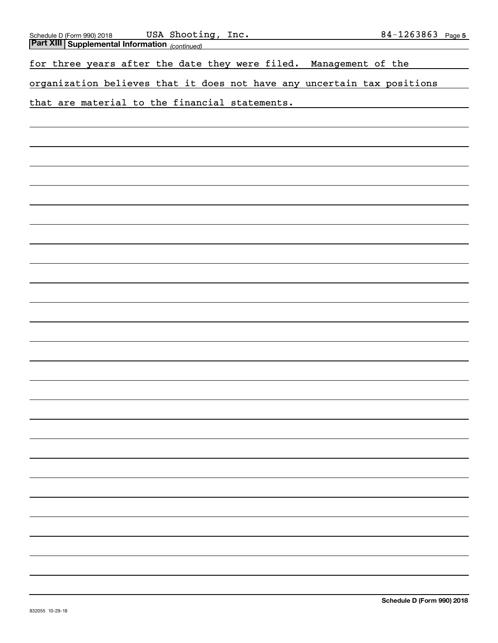| USA Shooting, Inc.<br>Schedule D (Form 990) 2018                        | 84-1263863 Page 5 |  |
|-------------------------------------------------------------------------|-------------------|--|
| <b>Part XIII Supplemental Information</b> <sub>(continued)</sub>        |                   |  |
| for three years after the date they were filed.<br>Management of the    |                   |  |
| organization believes that it does not have any uncertain tax positions |                   |  |
| that are material to the financial statements.                          |                   |  |
|                                                                         |                   |  |
|                                                                         |                   |  |
|                                                                         |                   |  |
|                                                                         |                   |  |
|                                                                         |                   |  |
|                                                                         |                   |  |
|                                                                         |                   |  |
|                                                                         |                   |  |
|                                                                         |                   |  |
|                                                                         |                   |  |
|                                                                         |                   |  |
|                                                                         |                   |  |
|                                                                         |                   |  |
|                                                                         |                   |  |
|                                                                         |                   |  |
|                                                                         |                   |  |
|                                                                         |                   |  |
|                                                                         |                   |  |
|                                                                         |                   |  |
|                                                                         |                   |  |
|                                                                         |                   |  |
|                                                                         |                   |  |
|                                                                         |                   |  |
|                                                                         |                   |  |
|                                                                         |                   |  |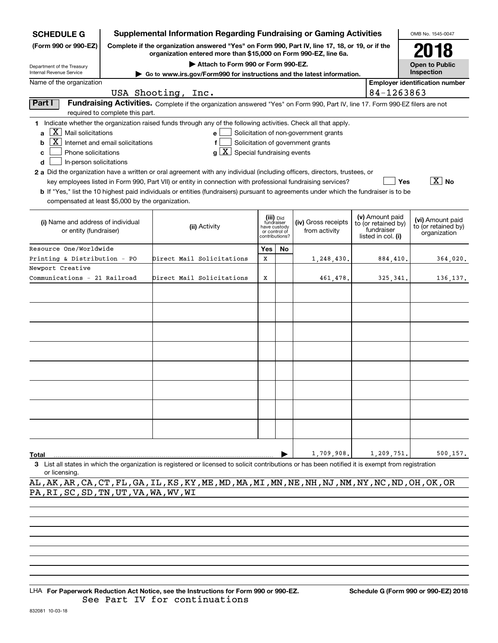| <b>SCHEDULE G</b>                                                                                                                                                                                                                                                                                                                                             |                                  | <b>Supplemental Information Regarding Fundraising or Gaming Activities</b>                                                                                                                                                                                  |               |                                                           |                                                                            |                                                                            | OMB No. 1545-0047                                       |
|---------------------------------------------------------------------------------------------------------------------------------------------------------------------------------------------------------------------------------------------------------------------------------------------------------------------------------------------------------------|----------------------------------|-------------------------------------------------------------------------------------------------------------------------------------------------------------------------------------------------------------------------------------------------------------|---------------|-----------------------------------------------------------|----------------------------------------------------------------------------|----------------------------------------------------------------------------|---------------------------------------------------------|
| (Form 990 or 990-EZ)                                                                                                                                                                                                                                                                                                                                          |                                  | Complete if the organization answered "Yes" on Form 990, Part IV, line 17, 18, or 19, or if the<br>organization entered more than \$15,000 on Form 990-EZ, line 6a.                                                                                         |               |                                                           |                                                                            |                                                                            | 2018                                                    |
| Department of the Treasury                                                                                                                                                                                                                                                                                                                                    |                                  | Attach to Form 990 or Form 990-EZ.                                                                                                                                                                                                                          |               |                                                           |                                                                            |                                                                            | <b>Open to Public</b>                                   |
| Internal Revenue Service                                                                                                                                                                                                                                                                                                                                      |                                  | ► Go to www.irs.gov/Form990 for instructions and the latest information.                                                                                                                                                                                    |               |                                                           |                                                                            |                                                                            | Inspection                                              |
| Name of the organization                                                                                                                                                                                                                                                                                                                                      |                                  |                                                                                                                                                                                                                                                             |               |                                                           |                                                                            |                                                                            | <b>Employer identification number</b>                   |
|                                                                                                                                                                                                                                                                                                                                                               | USA Shooting, Inc.               |                                                                                                                                                                                                                                                             |               |                                                           |                                                                            | 84-1263863                                                                 |                                                         |
| Part I                                                                                                                                                                                                                                                                                                                                                        | required to complete this part.  | Fundraising Activities. Complete if the organization answered "Yes" on Form 990, Part IV, line 17. Form 990-EZ filers are not                                                                                                                               |               |                                                           |                                                                            |                                                                            |                                                         |
| 1 Indicate whether the organization raised funds through any of the following activities. Check all that apply.<br>$X$ Mail solicitations<br>a<br>$\mathbf{X}$<br>b<br>Phone solicitations<br>c<br>In-person solicitations<br>d<br>2 a Did the organization have a written or oral agreement with any individual (including officers, directors, trustees, or | Internet and email solicitations | $\mathbf{e}$<br>f<br>Special fundraising events<br>a                                                                                                                                                                                                        |               |                                                           | Solicitation of non-government grants<br>Solicitation of government grants |                                                                            |                                                         |
| compensated at least \$5,000 by the organization.                                                                                                                                                                                                                                                                                                             |                                  | key employees listed in Form 990, Part VII) or entity in connection with professional fundraising services?<br><b>b</b> If "Yes," list the 10 highest paid individuals or entities (fundraisers) pursuant to agreements under which the fundraiser is to be |               |                                                           |                                                                            | Yes                                                                        | $\overline{\mathbf{X}}$ No                              |
| (i) Name and address of individual<br>or entity (fundraiser)                                                                                                                                                                                                                                                                                                  |                                  | (ii) Activity                                                                                                                                                                                                                                               | or control of | (iii) Did<br>fundraiser<br>have custody<br>contributions? | (iv) Gross receipts<br>from activity                                       | (v) Amount paid<br>to (or retained by)<br>fundraiser<br>listed in col. (i) | (vi) Amount paid<br>to (or retained by)<br>organization |
| Resource One/Worldwide                                                                                                                                                                                                                                                                                                                                        |                                  |                                                                                                                                                                                                                                                             | Yes           | No.                                                       |                                                                            |                                                                            |                                                         |
| Printing & Distribution - PO                                                                                                                                                                                                                                                                                                                                  |                                  | Direct Mail Solicitations                                                                                                                                                                                                                                   | X             |                                                           | 1,248,430.                                                                 | 884,410.                                                                   | 364,020.                                                |
| Newport Creative                                                                                                                                                                                                                                                                                                                                              |                                  |                                                                                                                                                                                                                                                             |               |                                                           |                                                                            |                                                                            |                                                         |
| Communications - 21 Railroad                                                                                                                                                                                                                                                                                                                                  |                                  | Direct Mail Solicitations                                                                                                                                                                                                                                   | х             |                                                           | 461,478.                                                                   | 325, 341.                                                                  | 136, 137.                                               |
|                                                                                                                                                                                                                                                                                                                                                               |                                  |                                                                                                                                                                                                                                                             |               |                                                           |                                                                            |                                                                            |                                                         |
|                                                                                                                                                                                                                                                                                                                                                               |                                  |                                                                                                                                                                                                                                                             |               |                                                           |                                                                            |                                                                            |                                                         |
|                                                                                                                                                                                                                                                                                                                                                               |                                  |                                                                                                                                                                                                                                                             |               |                                                           |                                                                            |                                                                            |                                                         |
|                                                                                                                                                                                                                                                                                                                                                               |                                  |                                                                                                                                                                                                                                                             |               |                                                           |                                                                            |                                                                            |                                                         |
|                                                                                                                                                                                                                                                                                                                                                               |                                  |                                                                                                                                                                                                                                                             |               |                                                           |                                                                            |                                                                            |                                                         |
|                                                                                                                                                                                                                                                                                                                                                               |                                  |                                                                                                                                                                                                                                                             |               |                                                           |                                                                            |                                                                            |                                                         |
| Total                                                                                                                                                                                                                                                                                                                                                         |                                  | 3 List all states in which the organization is registered or licensed to solicit contributions or has been notified it is exempt from registration                                                                                                          |               |                                                           | 1,709,908.                                                                 | 1,209,751.                                                                 | 500,157.                                                |

or licensing.

AL,AK,AR,CA,CT,FL,GA,IL,KS,KY,ME,MD,MA,MI,MN,NE,NH,NJ,NM,NY,NC,ND,OH,OK,OR PA,RI,SC,SD,TN,UT,VA,WA,WV,WI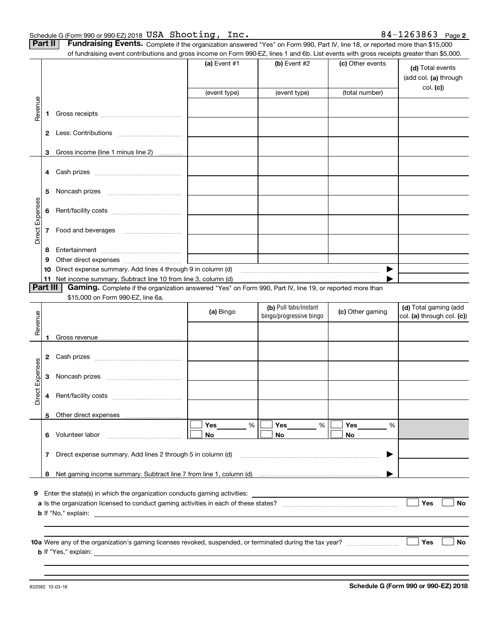| Schedule G (Form 990 or 990-EZ) 2018 USA Shooting, |  | Inc. | 84-1263863<br>Page 2 |  |
|----------------------------------------------------|--|------|----------------------|--|
|                                                    |  |      |                      |  |

|  | <b>Part II</b> Fundraising Events. Complete if the organization answered "Yes" on Form 990, Part IV, line 18, or reported more than \$15,000 |
|--|----------------------------------------------------------------------------------------------------------------------------------------------|
|  | of fundraising event contributions and gross income on Form 990.F7 lines 1 and 6b List events with gross receipts greater than \$5,000       |

|                 |              | of fundraising event contributions and gross income on Form 990-EZ, lines 1 and 6b. List events with gross receipts greater than \$5,000. |              |                         |                  |                                           |
|-----------------|--------------|-------------------------------------------------------------------------------------------------------------------------------------------|--------------|-------------------------|------------------|-------------------------------------------|
|                 |              |                                                                                                                                           | (a) Event #1 | $(b)$ Event #2          | (c) Other events | (d) Total events<br>(add col. (a) through |
|                 |              |                                                                                                                                           | (event type) | (event type)            | (total number)   | col. (c)                                  |
| Revenue         |              |                                                                                                                                           |              |                         |                  |                                           |
|                 | 1.           |                                                                                                                                           |              |                         |                  |                                           |
|                 |              |                                                                                                                                           |              |                         |                  |                                           |
|                 |              |                                                                                                                                           |              |                         |                  |                                           |
|                 |              |                                                                                                                                           |              |                         |                  |                                           |
|                 | 3            | Gross income (line 1 minus line 2)                                                                                                        |              |                         |                  |                                           |
|                 |              |                                                                                                                                           |              |                         |                  |                                           |
|                 |              |                                                                                                                                           |              |                         |                  |                                           |
|                 | 5            |                                                                                                                                           |              |                         |                  |                                           |
|                 |              |                                                                                                                                           |              |                         |                  |                                           |
|                 | 6            |                                                                                                                                           |              |                         |                  |                                           |
| Direct Expenses |              |                                                                                                                                           |              |                         |                  |                                           |
|                 | $\mathbf{7}$ | Food and beverages                                                                                                                        |              |                         |                  |                                           |
|                 | 8            |                                                                                                                                           |              |                         |                  |                                           |
|                 | 9            |                                                                                                                                           |              |                         |                  |                                           |
|                 | 10           | Direct expense summary. Add lines 4 through 9 in column (d)                                                                               |              |                         | ▶                |                                           |
|                 |              | 11 Net income summary. Subtract line 10 from line 3, column (d)                                                                           |              |                         |                  |                                           |
|                 | Part III     | Gaming. Complete if the organization answered "Yes" on Form 990, Part IV, line 19, or reported more than                                  |              |                         |                  |                                           |
|                 |              | \$15,000 on Form 990-EZ, line 6a.                                                                                                         |              | (b) Pull tabs/instant   |                  | (d) Total gaming (add                     |
|                 |              |                                                                                                                                           | (a) Bingo    | bingo/progressive bingo | (c) Other gaming | col. (a) through col. (c))                |
| Revenue         |              |                                                                                                                                           |              |                         |                  |                                           |
|                 |              |                                                                                                                                           |              |                         |                  |                                           |
|                 |              |                                                                                                                                           |              |                         |                  |                                           |
|                 | 2            |                                                                                                                                           |              |                         |                  |                                           |
|                 |              |                                                                                                                                           |              |                         |                  |                                           |
| Expenses        | 3            |                                                                                                                                           |              |                         |                  |                                           |
| <b>Direct</b>   | 4            |                                                                                                                                           |              |                         |                  |                                           |
|                 |              |                                                                                                                                           |              |                         |                  |                                           |
|                 |              | Other direct expenses                                                                                                                     |              |                         |                  |                                           |
|                 |              |                                                                                                                                           | %<br>Yes     | Yes<br>%                | Yes<br>%         |                                           |
|                 |              | 6 Volunteer labor                                                                                                                         | No           | No                      | No               |                                           |
|                 |              |                                                                                                                                           |              |                         |                  |                                           |
|                 |              | 7 Direct expense summary. Add lines 2 through 5 in column (d)                                                                             |              |                         | ▶                |                                           |
|                 |              |                                                                                                                                           |              |                         |                  |                                           |
|                 |              |                                                                                                                                           |              |                         |                  |                                           |
|                 |              | 9 Enter the state(s) in which the organization conducts gaming activities:                                                                |              |                         |                  |                                           |
|                 |              |                                                                                                                                           |              |                         |                  | Yes<br>No                                 |
|                 |              |                                                                                                                                           |              |                         |                  |                                           |
|                 |              |                                                                                                                                           |              |                         |                  |                                           |
|                 |              |                                                                                                                                           |              |                         |                  | Yes<br>No                                 |
|                 |              |                                                                                                                                           |              |                         |                  |                                           |
|                 |              |                                                                                                                                           |              |                         |                  |                                           |
|                 |              |                                                                                                                                           |              |                         |                  |                                           |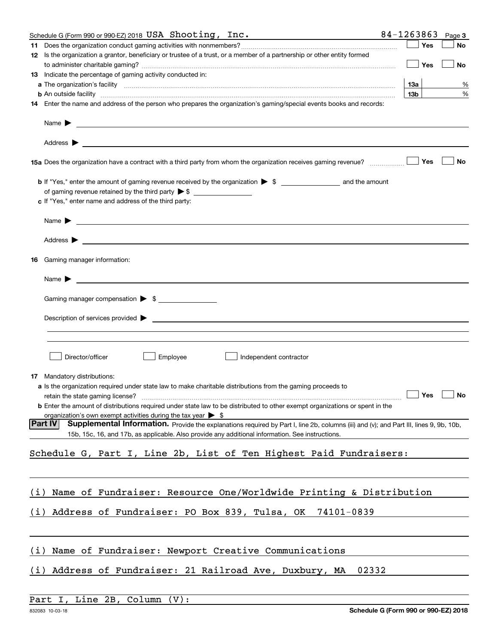|     | Schedule G (Form 990 or 990-EZ) 2018 USA Shooting, Inc.                                                                                                                                                                                                      | 84-1263863      |     | Page 3               |
|-----|--------------------------------------------------------------------------------------------------------------------------------------------------------------------------------------------------------------------------------------------------------------|-----------------|-----|----------------------|
|     |                                                                                                                                                                                                                                                              |                 | Yes | No                   |
|     | 12 Is the organization a grantor, beneficiary or trustee of a trust, or a member of a partnership or other entity formed                                                                                                                                     |                 |     |                      |
|     |                                                                                                                                                                                                                                                              |                 | Yes | No                   |
|     | 13 Indicate the percentage of gaming activity conducted in:                                                                                                                                                                                                  |                 |     |                      |
|     |                                                                                                                                                                                                                                                              | <b>13a</b>      |     | %                    |
|     | <b>b</b> An outside facility <i>www.communically.communically.communically.communically.communically.communically.communically.communically.communically.communically.communically.communically.communically.communically.communicall</i>                    | 13 <sub>b</sub> |     | %                    |
|     | 14 Enter the name and address of the person who prepares the organization's gaming/special events books and records:                                                                                                                                         |                 |     |                      |
|     | Name $\blacktriangleright$                                                                                                                                                                                                                                   |                 |     |                      |
|     |                                                                                                                                                                                                                                                              |                 |     |                      |
|     |                                                                                                                                                                                                                                                              |                 | Yes | No                   |
|     |                                                                                                                                                                                                                                                              |                 |     |                      |
|     |                                                                                                                                                                                                                                                              |                 |     |                      |
|     | c If "Yes," enter name and address of the third party:                                                                                                                                                                                                       |                 |     |                      |
|     |                                                                                                                                                                                                                                                              |                 |     |                      |
|     | Name $\blacktriangleright$                                                                                                                                                                                                                                   |                 |     |                      |
|     | Address $\blacktriangleright$                                                                                                                                                                                                                                |                 |     |                      |
| 16  | Gaming manager information:                                                                                                                                                                                                                                  |                 |     |                      |
|     | Name $\blacktriangleright$                                                                                                                                                                                                                                   |                 |     |                      |
|     |                                                                                                                                                                                                                                                              |                 |     |                      |
|     | Gaming manager compensation > \$                                                                                                                                                                                                                             |                 |     |                      |
|     | Description of services provided $\blacktriangleright$                                                                                                                                                                                                       |                 |     |                      |
|     |                                                                                                                                                                                                                                                              |                 |     |                      |
|     | Director/officer<br>Employee<br>Independent contractor                                                                                                                                                                                                       |                 |     |                      |
| 17  | Mandatory distributions:                                                                                                                                                                                                                                     |                 |     |                      |
|     | a Is the organization required under state law to make charitable distributions from the gaming proceeds to                                                                                                                                                  |                 |     |                      |
|     | retain the state gaming license?                                                                                                                                                                                                                             |                 |     | $\Box$ Yes $\Box$ No |
|     | <b>b</b> Enter the amount of distributions required under state law to be distributed to other exempt organizations or spent in the                                                                                                                          |                 |     |                      |
|     | organization's own exempt activities during the tax year $\triangleright$ \$                                                                                                                                                                                 |                 |     |                      |
|     | <b>Part IV</b><br>Supplemental Information. Provide the explanations required by Part I, line 2b, columns (iii) and (v); and Part III, lines 9, 9b, 10b,<br>15b, 15c, 16, and 17b, as applicable. Also provide any additional information. See instructions. |                 |     |                      |
|     | Schedule G, Part I, Line 2b, List of Ten Highest Paid Fundraisers:                                                                                                                                                                                           |                 |     |                      |
|     |                                                                                                                                                                                                                                                              |                 |     |                      |
|     |                                                                                                                                                                                                                                                              |                 |     |                      |
| (i) | Name of Fundraiser: Resource One/Worldwide Printing & Distribution                                                                                                                                                                                           |                 |     |                      |
| (i) | Address of Fundraiser: PO Box 839, Tulsa, OK 74101-0839                                                                                                                                                                                                      |                 |     |                      |
|     |                                                                                                                                                                                                                                                              |                 |     |                      |
|     |                                                                                                                                                                                                                                                              |                 |     |                      |
| (i) | Name of Fundraiser: Newport Creative Communications                                                                                                                                                                                                          |                 |     |                      |
| (i) | Address of Fundraiser: 21 Railroad Ave, Duxbury, MA<br>02332                                                                                                                                                                                                 |                 |     |                      |
|     |                                                                                                                                                                                                                                                              |                 |     |                      |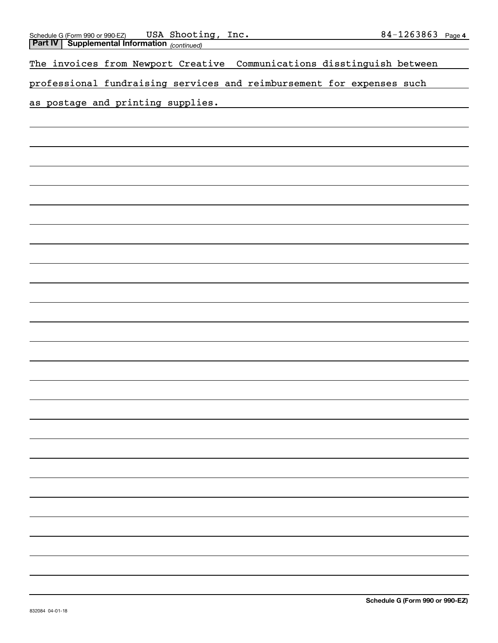| USA Shooting, Inc.<br>Schedule G (Form 990 or 990-EZ) USA Shooting     | 84-1263863 Page 4               |
|------------------------------------------------------------------------|---------------------------------|
| The invoices from Newport Creative Communications disstinguish between |                                 |
| professional fundraising services and reimbursement for expenses such  |                                 |
| as postage and printing supplies.                                      |                                 |
|                                                                        |                                 |
|                                                                        |                                 |
|                                                                        |                                 |
|                                                                        |                                 |
|                                                                        |                                 |
|                                                                        |                                 |
|                                                                        |                                 |
|                                                                        |                                 |
|                                                                        |                                 |
|                                                                        |                                 |
|                                                                        |                                 |
|                                                                        |                                 |
|                                                                        |                                 |
|                                                                        |                                 |
|                                                                        |                                 |
|                                                                        |                                 |
|                                                                        |                                 |
|                                                                        |                                 |
|                                                                        |                                 |
|                                                                        |                                 |
|                                                                        |                                 |
|                                                                        |                                 |
|                                                                        |                                 |
| 832084 04-01-18                                                        | Schedule G (Form 990 or 990-EZ) |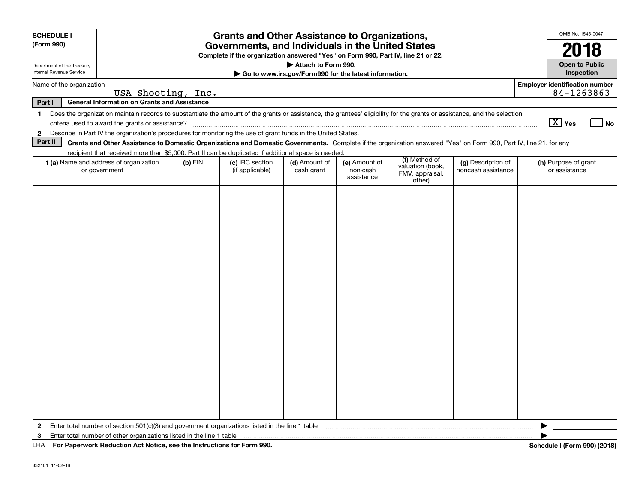| <b>SCHEDULE I</b>                                      |                                                                                                                                                                                                                                                                           |           | <b>Grants and Other Assistance to Organizations,</b>                                                                                  |                                                                              |                                         |                                                                |                                          | OMB No. 1545-0047                                   |
|--------------------------------------------------------|---------------------------------------------------------------------------------------------------------------------------------------------------------------------------------------------------------------------------------------------------------------------------|-----------|---------------------------------------------------------------------------------------------------------------------------------------|------------------------------------------------------------------------------|-----------------------------------------|----------------------------------------------------------------|------------------------------------------|-----------------------------------------------------|
| (Form 990)                                             |                                                                                                                                                                                                                                                                           |           | Governments, and Individuals in the United States<br>Complete if the organization answered "Yes" on Form 990, Part IV, line 21 or 22. |                                                                              |                                         |                                                                |                                          | 2018                                                |
| Department of the Treasury<br>Internal Revenue Service |                                                                                                                                                                                                                                                                           |           |                                                                                                                                       | Attach to Form 990.<br>Go to www.irs.gov/Form990 for the latest information. |                                         |                                                                |                                          | <b>Open to Public</b><br>Inspection                 |
| Name of the organization                               | USA Shooting, Inc.                                                                                                                                                                                                                                                        |           |                                                                                                                                       |                                                                              |                                         |                                                                |                                          | <b>Employer identification number</b><br>84-1263863 |
| Part I                                                 | <b>General Information on Grants and Assistance</b>                                                                                                                                                                                                                       |           |                                                                                                                                       |                                                                              |                                         |                                                                |                                          |                                                     |
| 1.                                                     | Does the organization maintain records to substantiate the amount of the grants or assistance, the grantees' eligibility for the grants or assistance, and the selection                                                                                                  |           |                                                                                                                                       |                                                                              |                                         |                                                                |                                          | $\boxed{\text{X}}$ Yes<br>l No                      |
| $\mathbf{2}$<br>Part II                                | Describe in Part IV the organization's procedures for monitoring the use of grant funds in the United States.                                                                                                                                                             |           |                                                                                                                                       |                                                                              |                                         |                                                                |                                          |                                                     |
|                                                        | Grants and Other Assistance to Domestic Organizations and Domestic Governments. Complete if the organization answered "Yes" on Form 990, Part IV, line 21, for any<br>recipient that received more than \$5,000. Part II can be duplicated if additional space is needed. |           |                                                                                                                                       |                                                                              |                                         |                                                                |                                          |                                                     |
|                                                        | 1 (a) Name and address of organization<br>or government                                                                                                                                                                                                                   | $(b)$ EIN | (c) IRC section<br>(if applicable)                                                                                                    | (d) Amount of<br>cash grant                                                  | (e) Amount of<br>non-cash<br>assistance | (f) Method of<br>valuation (book,<br>FMV, appraisal,<br>other) | (g) Description of<br>noncash assistance | (h) Purpose of grant<br>or assistance               |
|                                                        |                                                                                                                                                                                                                                                                           |           |                                                                                                                                       |                                                                              |                                         |                                                                |                                          |                                                     |
|                                                        |                                                                                                                                                                                                                                                                           |           |                                                                                                                                       |                                                                              |                                         |                                                                |                                          |                                                     |
|                                                        |                                                                                                                                                                                                                                                                           |           |                                                                                                                                       |                                                                              |                                         |                                                                |                                          |                                                     |
|                                                        |                                                                                                                                                                                                                                                                           |           |                                                                                                                                       |                                                                              |                                         |                                                                |                                          |                                                     |
|                                                        |                                                                                                                                                                                                                                                                           |           |                                                                                                                                       |                                                                              |                                         |                                                                |                                          |                                                     |
|                                                        |                                                                                                                                                                                                                                                                           |           |                                                                                                                                       |                                                                              |                                         |                                                                |                                          |                                                     |
|                                                        |                                                                                                                                                                                                                                                                           |           |                                                                                                                                       |                                                                              |                                         |                                                                |                                          |                                                     |
|                                                        |                                                                                                                                                                                                                                                                           |           |                                                                                                                                       |                                                                              |                                         |                                                                |                                          |                                                     |
|                                                        |                                                                                                                                                                                                                                                                           |           |                                                                                                                                       |                                                                              |                                         |                                                                |                                          |                                                     |
|                                                        |                                                                                                                                                                                                                                                                           |           |                                                                                                                                       |                                                                              |                                         |                                                                |                                          |                                                     |
|                                                        |                                                                                                                                                                                                                                                                           |           |                                                                                                                                       |                                                                              |                                         |                                                                |                                          |                                                     |
|                                                        |                                                                                                                                                                                                                                                                           |           |                                                                                                                                       |                                                                              |                                         |                                                                |                                          |                                                     |
| $\mathbf{2}$                                           | Enter total number of section $501(c)(3)$ and government organizations listed in the line 1 table                                                                                                                                                                         |           |                                                                                                                                       |                                                                              |                                         |                                                                |                                          |                                                     |
| 3                                                      | Enter total number of other organizations listed in the line 1 table                                                                                                                                                                                                      |           |                                                                                                                                       |                                                                              |                                         |                                                                |                                          |                                                     |
|                                                        | LHA For Paperwork Reduction Act Notice, see the Instructions for Form 990.<br>Schedule I (Form 990) (2018)                                                                                                                                                                |           |                                                                                                                                       |                                                                              |                                         |                                                                |                                          |                                                     |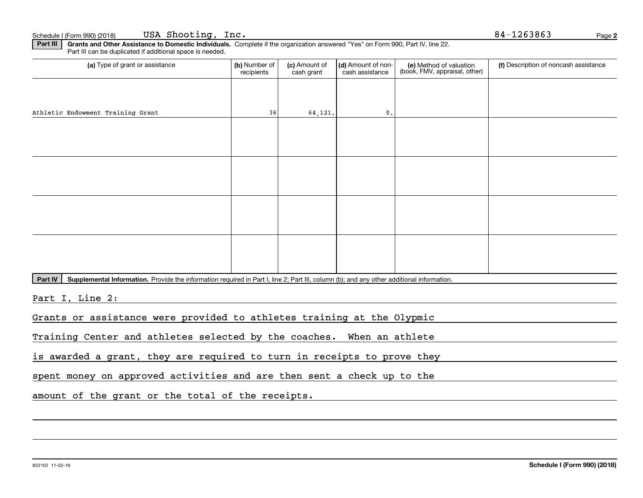**Part III | Grants and Other Assistance to Domestic Individuals. Complete if the organization answered "Yes" on Form 990, Part IV, line 22.** Part III can be duplicated if additional space is needed.

| (a) Type of grant or assistance   | (b) Number of<br>recipients | (c) Amount of<br>cash grant | (d) Amount of non-<br>cash assistance | (e) Method of valuation<br>(book, FMV, appraisal, other) | (f) Description of noncash assistance |
|-----------------------------------|-----------------------------|-----------------------------|---------------------------------------|----------------------------------------------------------|---------------------------------------|
|                                   |                             |                             |                                       |                                                          |                                       |
| Athletic Endowment Training Grant | 36                          | 64, 121.                    | $\mathbf{0}$ .                        |                                                          |                                       |
|                                   |                             |                             |                                       |                                                          |                                       |
|                                   |                             |                             |                                       |                                                          |                                       |
|                                   |                             |                             |                                       |                                                          |                                       |
|                                   |                             |                             |                                       |                                                          |                                       |
|                                   |                             |                             |                                       |                                                          |                                       |
|                                   |                             |                             |                                       |                                                          |                                       |
|                                   |                             |                             |                                       |                                                          |                                       |
|                                   |                             |                             |                                       |                                                          |                                       |

Part IV | Supplemental Information. Provide the information required in Part I, line 2; Part III, column (b); and any other additional information.

Part I, Line 2:

Grants or assistance were provided to athletes training at the Olypmic

Training Center and athletes selected by the coaches. When an athlete

is awarded a grant, they are required to turn in receipts to prove they

spent money on approved activities and are then sent a check up to the

amount of the grant or the total of the receipts.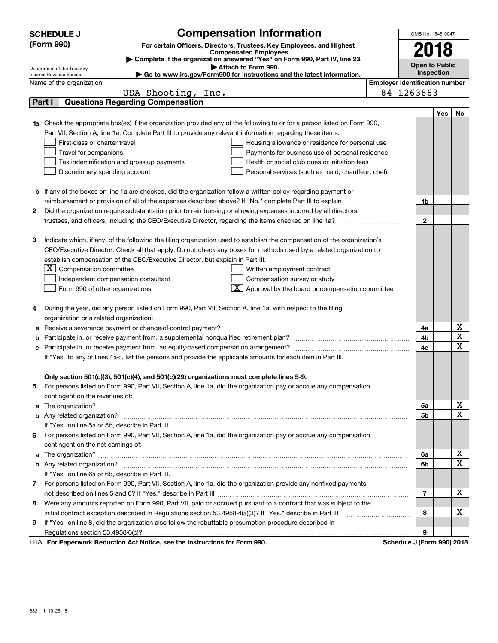| <b>Compensation Information</b><br><b>SCHEDULE J</b>                                                                     |                                                                            |                                                                                                                                                                                                                                      |                                       |                            |            |             |  |  |  |
|--------------------------------------------------------------------------------------------------------------------------|----------------------------------------------------------------------------|--------------------------------------------------------------------------------------------------------------------------------------------------------------------------------------------------------------------------------------|---------------------------------------|----------------------------|------------|-------------|--|--|--|
|                                                                                                                          | (Form 990)                                                                 | For certain Officers, Directors, Trustees, Key Employees, and Highest                                                                                                                                                                |                                       | 2018                       |            |             |  |  |  |
|                                                                                                                          |                                                                            | <b>Compensated Employees</b>                                                                                                                                                                                                         |                                       |                            |            |             |  |  |  |
|                                                                                                                          | Department of the Treasury                                                 | Complete if the organization answered "Yes" on Form 990, Part IV, line 23.<br>Attach to Form 990.                                                                                                                                    |                                       | <b>Open to Public</b>      |            |             |  |  |  |
|                                                                                                                          | Internal Revenue Service                                                   | Go to www.irs.gov/Form990 for instructions and the latest information.                                                                                                                                                               |                                       |                            | Inspection |             |  |  |  |
|                                                                                                                          | Name of the organization                                                   |                                                                                                                                                                                                                                      | <b>Employer identification number</b> |                            |            |             |  |  |  |
|                                                                                                                          |                                                                            | USA Shooting, Inc.                                                                                                                                                                                                                   |                                       | 84-1263863                 |            |             |  |  |  |
|                                                                                                                          | Part I                                                                     | <b>Questions Regarding Compensation</b>                                                                                                                                                                                              |                                       |                            |            |             |  |  |  |
|                                                                                                                          |                                                                            |                                                                                                                                                                                                                                      |                                       |                            | Yes        | No          |  |  |  |
|                                                                                                                          |                                                                            | 1a Check the appropriate box(es) if the organization provided any of the following to or for a person listed on Form 990,                                                                                                            |                                       |                            |            |             |  |  |  |
|                                                                                                                          |                                                                            | Part VII, Section A, line 1a. Complete Part III to provide any relevant information regarding these items.                                                                                                                           |                                       |                            |            |             |  |  |  |
|                                                                                                                          | First-class or charter travel                                              | Housing allowance or residence for personal use                                                                                                                                                                                      |                                       |                            |            |             |  |  |  |
|                                                                                                                          | Travel for companions                                                      | Payments for business use of personal residence                                                                                                                                                                                      |                                       |                            |            |             |  |  |  |
|                                                                                                                          |                                                                            | Health or social club dues or initiation fees<br>Tax indemnification and gross-up payments                                                                                                                                           |                                       |                            |            |             |  |  |  |
|                                                                                                                          |                                                                            | Discretionary spending account<br>Personal services (such as maid, chauffeur, chef)                                                                                                                                                  |                                       |                            |            |             |  |  |  |
|                                                                                                                          |                                                                            |                                                                                                                                                                                                                                      |                                       |                            |            |             |  |  |  |
|                                                                                                                          |                                                                            | <b>b</b> If any of the boxes on line 1a are checked, did the organization follow a written policy regarding payment or                                                                                                               |                                       |                            |            |             |  |  |  |
|                                                                                                                          |                                                                            |                                                                                                                                                                                                                                      |                                       | 1b                         |            |             |  |  |  |
| 2                                                                                                                        |                                                                            | Did the organization require substantiation prior to reimbursing or allowing expenses incurred by all directors,                                                                                                                     |                                       |                            |            |             |  |  |  |
|                                                                                                                          |                                                                            |                                                                                                                                                                                                                                      |                                       | $\mathbf 2$                |            |             |  |  |  |
|                                                                                                                          |                                                                            |                                                                                                                                                                                                                                      |                                       |                            |            |             |  |  |  |
| З                                                                                                                        |                                                                            | Indicate which, if any, of the following the filing organization used to establish the compensation of the organization's                                                                                                            |                                       |                            |            |             |  |  |  |
|                                                                                                                          |                                                                            | CEO/Executive Director. Check all that apply. Do not check any boxes for methods used by a related organization to                                                                                                                   |                                       |                            |            |             |  |  |  |
|                                                                                                                          |                                                                            | establish compensation of the CEO/Executive Director, but explain in Part III.                                                                                                                                                       |                                       |                            |            |             |  |  |  |
|                                                                                                                          | $\boxed{\textbf{X}}$ Compensation committee<br>Written employment contract |                                                                                                                                                                                                                                      |                                       |                            |            |             |  |  |  |
|                                                                                                                          |                                                                            | Compensation survey or study<br>Independent compensation consultant                                                                                                                                                                  |                                       |                            |            |             |  |  |  |
|                                                                                                                          |                                                                            | $\boxed{\textbf{X}}$ Approval by the board or compensation committee<br>Form 990 of other organizations                                                                                                                              |                                       |                            |            |             |  |  |  |
|                                                                                                                          |                                                                            |                                                                                                                                                                                                                                      |                                       |                            |            |             |  |  |  |
| 4                                                                                                                        |                                                                            | During the year, did any person listed on Form 990, Part VII, Section A, line 1a, with respect to the filing                                                                                                                         |                                       |                            |            |             |  |  |  |
|                                                                                                                          | organization or a related organization:                                    | Receive a severance payment or change-of-control payment?                                                                                                                                                                            |                                       | 4a                         |            | x           |  |  |  |
| а<br>b                                                                                                                   |                                                                            |                                                                                                                                                                                                                                      |                                       | 4b                         |            | X           |  |  |  |
|                                                                                                                          |                                                                            |                                                                                                                                                                                                                                      |                                       |                            |            | $\mathbf X$ |  |  |  |
| 4c<br>c<br>If "Yes" to any of lines 4a-c, list the persons and provide the applicable amounts for each item in Part III. |                                                                            |                                                                                                                                                                                                                                      |                                       |                            |            |             |  |  |  |
|                                                                                                                          |                                                                            |                                                                                                                                                                                                                                      |                                       |                            |            |             |  |  |  |
|                                                                                                                          |                                                                            | Only section 501(c)(3), 501(c)(4), and 501(c)(29) organizations must complete lines 5-9.                                                                                                                                             |                                       |                            |            |             |  |  |  |
|                                                                                                                          |                                                                            | For persons listed on Form 990, Part VII, Section A, line 1a, did the organization pay or accrue any compensation                                                                                                                    |                                       |                            |            |             |  |  |  |
|                                                                                                                          | contingent on the revenues of:                                             |                                                                                                                                                                                                                                      |                                       |                            |            |             |  |  |  |
|                                                                                                                          |                                                                            | a The organization? <b>Constitution</b> and the organization? The organization of the organization?                                                                                                                                  |                                       | 5a                         |            | х           |  |  |  |
|                                                                                                                          | <b>b</b> Any related organization?                                         |                                                                                                                                                                                                                                      |                                       | 5b                         |            | х           |  |  |  |
|                                                                                                                          |                                                                            | If "Yes" on line 5a or 5b, describe in Part III.                                                                                                                                                                                     |                                       |                            |            |             |  |  |  |
| 6.                                                                                                                       |                                                                            | For persons listed on Form 990, Part VII, Section A, line 1a, did the organization pay or accrue any compensation                                                                                                                    |                                       |                            |            |             |  |  |  |
|                                                                                                                          | contingent on the net earnings of:                                         |                                                                                                                                                                                                                                      |                                       |                            |            |             |  |  |  |
|                                                                                                                          |                                                                            | a The organization? <b>With the contract of the contract of the contract of the contract of the contract of the contract of the contract of the contract of the contract of the contract of the contract of the contract of the </b> |                                       | 6a                         |            | х           |  |  |  |
|                                                                                                                          | <b>b</b> Any related organization?                                         |                                                                                                                                                                                                                                      |                                       | 6b                         |            | $\mathbf X$ |  |  |  |
|                                                                                                                          |                                                                            | If "Yes" on line 6a or 6b, describe in Part III.                                                                                                                                                                                     |                                       |                            |            |             |  |  |  |
|                                                                                                                          |                                                                            | 7 For persons listed on Form 990, Part VII, Section A, line 1a, did the organization provide any nonfixed payments                                                                                                                   |                                       |                            |            |             |  |  |  |
|                                                                                                                          |                                                                            |                                                                                                                                                                                                                                      |                                       | 7                          |            | х           |  |  |  |
| 8                                                                                                                        |                                                                            | Were any amounts reported on Form 990, Part VII, paid or accrued pursuant to a contract that was subject to the                                                                                                                      |                                       |                            |            |             |  |  |  |
|                                                                                                                          |                                                                            | initial contract exception described in Regulations section 53.4958-4(a)(3)? If "Yes," describe in Part III                                                                                                                          |                                       | 8                          |            | х           |  |  |  |
| 9                                                                                                                        |                                                                            | If "Yes" on line 8, did the organization also follow the rebuttable presumption procedure described in                                                                                                                               |                                       |                            |            |             |  |  |  |
|                                                                                                                          |                                                                            |                                                                                                                                                                                                                                      |                                       | 9                          |            |             |  |  |  |
|                                                                                                                          |                                                                            | <b>Donorwork Beduction Act Notice, see the Instructions for Form 000</b>                                                                                                                                                             |                                       | Cohodulo I (Form 000) 0010 |            |             |  |  |  |

LHA For Paperwork Reduction Act Notice, see the Instructions for Form 990. Schedule J (Form 990) 2018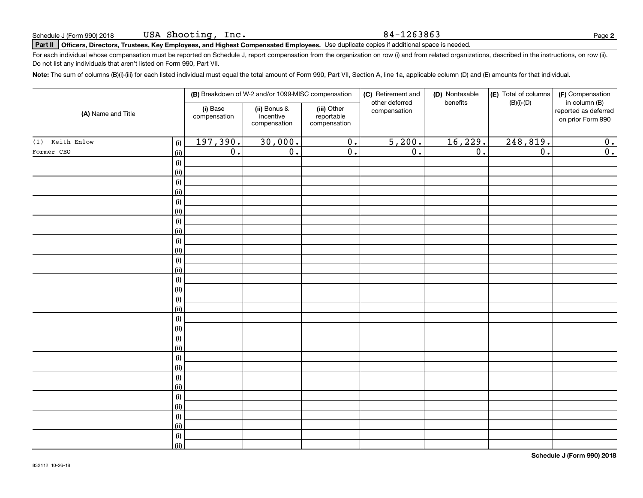#### 84-1263863

**2**

## **Part II Officers, Directors, Trustees, Key Employees, and Highest Compensated Employees.**  Schedule J (Form 990) 2018 Page Use duplicate copies if additional space is needed.

For each individual whose compensation must be reported on Schedule J, report compensation from the organization on row (i) and from related organizations, described in the instructions, on row (ii). Do not list any individuals that aren't listed on Form 990, Part VII.

**Note:**  The sum of columns (B)(i)-(iii) for each listed individual must equal the total amount of Form 990, Part VII, Section A, line 1a, applicable column (D) and (E) amounts for that individual.

|                    |                    |                          | (B) Breakdown of W-2 and/or 1099-MISC compensation |                                           | (C) Retirement and<br>other deferred | (D) Nontaxable<br>benefits | (E) Total of columns<br>$(B)(i)-(D)$ | (F) Compensation<br>in column (B)         |
|--------------------|--------------------|--------------------------|----------------------------------------------------|-------------------------------------------|--------------------------------------|----------------------------|--------------------------------------|-------------------------------------------|
| (A) Name and Title |                    | (i) Base<br>compensation | (ii) Bonus &<br>incentive<br>compensation          | (iii) Other<br>reportable<br>compensation | compensation                         |                            |                                      | reported as deferred<br>on prior Form 990 |
| $(1)$ Keith Enlow  | (i)                | 197,390.                 | 30,000.                                            | $\overline{0}$ .                          | 5,200.                               | 16,229.                    | 248,819.                             | 0.                                        |
| Former CEO         | (ii)               | $\overline{0}$ .         | $\overline{\mathfrak{o}}$ .                        | $\overline{0}$ .                          | $\overline{0}$ .                     | $\overline{0}$ .           | $\overline{0}$ .                     | $\overline{0}$ .                          |
|                    | $(\sf{i})$         |                          |                                                    |                                           |                                      |                            |                                      |                                           |
|                    | (ii)               |                          |                                                    |                                           |                                      |                            |                                      |                                           |
|                    | $(\sf{i})$         |                          |                                                    |                                           |                                      |                            |                                      |                                           |
|                    | (ii)               |                          |                                                    |                                           |                                      |                            |                                      |                                           |
|                    | $(\sf{i})$         |                          |                                                    |                                           |                                      |                            |                                      |                                           |
|                    | (ii)               |                          |                                                    |                                           |                                      |                            |                                      |                                           |
|                    | $(\sf{i})$         |                          |                                                    |                                           |                                      |                            |                                      |                                           |
|                    | (ii)               |                          |                                                    |                                           |                                      |                            |                                      |                                           |
|                    | $(\sf{i})$         |                          |                                                    |                                           |                                      |                            |                                      |                                           |
|                    | (ii)               |                          |                                                    |                                           |                                      |                            |                                      |                                           |
|                    | $(\sf{i})$<br>(ii) |                          |                                                    |                                           |                                      |                            |                                      |                                           |
|                    | $(\sf{i})$         |                          |                                                    |                                           |                                      |                            |                                      |                                           |
|                    | (ii)               |                          |                                                    |                                           |                                      |                            |                                      |                                           |
|                    | $(\sf{i})$         |                          |                                                    |                                           |                                      |                            |                                      |                                           |
|                    | (ii)               |                          |                                                    |                                           |                                      |                            |                                      |                                           |
|                    | $(\sf{i})$         |                          |                                                    |                                           |                                      |                            |                                      |                                           |
|                    | (ii)               |                          |                                                    |                                           |                                      |                            |                                      |                                           |
|                    | $(\sf{i})$         |                          |                                                    |                                           |                                      |                            |                                      |                                           |
|                    | (ii)               |                          |                                                    |                                           |                                      |                            |                                      |                                           |
|                    | $(\sf{i})$         |                          |                                                    |                                           |                                      |                            |                                      |                                           |
|                    | (ii)               |                          |                                                    |                                           |                                      |                            |                                      |                                           |
|                    | $(\sf{i})$         |                          |                                                    |                                           |                                      |                            |                                      |                                           |
|                    | (ii)               |                          |                                                    |                                           |                                      |                            |                                      |                                           |
|                    | $(\sf{i})$         |                          |                                                    |                                           |                                      |                            |                                      |                                           |
|                    | (ii)               |                          |                                                    |                                           |                                      |                            |                                      |                                           |
|                    | $(\sf{i})$         |                          |                                                    |                                           |                                      |                            |                                      |                                           |
|                    | (ii)               |                          |                                                    |                                           |                                      |                            |                                      |                                           |
|                    | $(\sf{i})$         |                          |                                                    |                                           |                                      |                            |                                      |                                           |
|                    | (ii)               |                          |                                                    |                                           |                                      |                            |                                      |                                           |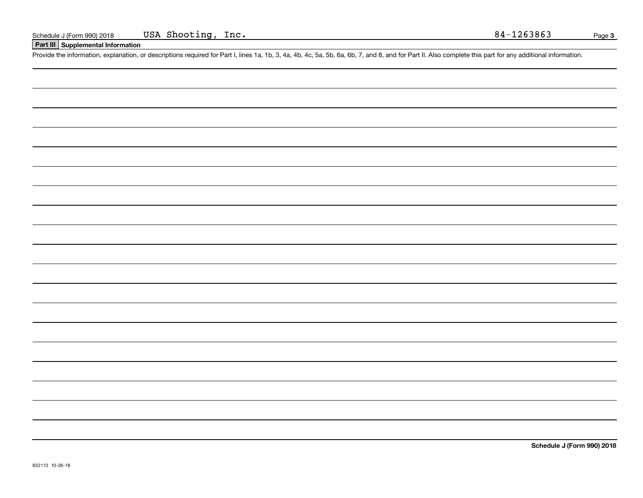## **Part III Supplemental Information**

Schedule J (Form 990) 2018 USA Shooting, Inc. 84-1263863<br>
Part III Supplemental Information<br>
Provide the information, explanation, or descriptions required for Part I, lines 1a, 1b, 3, 4a, 4b, 4c, 5a, 5b, 6a, 6b, 7, and 8,

**Schedule J (Form 990) 2018**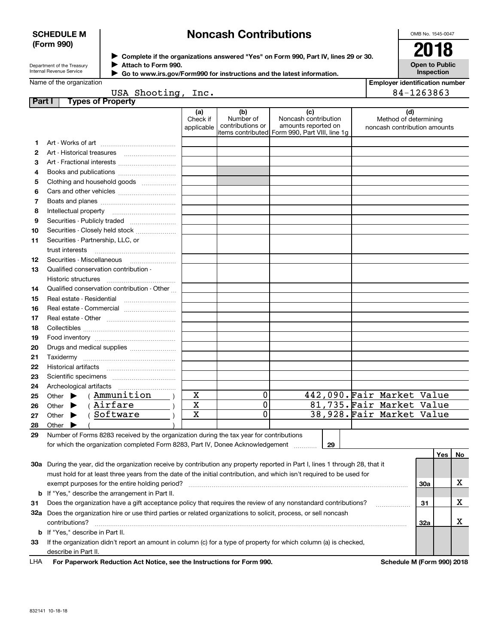### **SCHEDULE M (Form 990)**

## **Noncash Contributions**

OMB No. 1545-0047

| Department of the Treasury      |
|---------------------------------|
| <b>Internal Revenue Service</b> |

**Complete if the organizations answered "Yes" on Form 990, Part IV, lines 29 or 30.** <sup>J</sup>**2018 Attach to Form 990.** J

 **Go to www.irs.gov/Form990 for instructions and the latest information.** J

**Open to Public Inspection**

**Employer identification number**

| Name of the organization |  |
|--------------------------|--|
|--------------------------|--|

|  | USA Shooting, Inc. |  |
|--|--------------------|--|

|        | USA Shooting,                                                                                                                  | Inc.                          |                                      |                                                                                                       |    | 84-1263863                                                   |     |     |           |
|--------|--------------------------------------------------------------------------------------------------------------------------------|-------------------------------|--------------------------------------|-------------------------------------------------------------------------------------------------------|----|--------------------------------------------------------------|-----|-----|-----------|
| Part I | <b>Types of Property</b>                                                                                                       |                               |                                      |                                                                                                       |    |                                                              |     |     |           |
|        |                                                                                                                                | (a)<br>Check if<br>applicable | (b)<br>Number of<br>contributions or | (c)<br>Noncash contribution<br>amounts reported on<br>litems contributed Form 990, Part VIII, line 1g |    | (d)<br>Method of determining<br>noncash contribution amounts |     |     |           |
| 1.     |                                                                                                                                |                               |                                      |                                                                                                       |    |                                                              |     |     |           |
| 2      |                                                                                                                                |                               |                                      |                                                                                                       |    |                                                              |     |     |           |
| 3      | Art - Fractional interests                                                                                                     |                               |                                      |                                                                                                       |    |                                                              |     |     |           |
| 4      |                                                                                                                                |                               |                                      |                                                                                                       |    |                                                              |     |     |           |
| 5      | Clothing and household goods                                                                                                   |                               |                                      |                                                                                                       |    |                                                              |     |     |           |
| 6      |                                                                                                                                |                               |                                      |                                                                                                       |    |                                                              |     |     |           |
| 7      |                                                                                                                                |                               |                                      |                                                                                                       |    |                                                              |     |     |           |
| 8      |                                                                                                                                |                               |                                      |                                                                                                       |    |                                                              |     |     |           |
| 9      | Securities - Publicly traded                                                                                                   |                               |                                      |                                                                                                       |    |                                                              |     |     |           |
| 10     | Securities - Closely held stock                                                                                                |                               |                                      |                                                                                                       |    |                                                              |     |     |           |
| 11     | Securities - Partnership, LLC, or                                                                                              |                               |                                      |                                                                                                       |    |                                                              |     |     |           |
|        | trust interests                                                                                                                |                               |                                      |                                                                                                       |    |                                                              |     |     |           |
| 12     |                                                                                                                                |                               |                                      |                                                                                                       |    |                                                              |     |     |           |
| 13     | Qualified conservation contribution -                                                                                          |                               |                                      |                                                                                                       |    |                                                              |     |     |           |
|        | Historic structures                                                                                                            |                               |                                      |                                                                                                       |    |                                                              |     |     |           |
| 14     | Qualified conservation contribution - Other                                                                                    |                               |                                      |                                                                                                       |    |                                                              |     |     |           |
| 15     | Real estate - Residential                                                                                                      |                               |                                      |                                                                                                       |    |                                                              |     |     |           |
| 16     | Real estate - Commercial                                                                                                       |                               |                                      |                                                                                                       |    |                                                              |     |     |           |
| 17     |                                                                                                                                |                               |                                      |                                                                                                       |    |                                                              |     |     |           |
| 18     |                                                                                                                                |                               |                                      |                                                                                                       |    |                                                              |     |     |           |
| 19     |                                                                                                                                |                               |                                      |                                                                                                       |    |                                                              |     |     |           |
| 20     |                                                                                                                                |                               |                                      |                                                                                                       |    |                                                              |     |     |           |
| 21     | Taxidermy                                                                                                                      |                               |                                      |                                                                                                       |    |                                                              |     |     |           |
| 22     |                                                                                                                                |                               |                                      |                                                                                                       |    |                                                              |     |     |           |
| 23     |                                                                                                                                |                               |                                      |                                                                                                       |    |                                                              |     |     |           |
| 24     |                                                                                                                                |                               |                                      |                                                                                                       |    |                                                              |     |     |           |
| 25     | (Ammunition<br>Other $\blacktriangleright$                                                                                     | X                             | 0                                    |                                                                                                       |    | 442,090. Fair Market Value                                   |     |     |           |
| 26     | (Airfare<br>Other $\blacktriangleright$                                                                                        | $\mathbf X$                   | 0                                    |                                                                                                       |    | 81,735. Fair Market Value                                    |     |     |           |
| 27     | (Software<br>Other $\blacktriangleright$                                                                                       | $\mathbf X$                   | 0                                    |                                                                                                       |    | 38,928. Fair Market Value                                    |     |     |           |
| 28     | Other                                                                                                                          |                               |                                      |                                                                                                       |    |                                                              |     |     |           |
| 29     | Number of Forms 8283 received by the organization during the tax year for contributions                                        |                               |                                      |                                                                                                       |    |                                                              |     |     |           |
|        | for which the organization completed Form 8283, Part IV, Donee Acknowledgement                                                 |                               |                                      |                                                                                                       | 29 |                                                              |     |     |           |
|        |                                                                                                                                |                               |                                      |                                                                                                       |    |                                                              |     | Yes | <b>No</b> |
|        | 30a During the year, did the organization receive by contribution any property reported in Part I, lines 1 through 28, that it |                               |                                      |                                                                                                       |    |                                                              |     |     |           |
|        | must hold for at least three years from the date of the initial contribution, and which isn't required to be used for          |                               |                                      |                                                                                                       |    |                                                              |     |     |           |
|        | exempt purposes for the entire holding period?                                                                                 |                               |                                      |                                                                                                       |    |                                                              | 30a |     | x         |
| b      | If "Yes," describe the arrangement in Part II.                                                                                 |                               |                                      |                                                                                                       |    |                                                              |     |     |           |
| 31     | Does the organization have a gift acceptance policy that requires the review of any nonstandard contributions?                 |                               |                                      |                                                                                                       |    |                                                              | 31  |     | х         |
|        | 32a Does the organization hire or use third parties or related organizations to solicit, process, or sell noncash              |                               |                                      |                                                                                                       |    |                                                              |     |     |           |
|        | contributions?                                                                                                                 |                               |                                      |                                                                                                       |    |                                                              | 32a |     | x         |
|        | <b>b</b> If "Yes," describe in Part II.                                                                                        |                               |                                      |                                                                                                       |    |                                                              |     |     |           |

**33**If the organization didn't report an amount in column (c) for a type of property for which column (a) is checked, describe in Part II.

**For Paperwork Reduction Act Notice, see the Instructions for Form 990. Schedule M (Form 990) 2018** LHA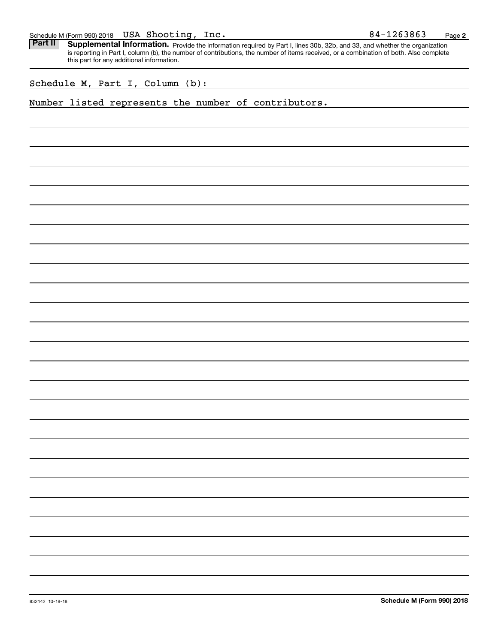| Schedule M (Form 990) 2018 | <b>USA</b> | Shooting | lnc. | 1263863<br>84. | Page |  |
|----------------------------|------------|----------|------|----------------|------|--|
|----------------------------|------------|----------|------|----------------|------|--|

Part II | Supplemental Information. Provide the information required by Part I, lines 30b, 32b, and 33, and whether the organization is reporting in Part I, column (b), the number of contributions, the number of items received, or a combination of both. Also complete this part for any additional information.

Schedule M, Part I, Column (b):

## Number listed represents the number of contributors.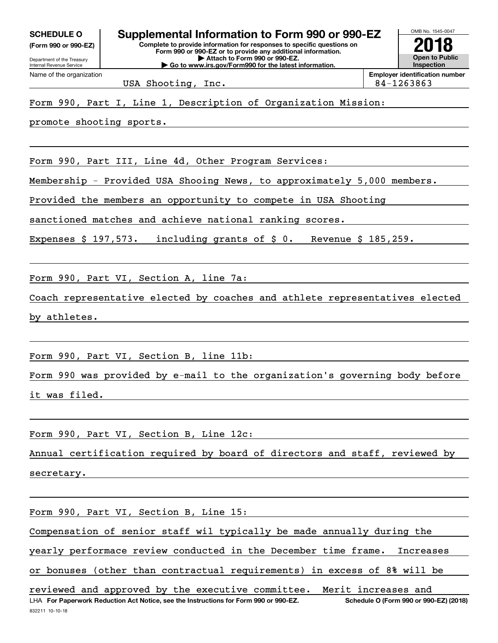**(Form 990 or 990-EZ)**

Department of the Treasury Internal Revenue Service Name of the organization

**Complete to provide information for responses to specific questions on Form 990 or 990-EZ or to provide any additional information. | Attach to Form 990 or 990-EZ. | Go to www.irs.gov/Form990 for the latest information. SCHEDULE O Supplemental Information to Form 990 or 990-EZ**

**Open to Public InspectionEmployer identification number**

OMB No. 1545-0047

**2018**

USA Shooting, Inc. 84-1263863

## Form 990, Part I, Line 1, Description of Organization Mission:

promote shooting sports.

Form 990, Part III, Line 4d, Other Program Services:

Membership - Provided USA Shooing News, to approximately 5,000 members.

Provided the members an opportunity to compete in USA Shooting

sanctioned matches and achieve national ranking scores.

Expenses \$ 197,573. including grants of \$ 0. Revenue \$ 185,259.

Form 990, Part VI, Section A, line 7a:

Coach representative elected by coaches and athlete representatives elected by athletes.

Form 990, Part VI, Section B, line 11b:

Form 990 was provided by e-mail to the organization's governing body before it was filed.

Form 990, Part VI, Section B, Line 12c:

Annual certification required by board of directors and staff, reviewed by secretary.

Form 990, Part VI, Section B, Line 15:

Compensation of senior staff wil typically be made annually during the

yearly performace review conducted in the December time frame. Increases

or bonuses (other than contractual requirements) in excess of 8% will be

832211 10-10-18 LHA For Paperwork Reduction Act Notice, see the Instructions for Form 990 or 990-EZ. Schedule O (Form 990 or 990-EZ) (2018) reviewed and approved by the executive committee. Merit increases and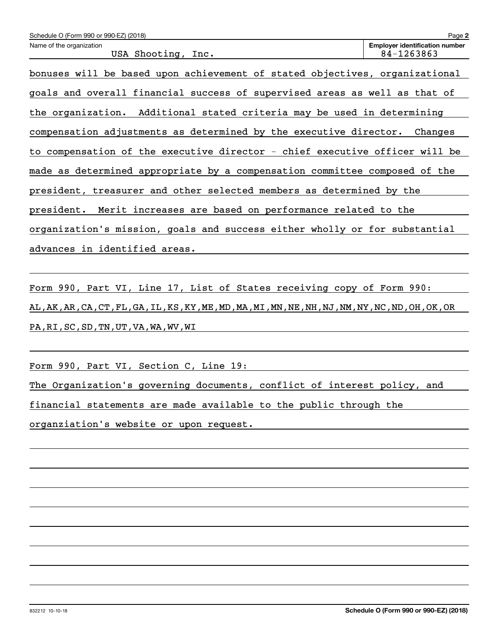| Schedule O (Form 990 or 990-EZ) (2018)                                      | Page 2                                              |  |  |  |  |
|-----------------------------------------------------------------------------|-----------------------------------------------------|--|--|--|--|
| Name of the organization<br>USA Shooting, Inc.                              | <b>Employer identification number</b><br>84-1263863 |  |  |  |  |
| bonuses will be based upon achievement of stated objectives, organizational |                                                     |  |  |  |  |
| goals and overall financial success of supervised areas as well as that of  |                                                     |  |  |  |  |
| the organization. Additional stated criteria may be used in determining     |                                                     |  |  |  |  |
| compensation adjustments as determined by the executive director. Changes   |                                                     |  |  |  |  |
| to compensation of the executive director - chief executive officer will be |                                                     |  |  |  |  |
| made as determined appropriate by a compensation committee composed of the  |                                                     |  |  |  |  |
| president, treasurer and other selected members as determined by the        |                                                     |  |  |  |  |
| president. Merit increases are based on performance related to the          |                                                     |  |  |  |  |
| organization's mission, goals and success either wholly or for substantial  |                                                     |  |  |  |  |
| advances in identified areas.                                               |                                                     |  |  |  |  |
|                                                                             |                                                     |  |  |  |  |

Form 990, Part VI, Line 17, List of States receiving copy of Form 990: AL,AK,AR,CA,CT,FL,GA,IL,KS,KY,ME,MD,MA,MI,MN,NE,NH,NJ,NM,NY,NC,ND,OH,OK,OR PA,RI,SC,SD,TN,UT,VA,WA,WV,WI

Form 990, Part VI, Section C, Line 19:

The Organization's governing documents, conflict of interest policy, and

financial statements are made available to the public through the

organziation's website or upon request.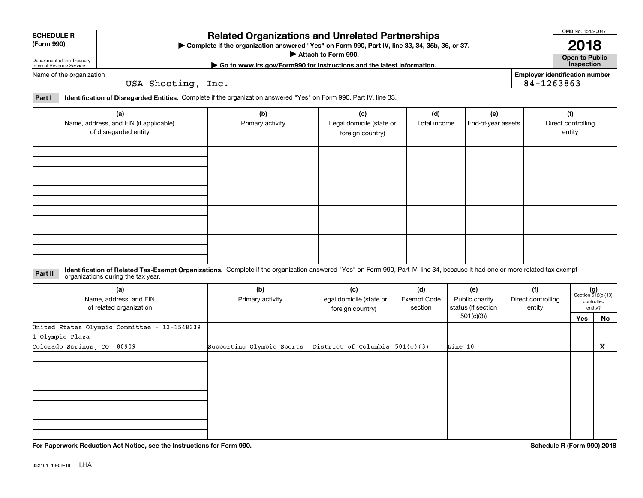| <b>SCHEDULE R</b> |
|-------------------|
|                   |

#### **(Form 990)**

## **Related Organizations and Unrelated Partnerships**

**Complete if the organization answered "Yes" on Form 990, Part IV, line 33, 34, 35b, 36, or 37.** |

**Attach to Form 990.**  |

OMB No. 1545-0047

**Open to Public | Go to www.irs.gov/Form990 for instructions and the latest information. Inspection 2018**

**Employer identification number**

84-1263863

Department of the Treasury Internal Revenue Service Name of the organization

USA Shooting, Inc.

**Part I Identification of Disregarded Entities.**  Complete if the organization answered "Yes" on Form 990, Part IV, line 33.

| (a)<br>Name, address, and EIN (if applicable)<br>of disregarded entity | (b)<br>Primary activity | (c)<br>Legal domicile (state or<br>foreign country) | (d)<br>Total income | (e)<br>End-of-year assets | (f)<br>Direct controlling<br>entity |
|------------------------------------------------------------------------|-------------------------|-----------------------------------------------------|---------------------|---------------------------|-------------------------------------|
|                                                                        |                         |                                                     |                     |                           |                                     |
|                                                                        |                         |                                                     |                     |                           |                                     |
|                                                                        |                         |                                                     |                     |                           |                                     |
|                                                                        |                         |                                                     |                     |                           |                                     |

**Identification of Related Tax-Exempt Organizations.** Complete if the organization answered "Yes" on Form 990, Part IV, line 34, because it had one or more related tax-exempt **Part II** organizations during the tax year.

| (a)<br>Name, address, and EIN<br>of related organization | (b)<br>Primary activity   | (c)<br>Legal domicile (state or<br>foreign country) | (d)<br>Exempt Code<br>section | (e)<br>Public charity<br>status (if section | (f)<br>Direct controlling<br>entity |     | $(g)$<br>Section 512(b)(13)<br>controlled<br>entity? |  |
|----------------------------------------------------------|---------------------------|-----------------------------------------------------|-------------------------------|---------------------------------------------|-------------------------------------|-----|------------------------------------------------------|--|
|                                                          |                           |                                                     |                               | 501(c)(3))                                  |                                     | Yes | No                                                   |  |
| United States Olympic Committee - 13-1548339             |                           |                                                     |                               |                                             |                                     |     |                                                      |  |
| 1 Olympic Plaza                                          |                           |                                                     |                               |                                             |                                     |     |                                                      |  |
| Colorado Springs, CO<br>80909                            | Supporting Olympic Sports | District of Columbia $501(c)(3)$                    |                               | Line 10                                     |                                     |     | х                                                    |  |
|                                                          |                           |                                                     |                               |                                             |                                     |     |                                                      |  |
|                                                          |                           |                                                     |                               |                                             |                                     |     |                                                      |  |
|                                                          |                           |                                                     |                               |                                             |                                     |     |                                                      |  |

**For Paperwork Reduction Act Notice, see the Instructions for Form 990. Schedule R (Form 990) 2018**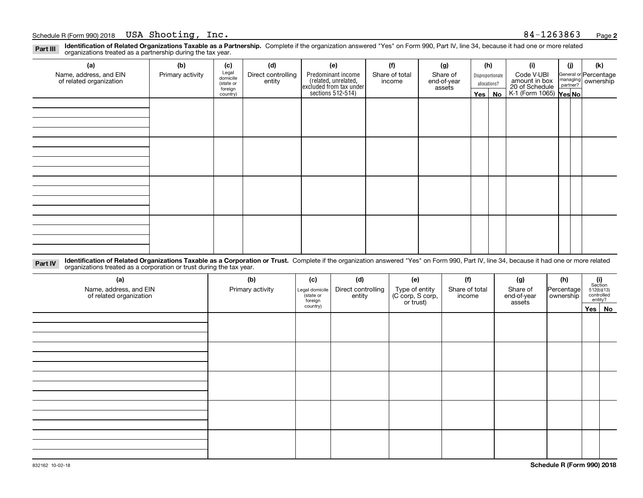**Identification of Related Organizations Taxable as a Partnership.** Complete if the organization answered "Yes" on Form 990, Part IV, line 34, because it had one or more related **Part III** organizations treated as a partnership during the tax year.

| (a)                                               | (b)              | (c)                  | (d)                          | (e)                                                                  | (f)                      | (g)                     |              | (h)              | (i)                                                       | (i) | (k)                                                       |
|---------------------------------------------------|------------------|----------------------|------------------------------|----------------------------------------------------------------------|--------------------------|-------------------------|--------------|------------------|-----------------------------------------------------------|-----|-----------------------------------------------------------|
| Name, address, and EIN<br>of related organization | Primary activity | Legal<br>domicile    | Direct controlling<br>entity | Predominant income                                                   | Share of total<br>income | Share of<br>end-of-year |              | Disproportionate | Code V-UBI                                                |     | General or Percentage<br>managing<br>partner?<br>partner? |
|                                                   |                  | (state or<br>foreign |                              |                                                                      |                          | assets                  | allocations? |                  |                                                           |     |                                                           |
|                                                   |                  | country)             |                              | (related, unrelated,<br>excluded from tax under<br>sections 512-514) |                          |                         | Yes $ $      | No               | amount in box<br>20 of Schedule<br>K-1 (Form 1065) Yes No |     |                                                           |
|                                                   |                  |                      |                              |                                                                      |                          |                         |              |                  |                                                           |     |                                                           |
|                                                   |                  |                      |                              |                                                                      |                          |                         |              |                  |                                                           |     |                                                           |
|                                                   |                  |                      |                              |                                                                      |                          |                         |              |                  |                                                           |     |                                                           |
|                                                   |                  |                      |                              |                                                                      |                          |                         |              |                  |                                                           |     |                                                           |
|                                                   |                  |                      |                              |                                                                      |                          |                         |              |                  |                                                           |     |                                                           |
|                                                   |                  |                      |                              |                                                                      |                          |                         |              |                  |                                                           |     |                                                           |
|                                                   |                  |                      |                              |                                                                      |                          |                         |              |                  |                                                           |     |                                                           |
|                                                   |                  |                      |                              |                                                                      |                          |                         |              |                  |                                                           |     |                                                           |
|                                                   |                  |                      |                              |                                                                      |                          |                         |              |                  |                                                           |     |                                                           |
|                                                   |                  |                      |                              |                                                                      |                          |                         |              |                  |                                                           |     |                                                           |
|                                                   |                  |                      |                              |                                                                      |                          |                         |              |                  |                                                           |     |                                                           |
|                                                   |                  |                      |                              |                                                                      |                          |                         |              |                  |                                                           |     |                                                           |
|                                                   |                  |                      |                              |                                                                      |                          |                         |              |                  |                                                           |     |                                                           |
|                                                   |                  |                      |                              |                                                                      |                          |                         |              |                  |                                                           |     |                                                           |
|                                                   |                  |                      |                              |                                                                      |                          |                         |              |                  |                                                           |     |                                                           |
|                                                   |                  |                      |                              |                                                                      |                          |                         |              |                  |                                                           |     |                                                           |
|                                                   |                  |                      |                              |                                                                      |                          |                         |              |                  |                                                           |     |                                                           |

**Identification of Related Organizations Taxable as a Corporation or Trust.** Complete if the organization answered "Yes" on Form 990, Part IV, line 34, because it had one or more related **Part IV** organizations treated as a corporation or trust during the tax year.

| (a)<br>Name, address, and EIN<br>of related organization | (b)<br>Primary activity | (c)<br>Legal domicile<br>(state or<br>foreign | (d)<br>Direct controlling<br>entity | (e)<br>Type of entity<br>(C corp, S corp,<br>or trust) | (f)<br>Share of total<br>income | (g)<br>Share of<br>end-of-year<br>assets | (h)<br>Percentage<br>ownership | $\begin{array}{c} \textbf{(i)}\\ \text{Section}\\ 512 \text{(b)} \text{(13)}\\ \text{controlled}\\ \text{entity?} \end{array}$ |
|----------------------------------------------------------|-------------------------|-----------------------------------------------|-------------------------------------|--------------------------------------------------------|---------------------------------|------------------------------------------|--------------------------------|--------------------------------------------------------------------------------------------------------------------------------|
|                                                          |                         | country)                                      |                                     |                                                        |                                 |                                          |                                | Yes   No                                                                                                                       |
|                                                          |                         |                                               |                                     |                                                        |                                 |                                          |                                |                                                                                                                                |
|                                                          |                         |                                               |                                     |                                                        |                                 |                                          |                                |                                                                                                                                |
|                                                          |                         |                                               |                                     |                                                        |                                 |                                          |                                |                                                                                                                                |
|                                                          |                         |                                               |                                     |                                                        |                                 |                                          |                                |                                                                                                                                |
|                                                          |                         |                                               |                                     |                                                        |                                 |                                          |                                |                                                                                                                                |
|                                                          |                         |                                               |                                     |                                                        |                                 |                                          |                                |                                                                                                                                |
|                                                          |                         |                                               |                                     |                                                        |                                 |                                          |                                |                                                                                                                                |
|                                                          |                         |                                               |                                     |                                                        |                                 |                                          |                                |                                                                                                                                |
|                                                          |                         |                                               |                                     |                                                        |                                 |                                          |                                |                                                                                                                                |
|                                                          |                         |                                               |                                     |                                                        |                                 |                                          |                                |                                                                                                                                |
|                                                          |                         |                                               |                                     |                                                        |                                 |                                          |                                |                                                                                                                                |
|                                                          |                         |                                               |                                     |                                                        |                                 |                                          |                                |                                                                                                                                |
|                                                          |                         |                                               |                                     |                                                        |                                 |                                          |                                |                                                                                                                                |
|                                                          |                         |                                               |                                     |                                                        |                                 |                                          |                                |                                                                                                                                |
|                                                          |                         |                                               |                                     |                                                        |                                 |                                          |                                |                                                                                                                                |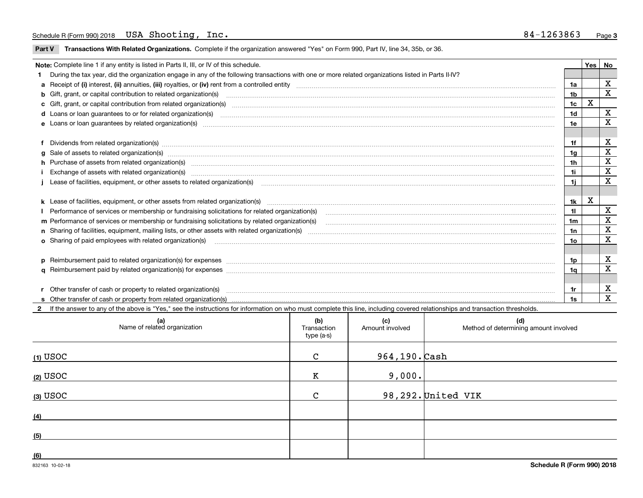**Part V** T**ransactions With Related Organizations.** Complete if the organization answered "Yes" on Form 990, Part IV, line 34, 35b, or 36.

| Note: Complete line 1 if any entity is listed in Parts II, III, or IV of this schedule. |                                                                                                                                                                                                                                |                |   |   |  |  |
|-----------------------------------------------------------------------------------------|--------------------------------------------------------------------------------------------------------------------------------------------------------------------------------------------------------------------------------|----------------|---|---|--|--|
|                                                                                         | During the tax year, did the organization engage in any of the following transactions with one or more related organizations listed in Parts II-IV?                                                                            |                |   |   |  |  |
|                                                                                         |                                                                                                                                                                                                                                | 1a             |   | X |  |  |
|                                                                                         | b Gift, grant, or capital contribution to related organization(s) material contracts and contribution to related organization(s)                                                                                               | 1 <sub>b</sub> |   | X |  |  |
|                                                                                         | c Gift, grant, or capital contribution from related organization(s) manufaction(s) manufaction contribution from related organization(s) manufaction contribution from related organization(s) manufaction continuum contribut | 1c             | x |   |  |  |
|                                                                                         | d Loans or loan guarantees to or for related organization(s) material content to consume and content to consumer an analyze of loans or loan guarantees to or for related organization(s) materials are consumed and consumer  | 1d             |   | X |  |  |
|                                                                                         |                                                                                                                                                                                                                                | 1e             |   | X |  |  |
|                                                                                         |                                                                                                                                                                                                                                |                |   |   |  |  |
|                                                                                         | f Dividends from related organization(s) manufactured contains and contained and contained contained and contained and contained and contained and contained and contained and contained and contained and contained and conta | 1f             |   | X |  |  |
|                                                                                         | g Sale of assets to related organization(s) www.assettion.com/www.assettion.com/www.assettion.com/www.assettion.com/www.assettion.com/www.assettion.com/www.assettion.com/www.assettion.com/www.assettion.com/www.assettion.co | 1g             |   | X |  |  |
|                                                                                         | h Purchase of assets from related organization(s) www.communically.communically contract and analyzing contract and analyzing contract and analyzing contract and analyzing contract and analyzing contract and analyzing cont | 1h             |   | X |  |  |
|                                                                                         | Exchange of assets with related organization(s) www.array.com/www.array.com/www.array.com/www.array.com/www.array.com/www.array.com/www.array.com/www.array.com/www.array.com/www.array.com/www.array.com/www.array.com/www.ar | 1i             |   | X |  |  |
|                                                                                         |                                                                                                                                                                                                                                | 1i.            |   | X |  |  |
|                                                                                         |                                                                                                                                                                                                                                |                |   |   |  |  |
|                                                                                         | k Lease of facilities, equipment, or other assets from related organization(s) manufaction content and content to the assets from related organization(s) manufaction content and content and content and content and content  | 1k             | x |   |  |  |
|                                                                                         | I Performance of services or membership or fundraising solicitations for related organization(s)                                                                                                                               | 11             |   | X |  |  |
|                                                                                         |                                                                                                                                                                                                                                | 1 <sub>m</sub> |   | X |  |  |
|                                                                                         |                                                                                                                                                                                                                                | 1n             |   | X |  |  |
|                                                                                         |                                                                                                                                                                                                                                | 1o             |   | X |  |  |
|                                                                                         |                                                                                                                                                                                                                                |                |   |   |  |  |
|                                                                                         |                                                                                                                                                                                                                                | 1p             |   | х |  |  |
|                                                                                         |                                                                                                                                                                                                                                | 1q             |   | X |  |  |
|                                                                                         |                                                                                                                                                                                                                                |                |   |   |  |  |
|                                                                                         | r Other transfer of cash or property to related organization(s)                                                                                                                                                                | 1r             |   | х |  |  |
|                                                                                         |                                                                                                                                                                                                                                | 1s             |   | X |  |  |

**2**If the answer to any of the above is "Yes," see the instructions for information on who must complete this line, including covered relationships and transaction thresholds.

| (a)<br>Name of related organization | (b)<br>Transaction<br>type (a-s) | (c)<br>Amount involved | (d)<br>Method of determining amount involved |
|-------------------------------------|----------------------------------|------------------------|----------------------------------------------|
| $(1)$ USOC                          | $\mathbf{C}$                     | 964,190. Cash          |                                              |
| (2) USOC                            | K                                | 9,000.                 |                                              |
| $(3)$ USOC                          | $\mathsf{C}$                     |                        | $98,292.$ United VIK                         |
| (4)                                 |                                  |                        |                                              |
| (5)                                 |                                  |                        |                                              |
| (6)                                 |                                  |                        |                                              |

 $\overline{\phantom{0}}$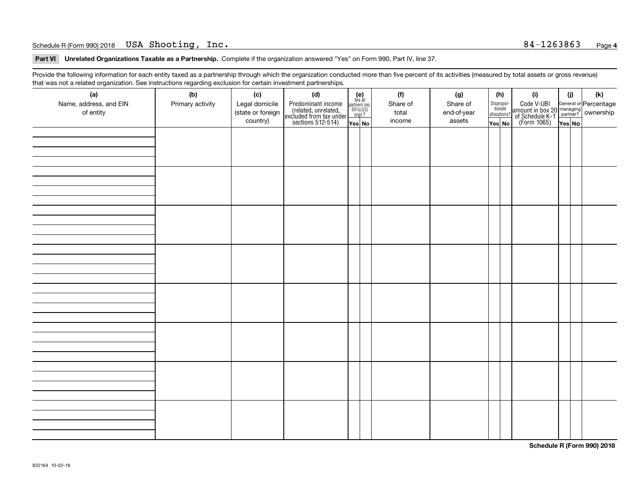#### Schedule R (Form 990) 2018 Page USA Shooting, Inc. 84-1263863

**Part VI Unrelated Organizations Taxable as a Partnership. Complete if the organization answered "Yes" on Form 990, Part IV, line 37.** 

Provide the following information for each entity taxed as a partnership through which the organization conducted more than five percent of its activities (measured by total assets or gross revenue) that was not a related organization. See instructions regarding exclusion for certain investment partnerships.

| ັ<br>(a)<br>Name, address, and EIN<br>of entity | ັ<br>ັ<br>(b)<br>Primary activity | (c)<br>Legal domicile<br>(state or foreign<br>country) | (d)<br>Predominant income<br>(related, unrelated,<br>excluded from tax under<br>sections 512-514) | (e)<br>Are all<br>partners sec.<br>501(c)(3)<br>orgs.?<br>Yes No | (f)<br>Share of<br>total<br>income | (g)<br>Share of<br>end-of-year<br>assets | (h)<br>Dispropor-<br>tionate<br>allocations?<br>Yes No | (i)<br>Code V-UBI<br>amount in box 20 managing<br>of Schedule K-1<br>(Form 1065)<br>$\overline{Yes}$ No | (i)<br>Yes No | (k) |
|-------------------------------------------------|-----------------------------------|--------------------------------------------------------|---------------------------------------------------------------------------------------------------|------------------------------------------------------------------|------------------------------------|------------------------------------------|--------------------------------------------------------|---------------------------------------------------------------------------------------------------------|---------------|-----|
|                                                 |                                   |                                                        |                                                                                                   |                                                                  |                                    |                                          |                                                        |                                                                                                         |               |     |
|                                                 |                                   |                                                        |                                                                                                   |                                                                  |                                    |                                          |                                                        |                                                                                                         |               |     |
|                                                 |                                   |                                                        |                                                                                                   |                                                                  |                                    |                                          |                                                        |                                                                                                         |               |     |
|                                                 |                                   |                                                        |                                                                                                   |                                                                  |                                    |                                          |                                                        |                                                                                                         |               |     |
|                                                 |                                   |                                                        |                                                                                                   |                                                                  |                                    |                                          |                                                        |                                                                                                         |               |     |
|                                                 |                                   |                                                        |                                                                                                   |                                                                  |                                    |                                          |                                                        |                                                                                                         |               |     |
|                                                 |                                   |                                                        |                                                                                                   |                                                                  |                                    |                                          |                                                        |                                                                                                         |               |     |
|                                                 |                                   |                                                        |                                                                                                   |                                                                  |                                    |                                          |                                                        |                                                                                                         |               |     |